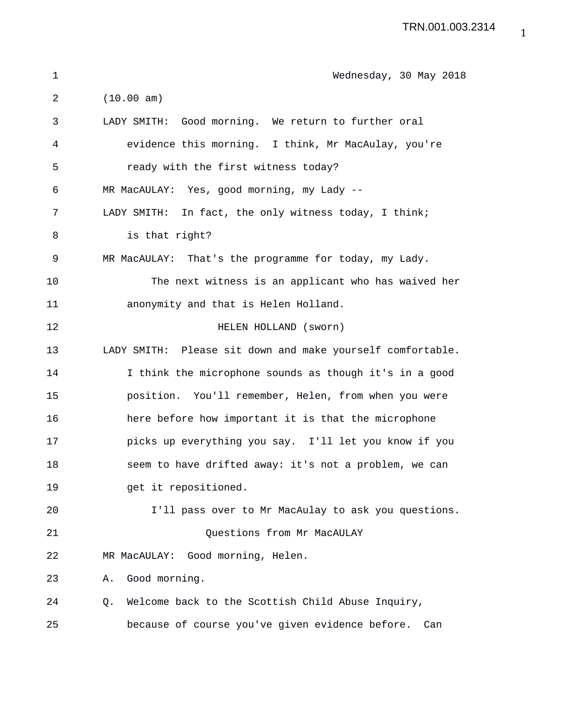| $\mathbf 1$ | Wednesday, 30 May 2018                                     |
|-------------|------------------------------------------------------------|
| 2           | (10.00 am)                                                 |
| 3           | LADY SMITH: Good morning. We return to further oral        |
| 4           | evidence this morning. I think, Mr MacAulay, you're        |
| 5           | ready with the first witness today?                        |
| 6           | MR MacAULAY: Yes, good morning, my Lady --                 |
| 7           | LADY SMITH: In fact, the only witness today, I think;      |
| 8           | is that right?                                             |
| 9           | MR MacAULAY: That's the programme for today, my Lady.      |
| 10          | The next witness is an applicant who has waived her        |
| 11          | anonymity and that is Helen Holland.                       |
| 12          | HELEN HOLLAND (sworn)                                      |
| 13          | LADY SMITH: Please sit down and make yourself comfortable. |
| 14          | I think the microphone sounds as though it's in a good     |
| 15          | position. You'll remember, Helen, from when you were       |
| 16          | here before how important it is that the microphone        |
| 17          | picks up everything you say. I'll let you know if you      |
| 18          | seem to have drifted away: it's not a problem, we can      |
| 19          | get it repositioned.                                       |
| 20          | I'll pass over to Mr MacAulay to ask you questions.        |
| 21          | Questions from Mr MacAULAY                                 |
| 22          | MR MacAULAY: Good morning, Helen.                          |
| 23          | Good morning.<br>Α.                                        |
| 24          | Welcome back to the Scottish Child Abuse Inquiry,<br>Q.    |
| 25          | because of course you've given evidence before.<br>Can     |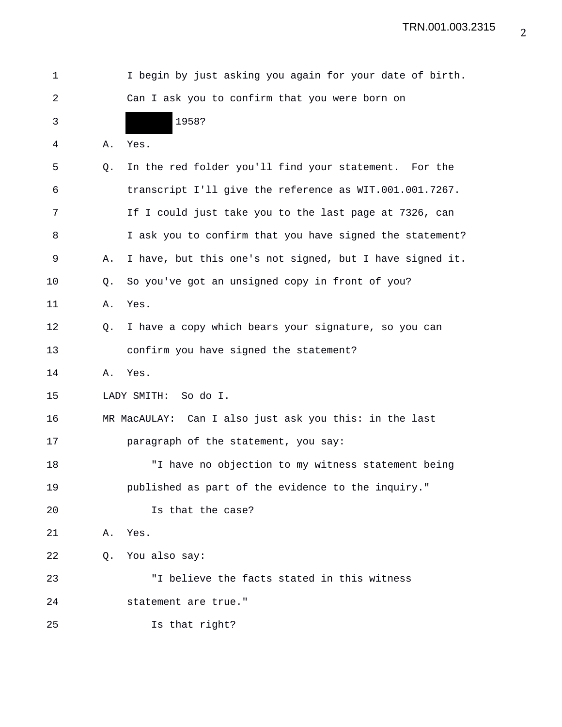| 1  |    | I begin by just asking you again for your date of birth. |
|----|----|----------------------------------------------------------|
| 2  |    | Can I ask you to confirm that you were born on           |
| 3  |    | 1958?                                                    |
| 4  | Α. | Yes.                                                     |
| 5  | Q. | In the red folder you'll find your statement. For the    |
| 6  |    | transcript I'll give the reference as WIT.001.001.7267.  |
| 7  |    | If I could just take you to the last page at 7326, can   |
| 8  |    | I ask you to confirm that you have signed the statement? |
| 9  | Α. | I have, but this one's not signed, but I have signed it. |
| 10 | Q. | So you've got an unsigned copy in front of you?          |
| 11 | Α. | Yes.                                                     |
| 12 | Q. | I have a copy which bears your signature, so you can     |
| 13 |    | confirm you have signed the statement?                   |
| 14 | Α. | Yes.                                                     |
| 15 |    | LADY SMITH:<br>So do I.                                  |
| 16 |    | MR MacAULAY: Can I also just ask you this: in the last   |
| 17 |    | paragraph of the statement, you say:                     |
| 18 |    | "I have no objection to my witness statement being       |
| 19 |    | published as part of the evidence to the inquiry."       |
| 20 |    | Is that the case?                                        |
| 21 | Α. | Yes.                                                     |
| 22 | Q. | You also say:                                            |
| 23 |    | "I believe the facts stated in this witness              |
| 24 |    | statement are true."                                     |
| 25 |    | Is that right?                                           |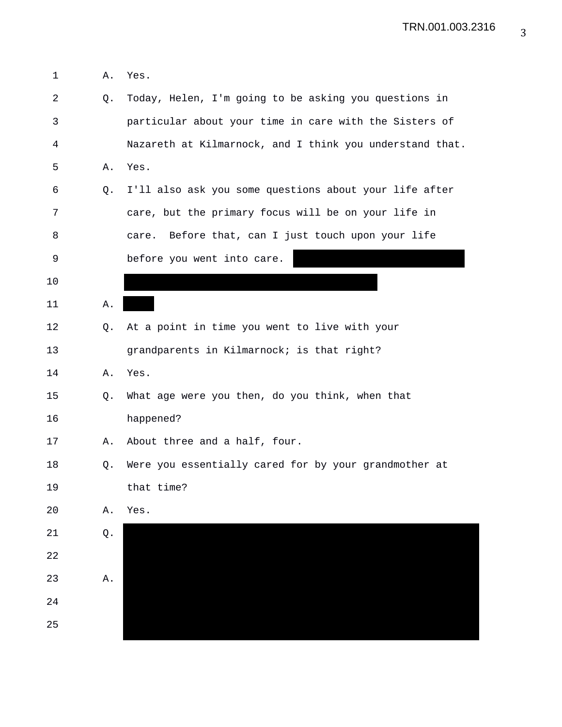| 1            | Α. | Yes.                                                     |
|--------------|----|----------------------------------------------------------|
| 2            | Q. | Today, Helen, I'm going to be asking you questions in    |
| $\mathsf{3}$ |    | particular about your time in care with the Sisters of   |
| 4            |    | Nazareth at Kilmarnock, and I think you understand that. |
| 5            | Α. | Yes.                                                     |
| 6            | Q. | I'll also ask you some questions about your life after   |
| 7            |    | care, but the primary focus will be on your life in      |
| 8            |    | Before that, can I just touch upon your life<br>care.    |
| $\mathsf 9$  |    | before you went into care.                               |
| 10           |    |                                                          |
| 11           | Α. |                                                          |
| 12           | Q. | At a point in time you went to live with your            |
| 13           |    | grandparents in Kilmarnock; is that right?               |
| 14           | Α. | Yes.                                                     |
| 15           | Q. | What age were you then, do you think, when that          |
| 16           |    | happened?                                                |
| 17           | Α. | About three and a half, four.                            |
| 18           | Q. | Were you essentially cared for by your grandmother at    |
| 19           |    | that time?                                               |
| 20           | Α. | Yes.                                                     |
| 21           | Q. |                                                          |
| 22           |    |                                                          |
| 23           | Α. |                                                          |
| 24           |    |                                                          |
| 25           |    |                                                          |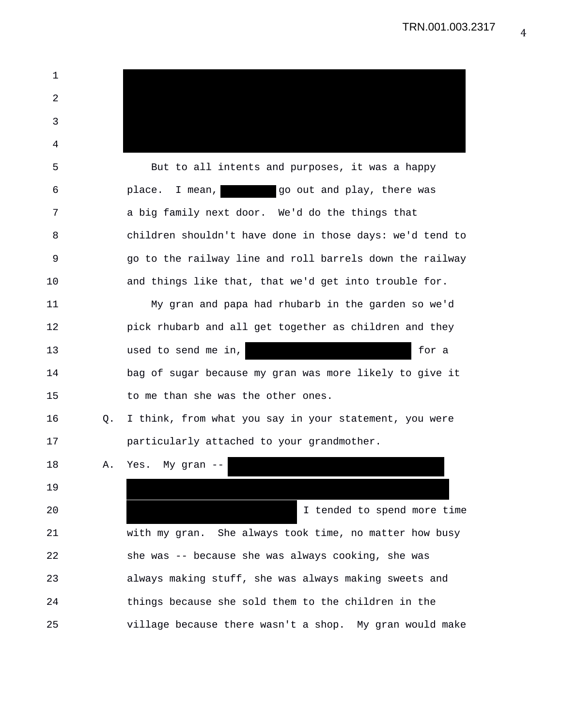| 1  |    |                                                          |
|----|----|----------------------------------------------------------|
| 2  |    |                                                          |
| 3  |    |                                                          |
| 4  |    |                                                          |
| 5  |    | But to all intents and purposes, it was a happy          |
| 6  |    | go out and play, there was<br>place.<br>I mean,          |
| 7  |    | a big family next door. We'd do the things that          |
| 8  |    | children shouldn't have done in those days: we'd tend to |
| 9  |    | go to the railway line and roll barrels down the railway |
| 10 |    | and things like that, that we'd get into trouble for.    |
| 11 |    | My gran and papa had rhubarb in the garden so we'd       |
| 12 |    | pick rhubarb and all get together as children and they   |
| 13 |    | used to send me in,<br>for a                             |
| 14 |    | bag of sugar because my gran was more likely to give it  |
| 15 |    | to me than she was the other ones.                       |
| 16 | Q. | I think, from what you say in your statement, you were   |
| 17 |    | particularly attached to your grandmother.               |
| 18 | Α. | Yes. My gran --                                          |
| 19 |    |                                                          |
| 20 |    | I tended to spend more time                              |
| 21 |    | with my gran. She always took time, no matter how busy   |
| 22 |    | she was -- because she was always cooking, she was       |
| 23 |    | always making stuff, she was always making sweets and    |
| 24 |    | things because she sold them to the children in the      |
| 25 |    | village because there wasn't a shop. My gran would make  |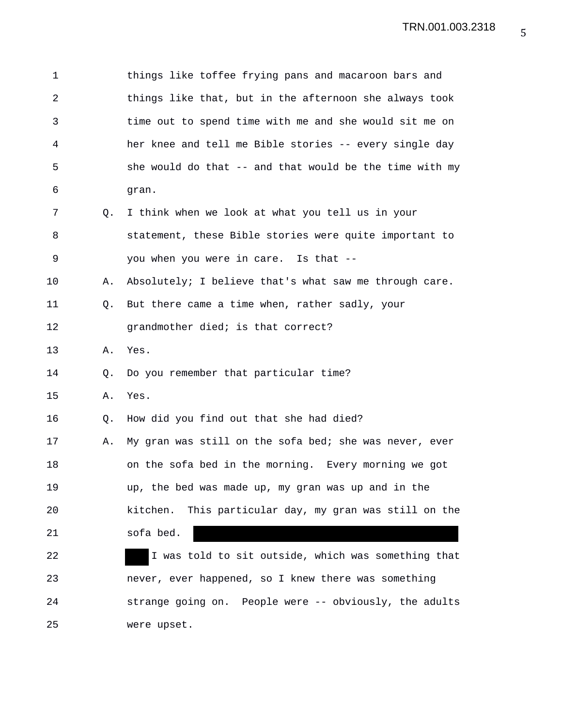| 1              |                | things like toffee frying pans and macaroon bars and    |
|----------------|----------------|---------------------------------------------------------|
| $\overline{2}$ |                | things like that, but in the afternoon she always took  |
| 3              |                | time out to spend time with me and she would sit me on  |
| 4              |                | her knee and tell me Bible stories -- every single day  |
| 5              |                | she would do that -- and that would be the time with my |
| 6              |                | gran.                                                   |
| 7              | Q.             | I think when we look at what you tell us in your        |
| 8              |                | statement, these Bible stories were quite important to  |
| 9              |                | you when you were in care. Is that --                   |
| 10             | Α.             | Absolutely; I believe that's what saw me through care.  |
| 11             | Q <sub>z</sub> | But there came a time when, rather sadly, your          |
| 12             |                | grandmother died; is that correct?                      |
| 13             | Α.             | Yes.                                                    |
| 14             | Q.             | Do you remember that particular time?                   |
| 15             | Α.             | Yes.                                                    |
| 16             | Q.             | How did you find out that she had died?                 |
| 17             | Α.             | My gran was still on the sofa bed; she was never, ever  |
| 18             |                | on the sofa bed in the morning. Every morning we got    |
| 19             |                | up, the bed was made up, my gran was up and in the      |
| 20             |                | kitchen. This particular day, my gran was still on the  |
| 21             |                | sofa bed.                                               |
| 22             |                | I was told to sit outside, which was something that     |
| 23             |                | never, ever happened, so I knew there was something     |
| 24             |                | strange going on. People were -- obviously, the adults  |
| 25             |                | were upset.                                             |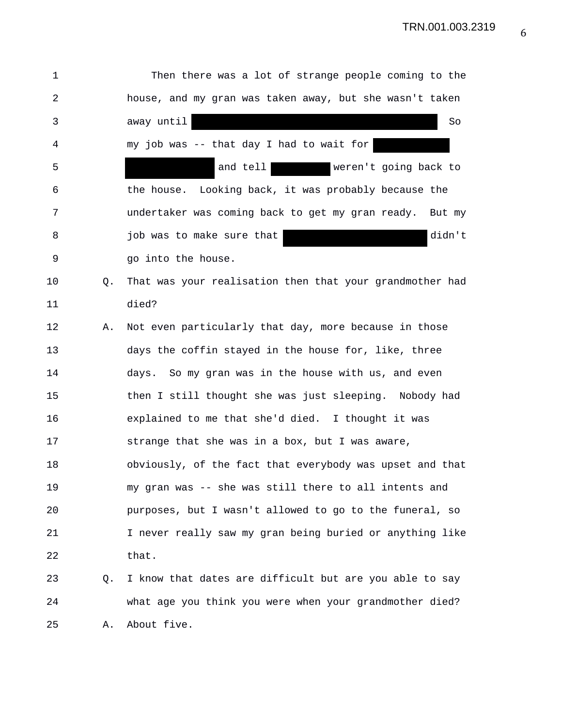| 1              |             | Then there was a lot of strange people coming to the     |
|----------------|-------------|----------------------------------------------------------|
| $\overline{a}$ |             | house, and my gran was taken away, but she wasn't taken  |
| 3              |             | away until<br>So                                         |
| 4              |             | my job was -- that day I had to wait for                 |
| 5              |             | and tell<br>weren't going back to                        |
| 6              |             | the house. Looking back, it was probably because the     |
| 7              |             | undertaker was coming back to get my gran ready. But my  |
| 8              |             | didn't<br>job was to make sure that                      |
| 9              |             | go into the house.                                       |
| 10             | Q.          | That was your realisation then that your grandmother had |
| 11             |             | died?                                                    |
| 12             | Α.          | Not even particularly that day, more because in those    |
| 13             |             | days the coffin stayed in the house for, like, three     |
| 14             |             | days. So my gran was in the house with us, and even      |
| 15             |             | then I still thought she was just sleeping. Nobody had   |
| 16             |             | explained to me that she'd died. I thought it was        |
| 17             |             | strange that she was in a box, but I was aware,          |
| 18             |             | obviously, of the fact that everybody was upset and that |
| 19             |             | my gran was -- she was still there to all intents and    |
| 20             |             | purposes, but I wasn't allowed to go to the funeral, so  |
| 21             |             | I never really saw my gran being buried or anything like |
| 22             |             | that.                                                    |
| 23             | $Q_{\star}$ | I know that dates are difficult but are you able to say  |
| 24             |             | what age you think you were when your grandmother died?  |
| 25             | Α.          | About five.                                              |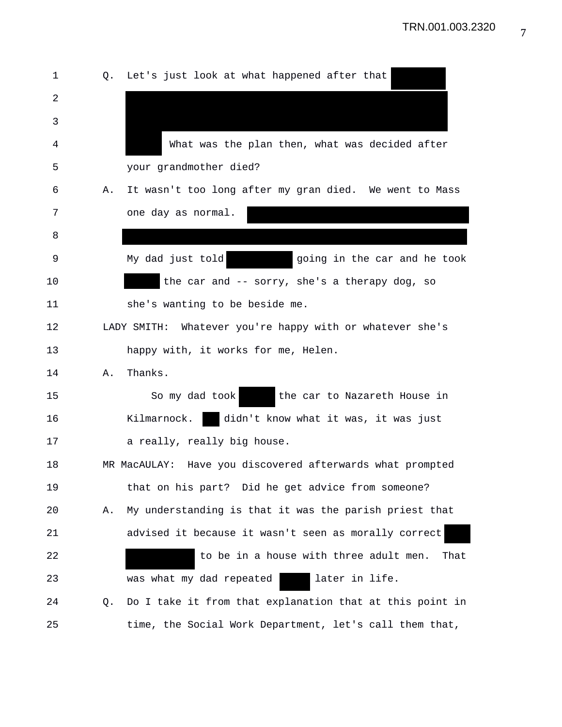| 1  | Q. | Let's just look at what happened after that               |
|----|----|-----------------------------------------------------------|
| 2  |    |                                                           |
| 3  |    |                                                           |
| 4  |    | What was the plan then, what was decided after            |
| 5  |    | your grandmother died?                                    |
| 6  | Α. | It wasn't too long after my gran died. We went to Mass    |
| 7  |    | one day as normal.                                        |
| 8  |    |                                                           |
| 9  |    | My dad just told<br>going in the car and he took          |
| 10 |    | the car and -- sorry, she's a therapy dog, so             |
| 11 |    | she's wanting to be beside me.                            |
| 12 |    | LADY SMITH: Whatever you're happy with or whatever she's  |
| 13 |    | happy with, it works for me, Helen.                       |
| 14 | Α. | Thanks.                                                   |
| 15 |    | So my dad took<br>the car to Nazareth House in            |
| 16 |    | didn't know what it was, it was just<br>Kilmarnock.       |
| 17 |    | a really, really big house.                               |
| 18 |    | MR MacAULAY: Have you discovered afterwards what prompted |
| 19 |    | that on his part? Did he get advice from someone?         |
| 20 | Α. | My understanding is that it was the parish priest that    |
| 21 |    | advised it because it wasn't seen as morally correct      |
| 22 |    | to be in a house with three adult men.<br>That            |
| 23 |    | later in life.<br>was what my dad repeated                |
| 24 | Q. | Do I take it from that explanation that at this point in  |
| 25 |    | time, the Social Work Department, let's call them that,   |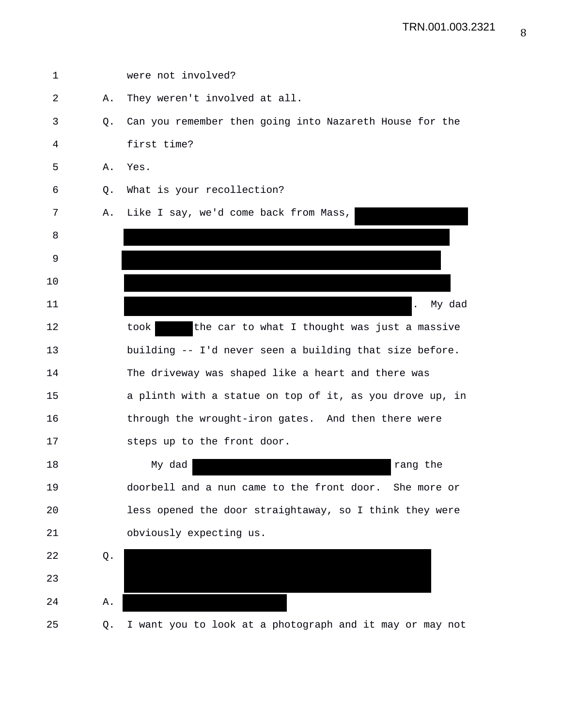| 1  |    | were not involved?                                       |
|----|----|----------------------------------------------------------|
| 2  | Α. | They weren't involved at all.                            |
| 3  | Q. | Can you remember then going into Nazareth House for the  |
| 4  |    | first time?                                              |
| 5  | Α. | Yes.                                                     |
| 6  | Q. | What is your recollection?                               |
| 7  | Α. | Like I say, we'd come back from Mass,                    |
| 8  |    |                                                          |
| 9  |    |                                                          |
| 10 |    |                                                          |
| 11 |    | My dad                                                   |
| 12 |    | the car to what I thought was just a massive<br>took     |
| 13 |    | building -- I'd never seen a building that size before.  |
| 14 |    | The driveway was shaped like a heart and there was       |
| 15 |    | a plinth with a statue on top of it, as you drove up, in |
| 16 |    | through the wrought-iron gates. And then there were      |
| 17 |    | steps up to the front door.                              |
| 18 |    | My dad<br>rang the                                       |
| 19 |    | doorbell and a nun came to the front door. She more or   |
| 20 |    | less opened the door straightaway, so I think they were  |
| 21 |    | obviously expecting us.                                  |
| 22 | Q. |                                                          |
| 23 |    |                                                          |
| 24 | Α. |                                                          |
| 25 | Q. | I want you to look at a photograph and it may or may not |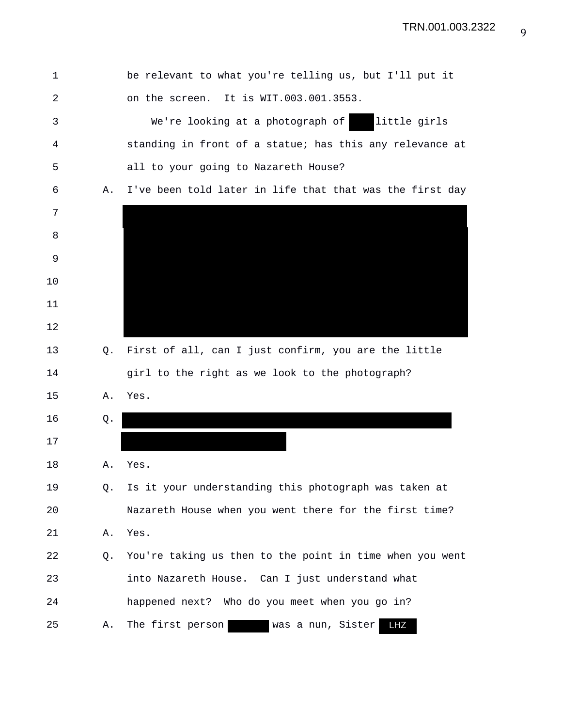1 be relevant to what you're telling us, but I'll put it 2 on the screen. It is WIT.003.001.3553. 3 We're looking at a photograph of little girls 4 standing in front of a statue; has this any relevance at 5 all to your going to Nazareth House? 6 A. I've been told later in life that that was the first day 7 8 9 10 11 12 13 Q. First of all, can I just confirm, you are the little 14 girl to the right as we look to the photograph? 15 A. Yes. 16 Q. 17 18 A. Yes. 19 Q. Is it your understanding this photograph was taken at 20 Nazareth House when you went there for the first time? 21 A. Yes. 22 Q. You're taking us then to the point in time when you went 23 into Nazareth House. Can I just understand what 24 happened next? Who do you meet when you go in? 25 A. The first person was a nun, Sister LHZ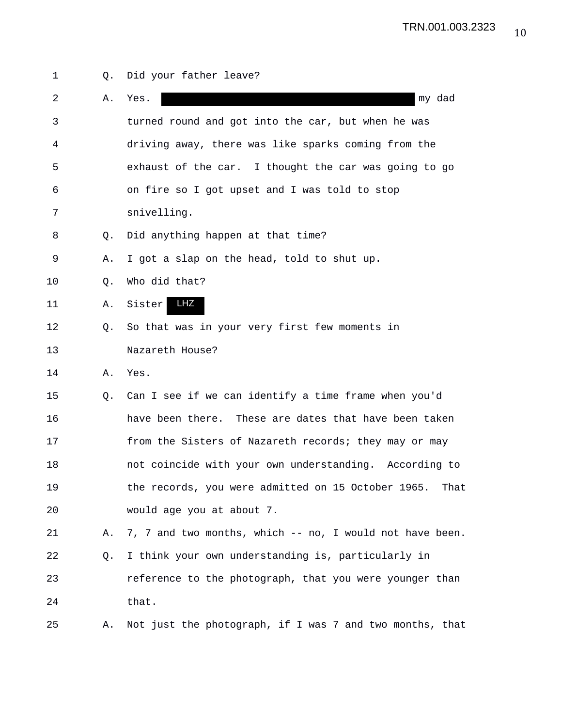1 Q. Did your father leave? 2 A. Yes. my dad 3 turned round and got into the car, but when he was 4 driving away, there was like sparks coming from the 5 exhaust of the car. I thought the car was going to go 6 on fire so I got upset and I was told to stop 7 snivelling. 8 Q. Did anything happen at that time? 9 A. I got a slap on the head, told to shut up. 10 Q. Who did that? 11 A. Sister LHZ12 Q. So that was in your very first few moments in 13 Nazareth House? 14 A. Yes. 15 Q. Can I see if we can identify a time frame when you'd 16 have been there. These are dates that have been taken 17 from the Sisters of Nazareth records; they may or may 18 not coincide with your own understanding. According to 19 the records, you were admitted on 15 October 1965. That 20 would age you at about 7. 21 A. 7, 7 and two months, which -- no, I would not have been. 22 Q. I think your own understanding is, particularly in 23 reference to the photograph, that you were younger than 24 that. 25 A. Not just the photograph, if I was 7 and two months, that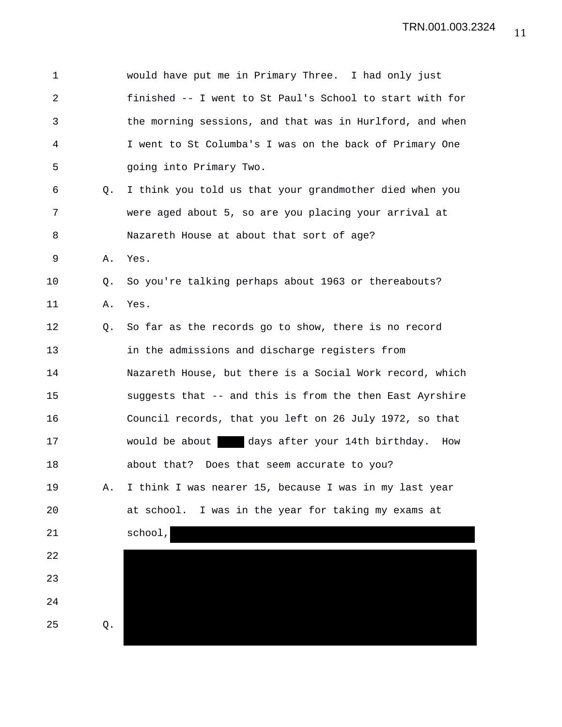| $\mathbf 1$ |    | would have put me in Primary Three. I had only just      |
|-------------|----|----------------------------------------------------------|
| 2           |    | finished -- I went to St Paul's School to start with for |
| 3           |    | the morning sessions, and that was in Hurlford, and when |
| 4           |    | I went to St Columba's I was on the back of Primary One  |
| 5           |    | going into Primary Two.                                  |
| 6           | Q. | I think you told us that your grandmother died when you  |
| 7           |    | were aged about 5, so are you placing your arrival at    |
| 8           |    | Nazareth House at about that sort of age?                |
| 9           | Α. | Yes.                                                     |
| 10          | Q. | So you're talking perhaps about 1963 or thereabouts?     |
| 11          | Α. | Yes.                                                     |
| 12          | Q. | So far as the records go to show, there is no record     |
| 13          |    | in the admissions and discharge registers from           |
| 14          |    | Nazareth House, but there is a Social Work record, which |
| 15          |    | suggests that -- and this is from the then East Ayrshire |
| 16          |    | Council records, that you left on 26 July 1972, so that  |
| 17          |    | would be about days after your 14th birthday. How        |
| 18          |    | about that? Does that seem accurate to you?              |
| 19          | Α. | I think I was nearer 15, because I was in my last year   |
| 20          |    | at school. I was in the year for taking my exams at      |
| 21          |    | school,                                                  |
| 22          |    |                                                          |
| 23          |    |                                                          |
| 24          |    |                                                          |
| 25          | Q. |                                                          |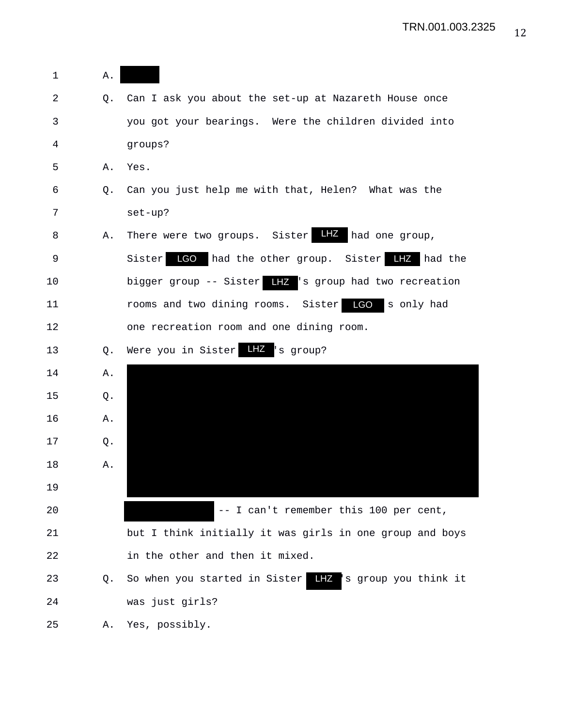| 1  | Α. |                                                                |
|----|----|----------------------------------------------------------------|
| 2  | Q. | Can I ask you about the set-up at Nazareth House once          |
| 3  |    | you got your bearings. Were the children divided into          |
| 4  |    | groups?                                                        |
| 5  | Α. | Yes.                                                           |
| 6  | Q. | Can you just help me with that, Helen? What was the            |
| 7  |    | set-up?                                                        |
| 8  | Α. | There were two groups. Sister LHZ had one group,               |
| 9  |    | had the other group. Sister LIZ had the<br>LGO<br>Sister       |
| 10 |    | bigger group -- Sister LHZ 's group had two recreation         |
| 11 |    | <b>LGO</b><br>rooms and two dining rooms. Sister<br>s only had |
| 12 |    | one recreation room and one dining room.                       |
| 13 | Q. | Were you in Sister LIZ 's group?                               |
| 14 | Α. |                                                                |
| 15 | Q. |                                                                |
| 16 | Α. |                                                                |
| 17 | Q. |                                                                |
| 18 | Α. |                                                                |
| 19 |    |                                                                |
| 20 |    | -- I can't remember this 100 per cent,                         |
| 21 |    | but I think initially it was girls in one group and boys       |
| 22 |    | in the other and then it mixed.                                |
| 23 | Q. | So when you started in Sister LHZ 's group you think it        |
| 24 |    | was just girls?                                                |
| 25 | Α. | Yes, possibly.                                                 |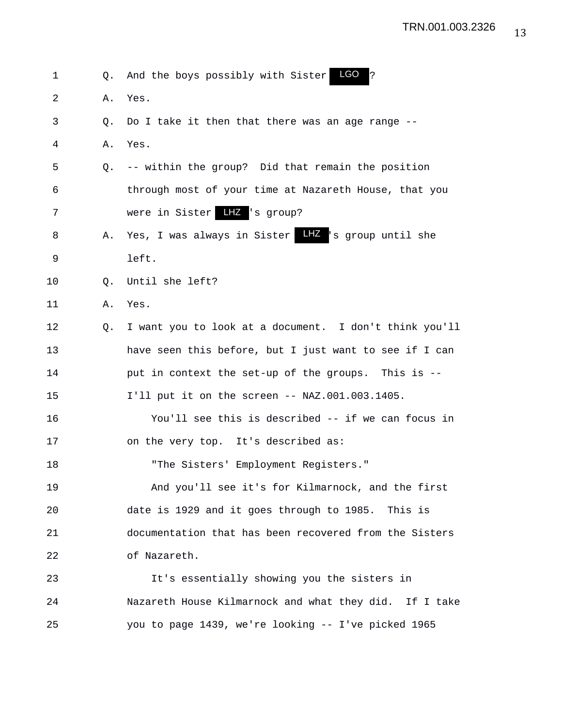| 1  | Q. | LGO<br>?<br>And the boys possibly with Sister          |
|----|----|--------------------------------------------------------|
| 2  | Α. | Yes.                                                   |
| 3  | O. | Do I take it then that there was an age range --       |
| 4  | Α. | Yes.                                                   |
| 5  | 0. | -- within the group? Did that remain the position      |
| 6  |    | through most of your time at Nazareth House, that you  |
| 7  |    | were in Sister LIZ 's group?                           |
| 8  | Α. | Yes, I was always in Sister LIZ 's group until she     |
| 9  |    | left.                                                  |
| 10 | Q. | Until she left?                                        |
| 11 | Α. | Yes.                                                   |
| 12 | Q. | I want you to look at a document. I don't think you'll |
| 13 |    | have seen this before, but I just want to see if I can |
| 14 |    | put in context the set-up of the groups. This is --    |
| 15 |    | I'll put it on the screen -- NAZ.001.003.1405.         |
| 16 |    | You'll see this is described -- if we can focus in     |
| 17 |    | on the very top. It's described as:                    |
| 18 |    | "The Sisters' Employment Registers."                   |
| 19 |    | And you'll see it's for Kilmarnock, and the first      |
| 20 |    | date is 1929 and it goes through to 1985. This is      |
| 21 |    | documentation that has been recovered from the Sisters |
| 22 |    | of Nazareth.                                           |
| 23 |    | It's essentially showing you the sisters in            |
| 24 |    | Nazareth House Kilmarnock and what they did. If I take |
| 25 |    | you to page 1439, we're looking -- I've picked 1965    |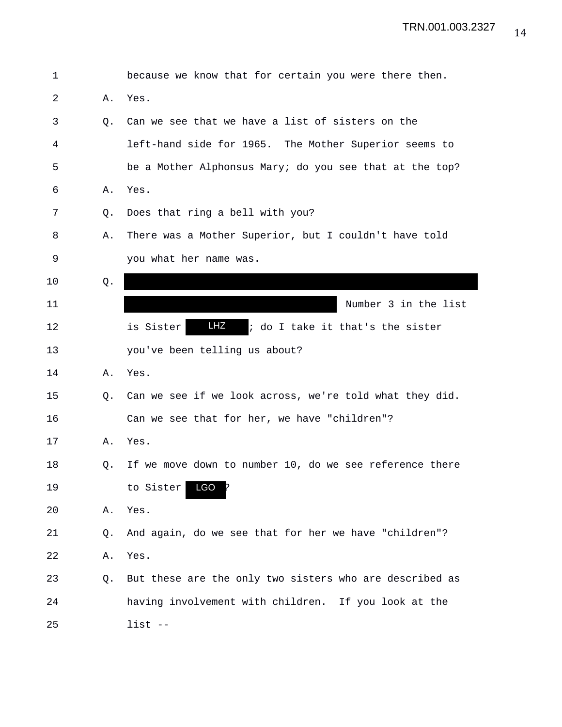| 1  |    | because we know that for certain you were there then.   |
|----|----|---------------------------------------------------------|
| 2  | Α. | Yes.                                                    |
| 3  | Q. | Can we see that we have a list of sisters on the        |
| 4  |    | left-hand side for 1965. The Mother Superior seems to   |
| 5  |    | be a Mother Alphonsus Mary; do you see that at the top? |
| 6  | Α. | Yes.                                                    |
| 7  | Q. | Does that ring a bell with you?                         |
| 8  | Α. | There was a Mother Superior, but I couldn't have told   |
| 9  |    | you what her name was.                                  |
| 10 | Q. |                                                         |
| 11 |    | Number 3 in the list                                    |
| 12 |    | LHZ<br>; do I take it that's the sister<br>is Sister    |
| 13 |    | you've been telling us about?                           |
| 14 | Α. | Yes.                                                    |
| 15 | Q. | Can we see if we look across, we're told what they did. |
| 16 |    | Can we see that for her, we have "children"?            |
| 17 | Α. | Yes.                                                    |
| 18 | Q. | If we move down to number 10, do we see reference there |
| 19 |    | LGO ?<br>to Sister                                      |
| 20 | Α. | Yes.                                                    |
| 21 | Q. | And again, do we see that for her we have "children"?   |
| 22 | Α. | Yes.                                                    |
| 23 | Q. | But these are the only two sisters who are described as |
| 24 |    | having involvement with children. If you look at the    |
| 25 |    | $list$ --                                               |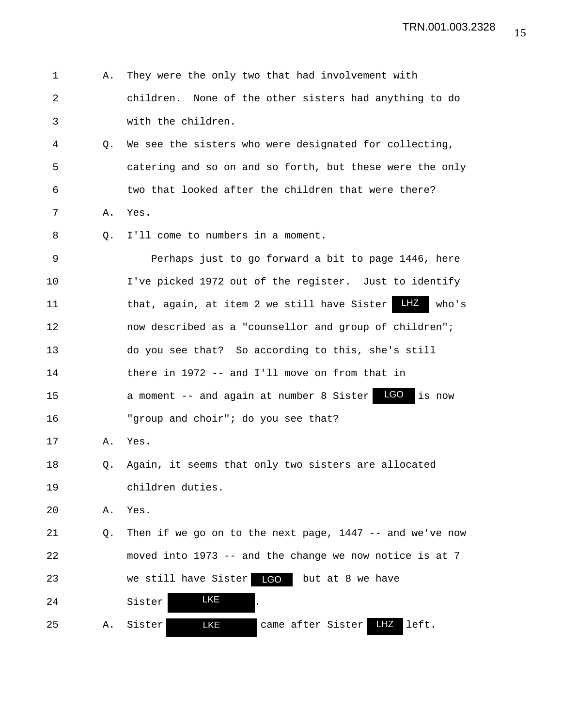| $\mathbf 1$    | Α. | They were the only two that had involvement with            |
|----------------|----|-------------------------------------------------------------|
| $\overline{2}$ |    | None of the other sisters had anything to do<br>children.   |
| 3              |    | with the children.                                          |
| 4              | Q. | We see the sisters who were designated for collecting,      |
| 5              |    | catering and so on and so forth, but these were the only    |
| 6              |    | two that looked after the children that were there?         |
| 7              | Α. | Yes.                                                        |
| 8              | Q. | I'll come to numbers in a moment.                           |
| 9              |    | Perhaps just to go forward a bit to page 1446, here         |
| 10             |    | I've picked 1972 out of the register. Just to identify      |
| 11             |    | LHZ<br>that, again, at item 2 we still have Sister<br>who's |
| 12             |    | now described as a "counsellor and group of children";      |
| 13             |    | do you see that? So according to this, she's still          |
| 14             |    | there in 1972 -- and I'll move on from that in              |
| 15             |    | a moment -- and again at number 8 Sister LGO<br>is now      |
| 16             |    | "group and choir"; do you see that?                         |
| 17             | Α. | Yes.                                                        |
| 18             | Q. | Again, it seems that only two sisters are allocated         |
| 19             |    | children duties.                                            |
| 20             | Α. | Yes.                                                        |
| 21             | Q. | Then if we go on to the next page, $1447 - -$ and we've now |
| 22             |    | moved into 1973 -- and the change we now notice is at 7     |
| 23             |    | LGO<br>we still have Sister<br>but at 8 we have             |
| 24             |    | <b>LKE</b><br>Sister                                        |
| 25             | Α. | <b>LKE</b><br>came after Sister<br>LHZ<br>left.<br>Sister   |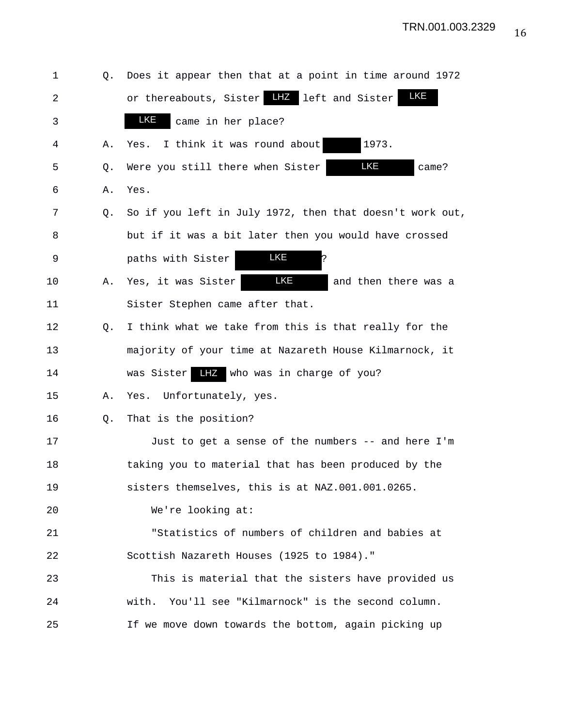| 1       | Q. | Does it appear then that at a point in time around 1972  |
|---------|----|----------------------------------------------------------|
| 2       |    | <u>LKE</u><br>or thereabouts, Sister LHZ left and Sister |
| 3       |    | LKE<br>came in her place?                                |
| 4       | Α. | I think it was round about<br>1973.<br>Yes.              |
| 5       | Q. | LKE<br>Were you still there when Sister<br>came?         |
| 6       | Α. | Yes.                                                     |
| 7       | Q. | So if you left in July 1972, then that doesn't work out, |
| 8       |    | but if it was a bit later then you would have crossed    |
| 9       |    | LKE<br>þ.<br>paths with Sister                           |
| $10 \,$ | Α. | LKE<br>Yes, it was Sister<br>and then there was a        |
| 11      |    | Sister Stephen came after that.                          |
| 12      | Q. | I think what we take from this is that really for the    |
| 13      |    | majority of your time at Nazareth House Kilmarnock, it   |
| 14      |    | LHZ who was in charge of you?<br>was Sister              |
| 15      | Α. | Yes. Unfortunately, yes.                                 |
| 16      | Q. | That is the position?                                    |
| 17      |    | Just to get a sense of the numbers -- and here I'm       |
| 18      |    | taking you to material that has been produced by the     |
| 19      |    | sisters themselves, this is at NAZ.001.001.0265.         |
| 20      |    | We're looking at:                                        |
| 21      |    | "Statistics of numbers of children and babies at         |
| 22      |    | Scottish Nazareth Houses (1925 to 1984)."                |
| 23      |    | This is material that the sisters have provided us       |
| 24      |    | You'll see "Kilmarnock" is the second column.<br>with.   |
| 25      |    | If we move down towards the bottom, again picking up     |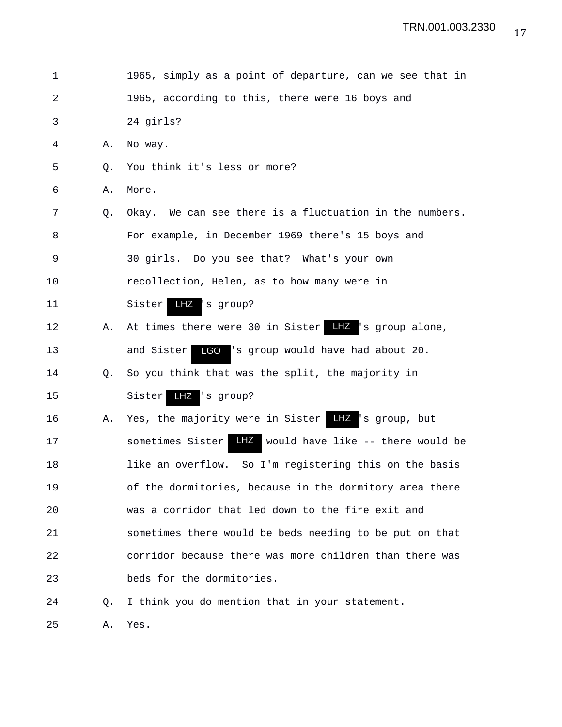| 1              |    | 1965, simply as a point of departure, can we see that in  |
|----------------|----|-----------------------------------------------------------|
| $\overline{a}$ |    | 1965, according to this, there were 16 boys and           |
| 3              |    | 24 girls?                                                 |
| 4              | Α. | No way.                                                   |
| 5              | Q. | You think it's less or more?                              |
| 6              | Α. | More.                                                     |
| 7              | Q. | Okay. We can see there is a fluctuation in the numbers.   |
| 8              |    | For example, in December 1969 there's 15 boys and         |
| 9              |    | 30 girls. Do you see that? What's your own                |
| 10             |    | recollection, Helen, as to how many were in               |
| 11             |    | $LZ$ 's group?<br>Sister                                  |
| 12             | Α. |                                                           |
| 13             |    | LGO 's group would have had about 20.<br>and Sister       |
| 14             | Q. | So you think that was the split, the majority in          |
| 15             |    | LHZ 's group?<br>Sister                                   |
| 16             | А. | Yes, the majority were in Sister Hiz 's group, but        |
| 17             |    | LHZ would have like -- there would be<br>sometimes Sister |
| 18             |    | like an overflow. So I'm registering this on the basis    |
| 19             |    | of the dormitories, because in the dormitory area there   |
| 20             |    | was a corridor that led down to the fire exit and         |
| 21             |    | sometimes there would be beds needing to be put on that   |
| 22             |    | corridor because there was more children than there was   |
| 23             |    | beds for the dormitories.                                 |
| 24             | О. | I think you do mention that in your statement.            |
|                |    |                                                           |

25 A. Yes.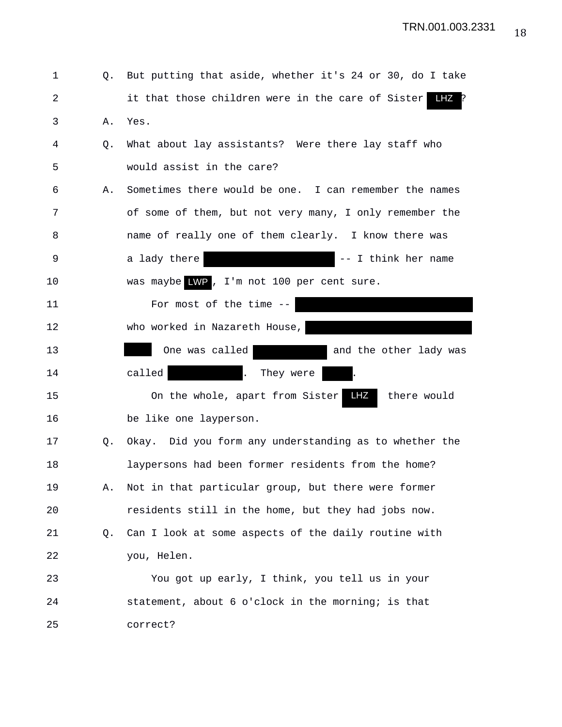| 1           |    | Q. But putting that aside, whether it's 24 or 30, do I take |
|-------------|----|-------------------------------------------------------------|
| 2           |    | it that those children were in the care of Sister<br>LHZ    |
| 3           | Α. | Yes.                                                        |
| 4           | Q. | What about lay assistants? Were there lay staff who         |
| 5           |    | would assist in the care?                                   |
| 6           | Α. | Sometimes there would be one. I can remember the names      |
| 7           |    | of some of them, but not very many, I only remember the     |
| 8           |    | name of really one of them clearly. I know there was        |
| $\mathsf 9$ |    | -- I think her name<br>a lady there                         |
| 10          |    | was maybe LWP, I'm not 100 per cent sure.                   |
| 11          |    | For most of the time $--$                                   |
| 12          |    | who worked in Nazareth House,                               |
| 13          |    | One was called<br>and the other lady was                    |
| 14          |    | called<br>$\mathbf{L}$<br>They were                         |
| 15          |    | LHZ<br>there would<br>On the whole, apart from Sister       |
| 16          |    | be like one layperson.                                      |
| 17          | Q. | Okay. Did you form any understanding as to whether the      |
| 18          |    | laypersons had been former residents from the home?         |
| 19          | Α. | Not in that particular group, but there were former         |
| 20          |    | residents still in the home, but they had jobs now.         |
| 21          | Q. | Can I look at some aspects of the daily routine with        |
| 22          |    | you, Helen.                                                 |
| 23          |    | You got up early, I think, you tell us in your              |
| 24          |    | statement, about 6 o'clock in the morning; is that          |
| 25          |    | correct?                                                    |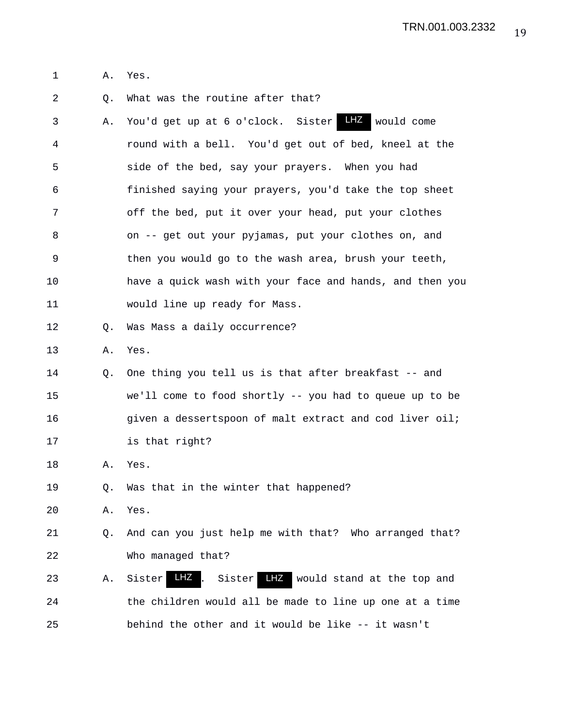1 A. Yes.

2 Q. What was the routine after that?

3 A. You'd get up at 6 o'clock. Sister LHZ would come 4 round with a bell. You'd get out of bed, kneel at the 5 side of the bed, say your prayers. When you had 6 finished saying your prayers, you'd take the top sheet 7 off the bed, put it over your head, put your clothes 8 on -- get out your pyjamas, put your clothes on, and 9 then you would go to the wash area, brush your teeth, 10 have a quick wash with your face and hands, and then you 11 would line up ready for Mass. 12 Q. Was Mass a daily occurrence? 13 A. Yes. 14 Q. One thing you tell us is that after breakfast -- and 15 we'll come to food shortly -- you had to queue up to be 16 **given a dessertspoon of malt extract and cod liver oil;** 17 is that right? 18 A. Yes. 19 Q. Was that in the winter that happened? 20 A. Yes. 21 Q. And can you just help me with that? Who arranged that? 22 Who managed that? 23 A. Sister LHZ. Sister LHZ would stand at the top and 24 the children would all be made to line up one at a time 25 behind the other and it would be like -- it wasn't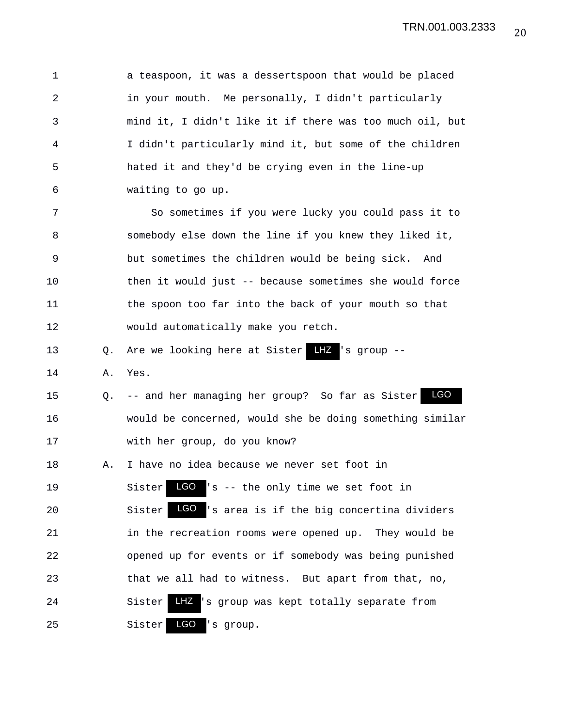1 a teaspoon, it was a dessertspoon that would be placed 2 in your mouth. Me personally, I didn't particularly 3 mind it, I didn't like it if there was too much oil, but 4 I didn't particularly mind it, but some of the children 5 hated it and they'd be crying even in the line-up 6 waiting to go up. 7 So sometimes if you were lucky you could pass it to 8 somebody else down the line if you knew they liked it, 9 but sometimes the children would be being sick. And 10 then it would just -- because sometimes she would force 11 the spoon too far into the back of your mouth so that 12 would automatically make you retch. 13 Q. Are we looking here at Sister 14 A. Yes. 15 Q. -- and her managing her group? So far as Sister 16 would be concerned, would she be doing something similar 17 with her group, do you know? 18 A. I have no idea because we never set foot in 19 Sister LGO 's -- the only time we set foot in 20 Sister LGO 's area is if the big concertina dividers 21 in the recreation rooms were opened up. They would be 22 opened up for events or if somebody was being punished 23 that we all had to witness. But apart from that, no, 24 Sister  $\frac{1}{2}$  Is group was kept totally separate from LGO  $LHZ$  's group --LGO LHZ

25 Sister LGO 's group.

LGO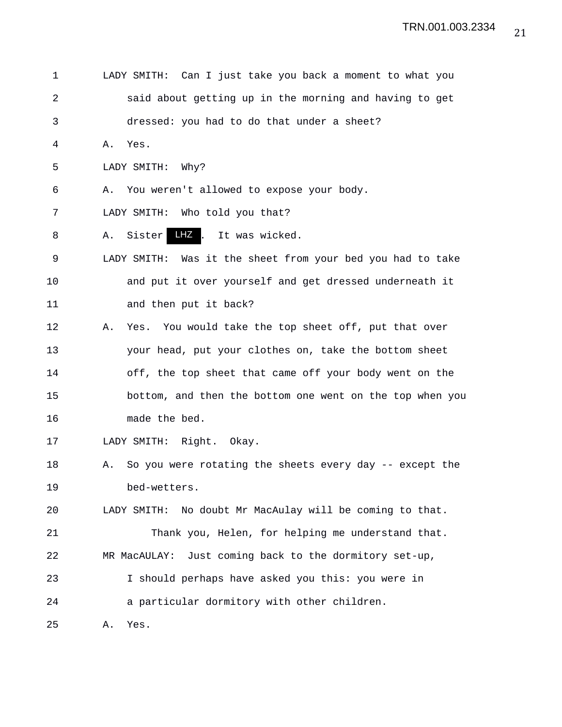| 1  | LADY SMITH: Can I just take you back a moment to what you     |
|----|---------------------------------------------------------------|
| 2  | said about getting up in the morning and having to get        |
| 3  | dressed: you had to do that under a sheet?                    |
| 4  | Yes.<br>Α.                                                    |
| 5  | LADY SMITH: Why?                                              |
| 6  | You weren't allowed to expose your body.<br>Α.                |
| 7  | LADY SMITH: Who told you that?                                |
| 8  | LHZ,<br>Sister<br>It was wicked.<br>Α.                        |
| 9  | LADY SMITH: Was it the sheet from your bed you had to take    |
| 10 | and put it over yourself and get dressed underneath it        |
| 11 | and then put it back?                                         |
| 12 | Yes. You would take the top sheet off, put that over<br>Α.    |
| 13 | your head, put your clothes on, take the bottom sheet         |
| 14 | off, the top sheet that came off your body went on the        |
| 15 | bottom, and then the bottom one went on the top when you      |
| 16 | made the bed.                                                 |
| 17 | LADY SMITH: Right. Okay.                                      |
| 18 | So you were rotating the sheets every day -- except the<br>Α. |
| 19 | bed-wetters.                                                  |
| 20 | No doubt Mr MacAulay will be coming to that.<br>LADY SMITH:   |
| 21 | Thank you, Helen, for helping me understand that.             |
| 22 | Just coming back to the dormitory set-up,<br>MR MacAULAY:     |
| 23 | I should perhaps have asked you this: you were in             |
| 24 | a particular dormitory with other children.                   |
| 25 | Yes.<br>Α.                                                    |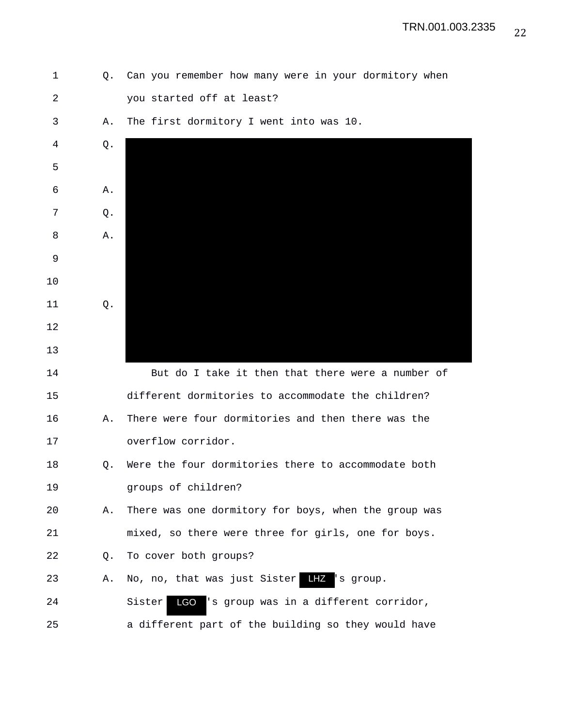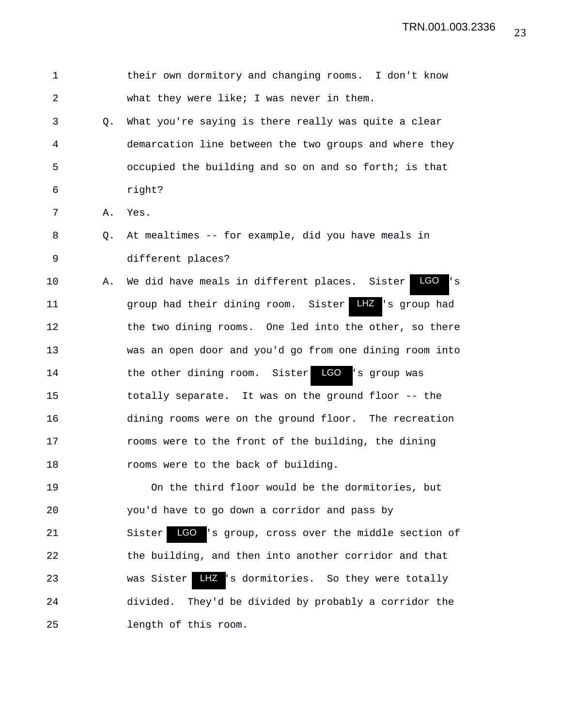1 their own dormitory and changing rooms. I don't know 2 what they were like; I was never in them. 3 Q. What you're saying is there really was quite a clear 4 demarcation line between the two groups and where they 5 occupied the building and so on and so forth; is that 6 right? 7 A. Yes. 8 Q. At mealtimes -- for example, did you have meals in 9 different places? 10 A. We did have meals in different places. Sister LGO 's 11 group had their dining room. Sister 's group had LHZ 12 the two dining rooms. One led into the other, so there 13 was an open door and you'd go from one dining room into 14 the other dining room. Sister 15 totally separate. It was on the ground floor -- the 16 dining rooms were on the ground floor. The recreation 17 rooms were to the front of the building, the dining 18 rooms were to the back of building. 19 On the third floor would be the dormitories, but 20 you'd have to go down a corridor and pass by 21 Sister LGO 's group, cross over the middle section of 22 the building, and then into another corridor and that 23 was Sister LHZ 's dormitories. So they were totally 24 divided. They'd be divided by probably a corridor the 25 length of this room. LGO LGO 's group was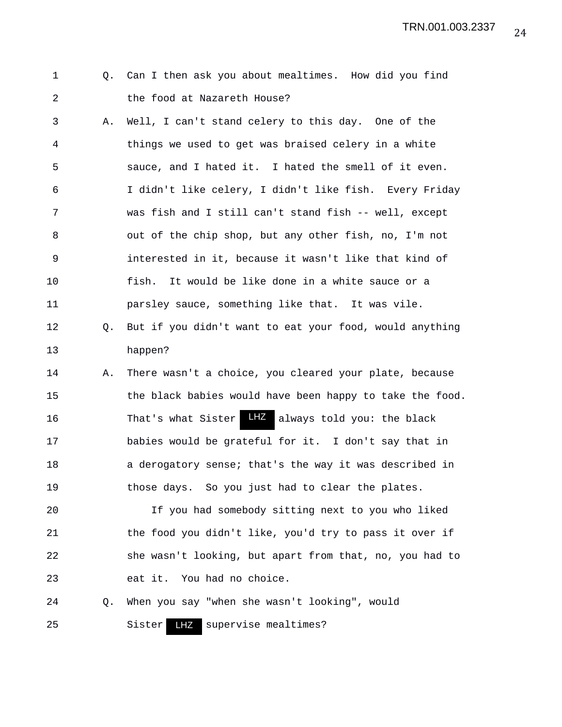24 TRN.001.003.2337

|  |  |  |                             | Q. Can I then ask you about mealtimes. How did you find |  |  |
|--|--|--|-----------------------------|---------------------------------------------------------|--|--|
|  |  |  | the food at Nazareth House? |                                                         |  |  |

3 A. Well, I can't stand celery to this day. One of the 4 things we used to get was braised celery in a white 5 sauce, and I hated it. I hated the smell of it even. 6 I didn't like celery, I didn't like fish. Every Friday 7 was fish and I still can't stand fish -- well, except 8 out of the chip shop, but any other fish, no, I'm not 9 interested in it, because it wasn't like that kind of 10 fish. It would be like done in a white sauce or a 11 parsley sauce, something like that. It was vile.

- 12 Q. But if you didn't want to eat your food, would anything 13 happen?
- 14 A. There wasn't a choice, you cleared your plate, because 15 the black babies would have been happy to take the food. 16 That's what Sister LHZ always told you: the black 17 babies would be grateful for it. I don't say that in 18 a derogatory sense; that's the way it was described in 19 those days. So you just had to clear the plates.

20 If you had somebody sitting next to you who liked 21 the food you didn't like, you'd try to pass it over if 22 she wasn't looking, but apart from that, no, you had to 23 eat it. You had no choice.

24 Q. When you say "when she wasn't looking", would

25 Sister LHZ supervise mealtimes?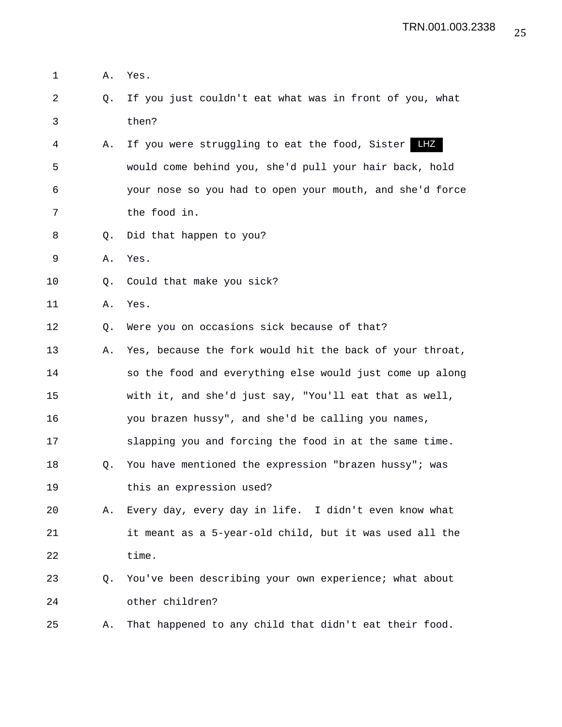- 1 A. Yes.
- 2 Q. If you just couldn't eat what was in front of you, what 3 then?
- 4 A. If you were struggling to eat the food, Sister LHZ 5 would come behind you, she'd pull your hair back, hold 6 your nose so you had to open your mouth, and she'd force 7 the food in.
- 8 Q. Did that happen to you?
- 9 A. Yes.
- 10 Q. Could that make you sick?
- 11 A. Yes.
- 12 Q. Were you on occasions sick because of that?
- 13 A. Yes, because the fork would hit the back of your throat, 14 so the food and everything else would just come up along 15 with it, and she'd just say, "You'll eat that as well, 16 you brazen hussy", and she'd be calling you names, 17 slapping you and forcing the food in at the same time.
- 18 Q. You have mentioned the expression "brazen hussy"; was 19 this an expression used?
- 20 A. Every day, every day in life. I didn't even know what 21 it meant as a 5-year-old child, but it was used all the 22 time.
- 23 Q. You've been describing your own experience; what about 24 other children?
- 25 A. That happened to any child that didn't eat their food.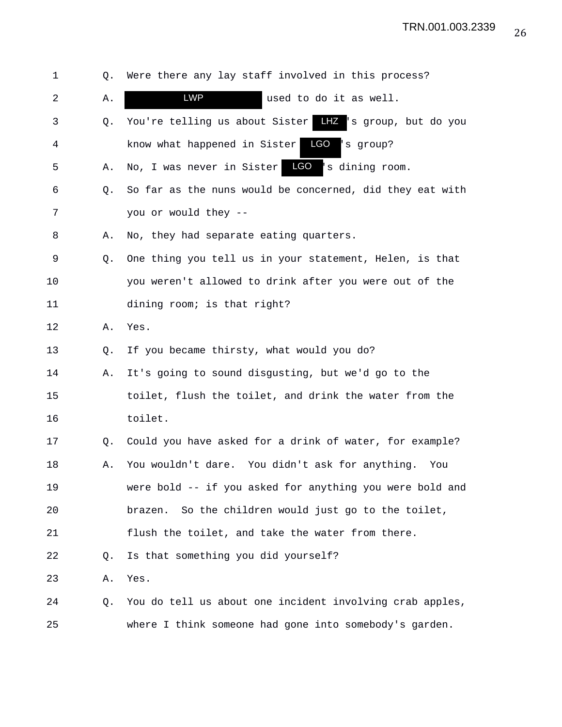| 1  | Q.          | Were there any lay staff involved in this process?         |
|----|-------------|------------------------------------------------------------|
| 2  | Α.          | <b>LWP</b><br>used to do it as well.                       |
| 3  | Q.          | LHZ 's group, but do you<br>You're telling us about Sister |
| 4  |             | LGO<br>know what happened in Sister<br>'s group?           |
| 5  | Α.          | No, I was never in Sister LCO 's dining room.              |
| 6  | Q.          | So far as the nuns would be concerned, did they eat with   |
| 7  |             | you or would they --                                       |
| 8  | Α.          | No, they had separate eating quarters.                     |
| 9  | Q.          | One thing you tell us in your statement, Helen, is that    |
| 10 |             | you weren't allowed to drink after you were out of the     |
| 11 |             | dining room; is that right?                                |
| 12 | Α.          | Yes.                                                       |
| 13 | Q.          | If you became thirsty, what would you do?                  |
| 14 | Α.          | It's going to sound disgusting, but we'd go to the         |
| 15 |             | toilet, flush the toilet, and drink the water from the     |
| 16 |             | toilet.                                                    |
| 17 | Q.          | Could you have asked for a drink of water, for example?    |
| 18 | Α.          | You wouldn't dare. You didn't ask for anything.<br>You     |
| 19 |             | were bold -- if you asked for anything you were bold and   |
| 20 |             | So the children would just go to the toilet,<br>brazen.    |
| 21 |             | flush the toilet, and take the water from there.           |
| 22 | $Q_{\star}$ | Is that something you did yourself?                        |
| 23 | Α.          | Yes.                                                       |
| 24 | Q.          | You do tell us about one incident involving crab apples,   |
| 25 |             | where I think someone had gone into somebody's garden.     |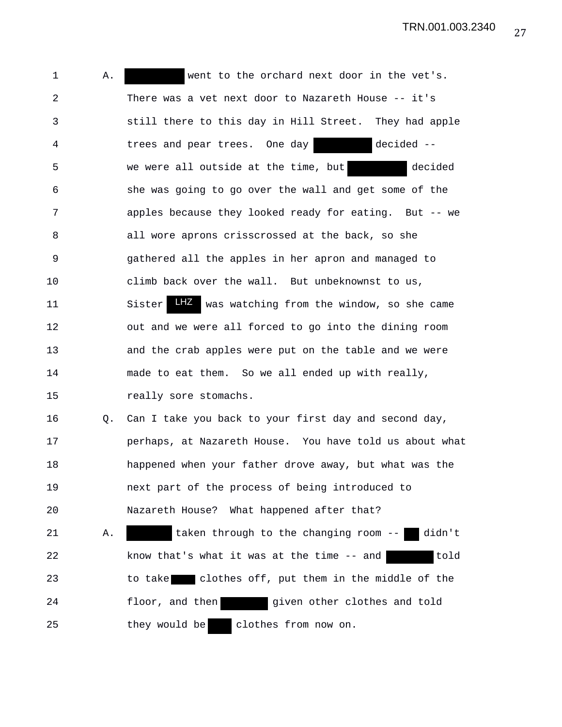TRN.001.003.2340

1 A. went to the orchard next door in the vet's. 2 There was a vet next door to Nazareth House -- it's 3 still there to this day in Hill Street. They had apple 4 trees and pear trees. One day decided -- 5 we were all outside at the time, but decided 6 she was going to go over the wall and get some of the 7 apples because they looked ready for eating. But -- we 8 all wore aprons crisscrossed at the back, so she 9 gathered all the apples in her apron and managed to 10 climb back over the wall. But unbeknownst to us, 11 Sister LHZ was watching from the window, so she came 12 out and we were all forced to go into the dining room 13 and the crab apples were put on the table and we were 14 made to eat them. So we all ended up with really, 15 really sore stomachs. 16 Q. Can I take you back to your first day and second day, 17 perhaps, at Nazareth House. You have told us about what 18 happened when your father drove away, but what was the 19 next part of the process of being introduced to 20 Nazareth House? What happened after that? 21 A. taken through to the changing room -- didn't 22 know that's what it was at the time -- and told 23 to take clothes off, put them in the middle of the 24 floor, and then given other clothes and told 25 they would be clothes from now on.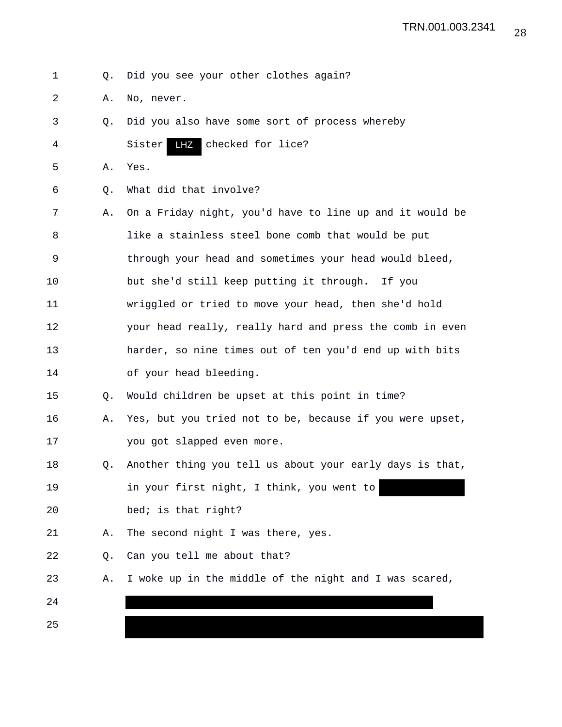- 1 Q. Did you see your other clothes again?
- 2 A. No, never.
- 3 Q. Did you also have some sort of process whereby 4 Sister LHZ checked for lice?
- 5 A. Yes.
- 6 Q. What did that involve?
- 7 A. On a Friday night, you'd have to line up and it would be 8 like a stainless steel bone comb that would be put 9 through your head and sometimes your head would bleed, 10 but she'd still keep putting it through. If you 11 wriggled or tried to move your head, then she'd hold 12 your head really, really hard and press the comb in even 13 harder, so nine times out of ten you'd end up with bits 14 of your head bleeding.
- 15 Q. Would children be upset at this point in time?
- 16 A. Yes, but you tried not to be, because if you were upset, 17 you got slapped even more.
- 18 Q. Another thing you tell us about your early days is that, 19 in your first night, I think, you went to 20 bed; is that right?
- 21 A. The second night I was there, yes.
- 22 Q. Can you tell me about that?
- 23 A. I woke up in the middle of the night and I was scared,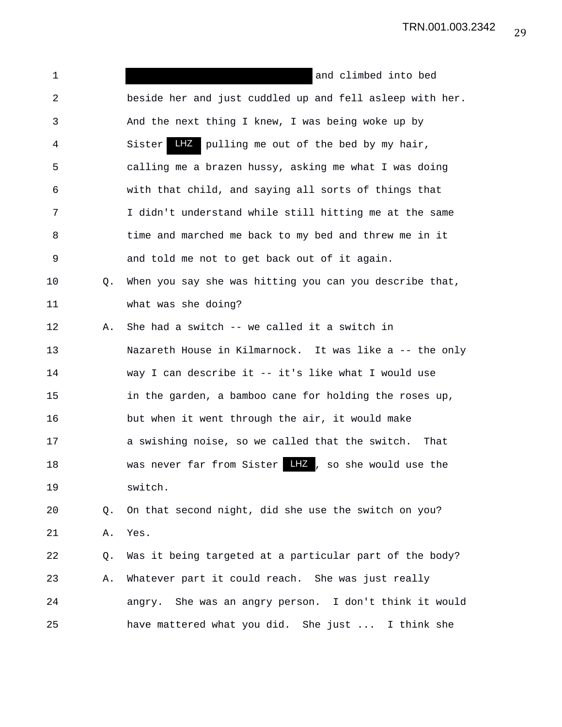| 1  |    | and climbed into bed                                       |
|----|----|------------------------------------------------------------|
| 2  |    | beside her and just cuddled up and fell asleep with her.   |
| 3  |    | And the next thing I knew, I was being woke up by          |
| 4  |    | <b>LHZ</b> pulling me out of the bed by my hair,<br>Sister |
| 5  |    | calling me a brazen hussy, asking me what I was doing      |
| 6  |    | with that child, and saying all sorts of things that       |
| 7  |    | I didn't understand while still hitting me at the same     |
| 8  |    | time and marched me back to my bed and threw me in it      |
| 9  |    | and told me not to get back out of it again.               |
| 10 | Q. | When you say she was hitting you can you describe that,    |
| 11 |    | what was she doing?                                        |
| 12 | Α. | She had a switch -- we called it a switch in               |
| 13 |    | Nazareth House in Kilmarnock. It was like a -- the only    |
| 14 |    | way I can describe it -- it's like what I would use        |
| 15 |    | in the garden, a bamboo cane for holding the roses up,     |
| 16 |    | but when it went through the air, it would make            |
| 17 |    | a swishing noise, so we called that the switch.<br>That    |
| 18 |    | was never far from Sister LHZ, so she would use the        |
| 19 |    | switch.                                                    |
| 20 | Q. | On that second night, did she use the switch on you?       |
| 21 | Α. | Yes.                                                       |
| 22 | Q. | Was it being targeted at a particular part of the body?    |
| 23 | Α. | Whatever part it could reach. She was just really          |
| 24 |    | angry. She was an angry person. I don't think it would     |
| 25 |    | have mattered what you did. She just  I think she          |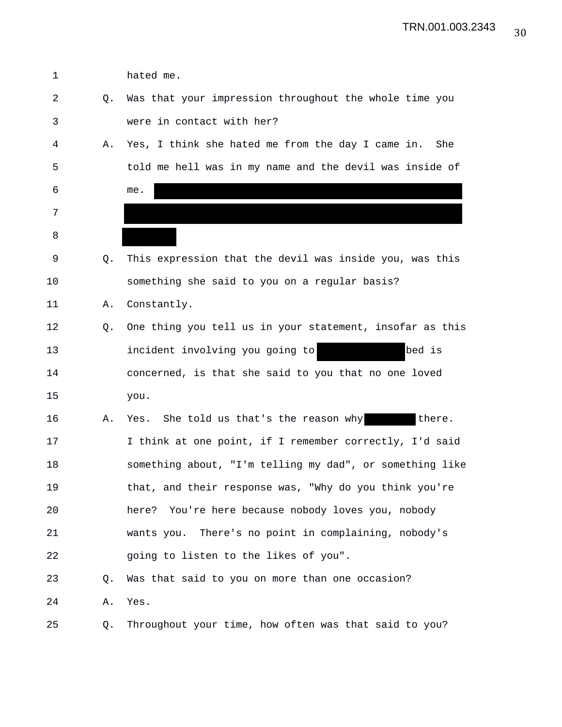| 1  |    | hated me.                                                |
|----|----|----------------------------------------------------------|
| 2  | Q. | Was that your impression throughout the whole time you   |
| 3  |    | were in contact with her?                                |
| 4  | Α. | Yes, I think she hated me from the day I came in.<br>She |
| 5  |    | told me hell was in my name and the devil was inside of  |
| 6  |    | me.                                                      |
| 7  |    |                                                          |
| 8  |    |                                                          |
| 9  | Q. | This expression that the devil was inside you, was this  |
| 10 |    | something she said to you on a regular basis?            |
| 11 | Α. | Constantly.                                              |
| 12 | Q. | One thing you tell us in your statement, insofar as this |
| 13 |    | bed is<br>incident involving you going to                |
| 14 |    | concerned, is that she said to you that no one loved     |
| 15 |    | you.                                                     |
| 16 | Α. | Yes. She told us that's the reason why<br>there.         |
| 17 |    | I think at one point, if I remember correctly, I'd said  |
| 18 |    | something about, "I'm telling my dad", or something like |
| 19 |    | that, and their response was, "Why do you think you're   |
| 20 |    | You're here because nobody loves you, nobody<br>here?    |
| 21 |    | wants you. There's no point in complaining, nobody's     |
| 22 |    | going to listen to the likes of you".                    |
| 23 | O. | Was that said to you on more than one occasion?          |
| 24 | Α. | Yes.                                                     |
| 25 | Q. | Throughout your time, how often was that said to you?    |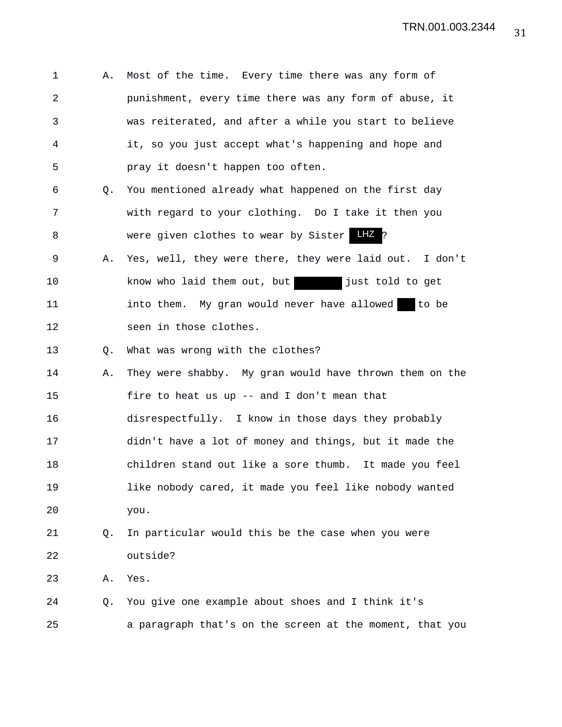| 1  | Α. | Most of the time. Every time there was any form of       |
|----|----|----------------------------------------------------------|
| 2  |    | punishment, every time there was any form of abuse, it   |
| 3  |    | was reiterated, and after a while you start to believe   |
| 4  |    | it, so you just accept what's happening and hope and     |
| 5  |    | pray it doesn't happen too often.                        |
| 6  | Q. | You mentioned already what happened on the first day     |
| 7  |    | with regard to your clothing. Do I take it then you      |
| 8  |    | LHZ ?<br>were given clothes to wear by Sister            |
| 9  | Α. | Yes, well, they were there, they were laid out. I don't  |
| 10 |    | just told to get<br>know who laid them out, but          |
| 11 |    | into them. My gran would never have allowed to be        |
| 12 |    | seen in those clothes.                                   |
| 13 | Q. | What was wrong with the clothes?                         |
| 14 | Α. | They were shabby. My gran would have thrown them on the  |
| 15 |    | fire to heat us up -- and I don't mean that              |
| 16 |    | disrespectfully. I know in those days they probably      |
| 17 |    | didn't have a lot of money and things, but it made the   |
| 18 |    | children stand out like a sore thumb. It made you feel   |
| 19 |    | like nobody cared, it made you feel like nobody wanted   |
| 20 |    | you.                                                     |
| 21 | Q. | In particular would this be the case when you were       |
| 22 |    | outside?                                                 |
| 23 | Α. | Yes.                                                     |
| 24 | Q. | You give one example about shoes and I think it's        |
| 25 |    | a paragraph that's on the screen at the moment, that you |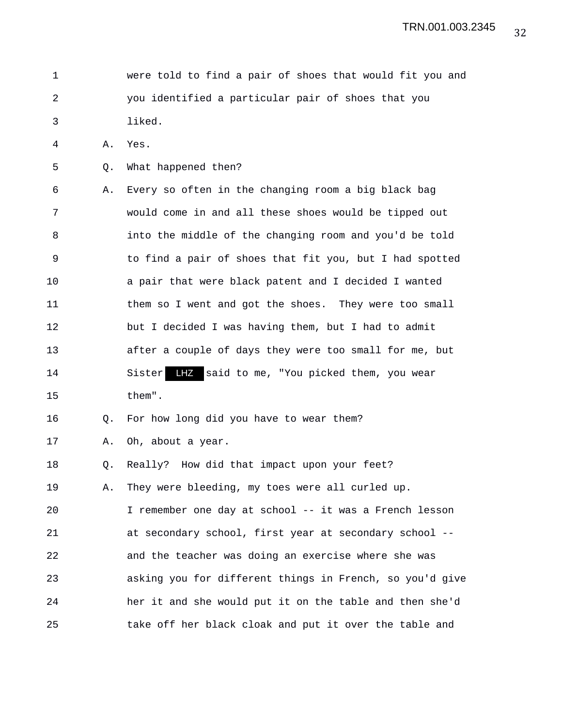1 were told to find a pair of shoes that would fit you and 2 you identified a particular pair of shoes that you 3 liked.

4 A. Yes.

5 Q. What happened then?

6 A. Every so often in the changing room a big black bag 7 would come in and all these shoes would be tipped out 8 into the middle of the changing room and you'd be told 9 to find a pair of shoes that fit you, but I had spotted 10 a pair that were black patent and I decided I wanted 11 them so I went and got the shoes. They were too small 12 but I decided I was having them, but I had to admit 13 after a couple of days they were too small for me, but 14 Sister LHZ said to me, "You picked them, you wear 15 them".

16 Q. For how long did you have to wear them?

17 A. Oh, about a year.

18 Q. Really? How did that impact upon your feet?

19 A. They were bleeding, my toes were all curled up.

20 I remember one day at school -- it was a French lesson 21 at secondary school, first year at secondary school -- 22 and the teacher was doing an exercise where she was 23 asking you for different things in French, so you'd give 24 her it and she would put it on the table and then she'd 25 take off her black cloak and put it over the table and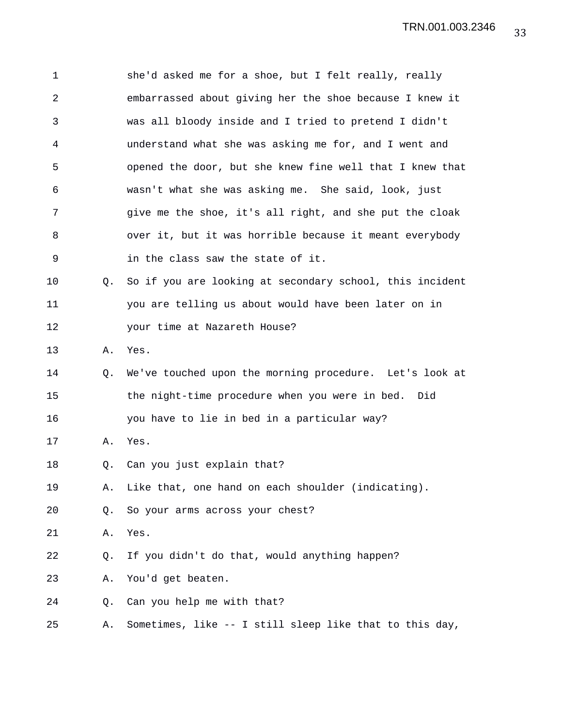| 1  |    | she'd asked me for a shoe, but I felt really, really     |
|----|----|----------------------------------------------------------|
| 2  |    | embarrassed about giving her the shoe because I knew it  |
| 3  |    | was all bloody inside and I tried to pretend I didn't    |
| 4  |    | understand what she was asking me for, and I went and    |
| 5  |    | opened the door, but she knew fine well that I knew that |
| 6  |    | wasn't what she was asking me. She said, look, just      |
| 7  |    | give me the shoe, it's all right, and she put the cloak  |
| 8  |    | over it, but it was horrible because it meant everybody  |
| 9  |    | in the class saw the state of it.                        |
| 10 | Q. | So if you are looking at secondary school, this incident |
| 11 |    | you are telling us about would have been later on in     |
| 12 |    | your time at Nazareth House?                             |
| 13 | Α. | Yes.                                                     |
| 14 | Q. | We've touched upon the morning procedure. Let's look at  |
| 15 |    | the night-time procedure when you were in bed. Did       |
| 16 |    | you have to lie in bed in a particular way?              |
| 17 | Α. | Yes.                                                     |
| 18 | Q. | Can you just explain that?                               |
| 19 | Α. | Like that, one hand on each shoulder (indicating).       |
| 20 | Q. | So your arms across your chest?                          |
| 21 | Α. | Yes.                                                     |
| 22 | Q. | If you didn't do that, would anything happen?            |
| 23 | Α. | You'd get beaten.                                        |
| 24 | Q. | Can you help me with that?                               |
| 25 | Α. | Sometimes, like -- I still sleep like that to this day,  |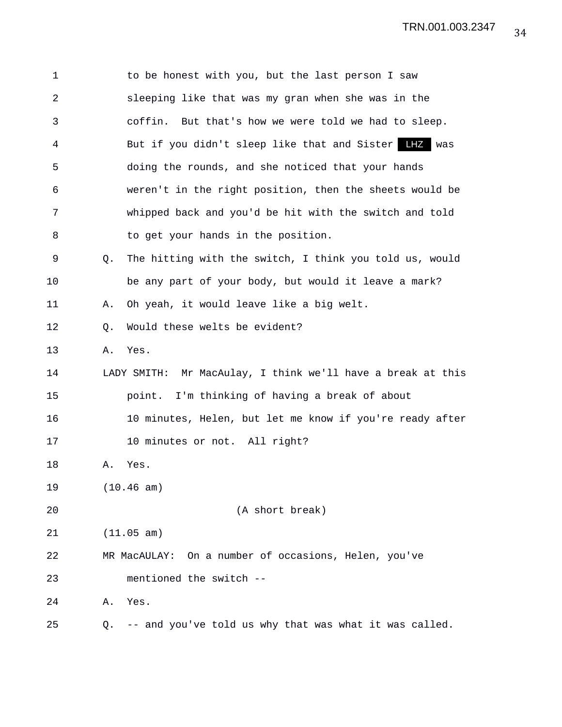| 1  |    | to be honest with you, but the last person I saw            |
|----|----|-------------------------------------------------------------|
| 2  |    | sleeping like that was my gran when she was in the          |
| 3  |    | But that's how we were told we had to sleep.<br>coffin.     |
| 4  |    | But if you didn't sleep like that and Sister LHZ<br>was     |
| 5  |    | doing the rounds, and she noticed that your hands           |
| 6  |    | weren't in the right position, then the sheets would be     |
| 7  |    | whipped back and you'd be hit with the switch and told      |
| 8  |    | to get your hands in the position.                          |
| 9  | Q. | The hitting with the switch, I think you told us, would     |
| 10 |    | be any part of your body, but would it leave a mark?        |
| 11 | Α. | Oh yeah, it would leave like a big welt.                    |
| 12 | Q. | Would these welts be evident?                               |
| 13 | Α. | Yes.                                                        |
| 14 |    | LADY SMITH: Mr MacAulay, I think we'll have a break at this |
| 15 |    | point. I'm thinking of having a break of about              |
| 16 |    | 10 minutes, Helen, but let me know if you're ready after    |
| 17 |    | 10 minutes or not. All right?                               |
| 18 | Α. | Yes.                                                        |
| 19 |    | (10.46 am)                                                  |
| 20 |    | (A short break)                                             |
| 21 |    | (11.05 am)                                                  |
| 22 |    | On a number of occasions, Helen, you've<br>MR MacAULAY:     |
| 23 |    | mentioned the switch --                                     |
| 24 | Α. | Yes.                                                        |
| 25 | Q. | -- and you've told us why that was what it was called.      |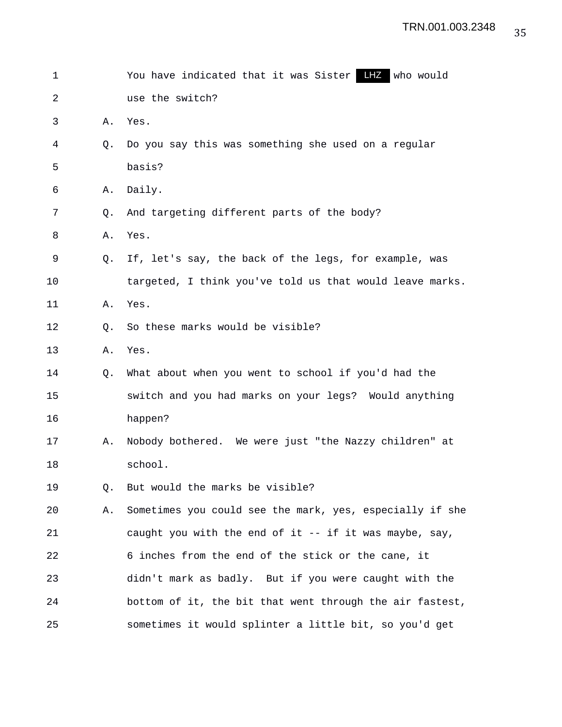| 1  |    | You have indicated that it was Sister LIZ who would      |
|----|----|----------------------------------------------------------|
| 2  |    | use the switch?                                          |
| 3  | Α. | Yes.                                                     |
| 4  | Q. | Do you say this was something she used on a regular      |
| 5  |    | basis?                                                   |
| 6  | Α. | Daily.                                                   |
| 7  | Q. | And targeting different parts of the body?               |
| 8  | Α. | Yes.                                                     |
| 9  | 0. | If, let's say, the back of the legs, for example, was    |
| 10 |    | targeted, I think you've told us that would leave marks. |
| 11 | Α. | Yes.                                                     |
| 12 | Q. | So these marks would be visible?                         |
| 13 | Α. | Yes.                                                     |
| 14 | Q. | What about when you went to school if you'd had the      |
| 15 |    | switch and you had marks on your legs? Would anything    |
| 16 |    | happen?                                                  |
| 17 | Α. | Nobody bothered. We were just "the Nazzy children" at    |
| 18 |    | school.                                                  |
| 19 | Q. | But would the marks be visible?                          |
| 20 | Α. | Sometimes you could see the mark, yes, especially if she |
| 21 |    | caught you with the end of it $-$ if it was maybe, say,  |
| 22 |    | 6 inches from the end of the stick or the cane, it       |
| 23 |    | didn't mark as badly. But if you were caught with the    |
| 24 |    | bottom of it, the bit that went through the air fastest, |
| 25 |    | sometimes it would splinter a little bit, so you'd get   |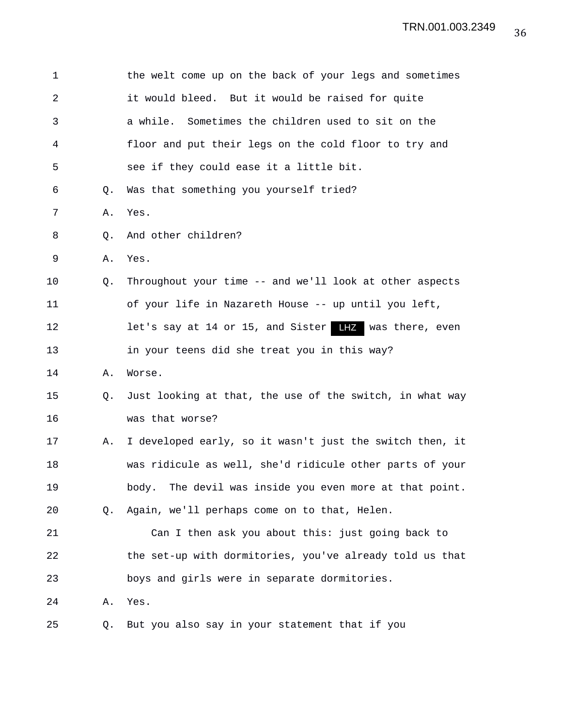| $\mathbf 1$ |    | the welt come up on the back of your legs and sometimes          |
|-------------|----|------------------------------------------------------------------|
| 2           |    | it would bleed. But it would be raised for quite                 |
| 3           |    | a while. Sometimes the children used to sit on the               |
| 4           |    | floor and put their legs on the cold floor to try and            |
| 5           |    | see if they could ease it a little bit.                          |
| 6           | Q. | Was that something you yourself tried?                           |
| 7           | Α. | Yes.                                                             |
| 8           | Q. | And other children?                                              |
| 9           | Α. | Yes.                                                             |
| 10          | Q. | Throughout your time -- and we'll look at other aspects          |
| 11          |    | of your life in Nazareth House -- up until you left,             |
| 12          |    | let's say at 14 or 15, and Sister $\blacksquare$ was there, even |
| 13          |    | in your teens did she treat you in this way?                     |
| 14          | Α. | Worse.                                                           |
| 15          | Q. | Just looking at that, the use of the switch, in what way         |
| 16          |    | was that worse?                                                  |
| 17          | Α. | I developed early, so it wasn't just the switch then, it         |
| 18          |    | was ridicule as well, she'd ridicule other parts of your         |
| 19          |    | The devil was inside you even more at that point.<br>body.       |
| 20          | Q. | Again, we'll perhaps come on to that, Helen.                     |
| 21          |    | Can I then ask you about this: just going back to                |
| 22          |    | the set-up with dormitories, you've already told us that         |
| 23          |    | boys and girls were in separate dormitories.                     |
| 24          | Α. | Yes.                                                             |
| 25          | Q. | But you also say in your statement that if you                   |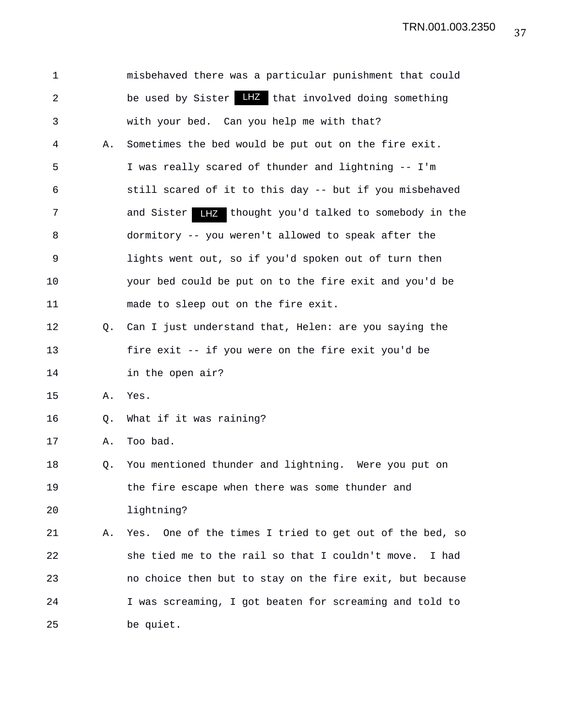| $\mathbf 1$    |    | misbehaved there was a particular punishment that could       |
|----------------|----|---------------------------------------------------------------|
| $\overline{a}$ |    | be used by Sister LHZ that involved doing something           |
| 3              |    | with your bed. Can you help me with that?                     |
| 4              | Α. | Sometimes the bed would be put out on the fire exit.          |
| 5              |    | I was really scared of thunder and lightning -- I'm           |
| 6              |    | still scared of it to this day -- but if you misbehaved       |
| 7              |    | and Sister <b>LEZ</b> thought you'd talked to somebody in the |
| 8              |    | dormitory -- you weren't allowed to speak after the           |
| 9              |    | lights went out, so if you'd spoken out of turn then          |
| 10             |    | your bed could be put on to the fire exit and you'd be        |
| 11             |    | made to sleep out on the fire exit.                           |
| 12             | O. | Can I just understand that, Helen: are you saying the         |
| 13             |    | fire exit -- if you were on the fire exit you'd be            |
| 14             |    | in the open air?                                              |
| 15             | Α. | Yes.                                                          |
| 16             | Q. | What if it was raining?                                       |
| 17             | Α. | Too bad.                                                      |
| 18             | Q. | You mentioned thunder and lightning. Were you put on          |
| 19             |    | the fire escape when there was some thunder and               |
| 20             |    | lightning?                                                    |
| 21             | Α. | Yes. One of the times I tried to get out of the bed, so       |
| 22             |    | she tied me to the rail so that I couldn't move.<br>I had     |
| 23             |    | no choice then but to stay on the fire exit, but because      |
| 24             |    | I was screaming, I got beaten for screaming and told to       |
| 25             |    | be quiet.                                                     |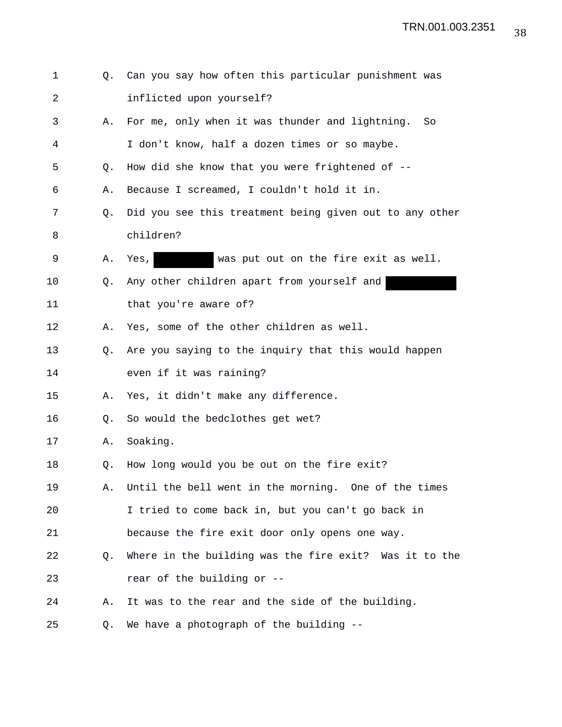| $\mathbf 1$ | O. | Can you say how often this particular punishment was    |
|-------------|----|---------------------------------------------------------|
| 2           |    | inflicted upon yourself?                                |
| 3           | Α. | For me, only when it was thunder and lightning. So      |
| 4           |    | I don't know, half a dozen times or so maybe.           |
| 5           | Q. | How did she know that you were frightened of --         |
| 6           | Α. | Because I screamed, I couldn't hold it in.              |
| 7           | Q. | Did you see this treatment being given out to any other |
| 8           |    | children?                                               |
| 9           | Α. | was put out on the fire exit as well.<br>Yes,           |
| 10          | Q. | Any other children apart from yourself and              |
| 11          |    | that you're aware of?                                   |
| 12          | Α. | Yes, some of the other children as well.                |
| 13          | Q. | Are you saying to the inquiry that this would happen    |
| 14          |    | even if it was raining?                                 |
| 15          | Α. | Yes, it didn't make any difference.                     |
| 16          | Q. | So would the bedclothes get wet?                        |
| 17          | Α. | Soaking.                                                |
| 18          | Q. | How long would you be out on the fire exit?             |
| 19          | Α. | Until the bell went in the morning. One of the times    |
| 20          |    | I tried to come back in, but you can't go back in       |
| 21          |    | because the fire exit door only opens one way.          |
| 22          | Q. | Where in the building was the fire exit? Was it to the  |
| 23          |    | rear of the building or --                              |
| 24          | Α. | It was to the rear and the side of the building.        |
| 25          | Q. | We have a photograph of the building --                 |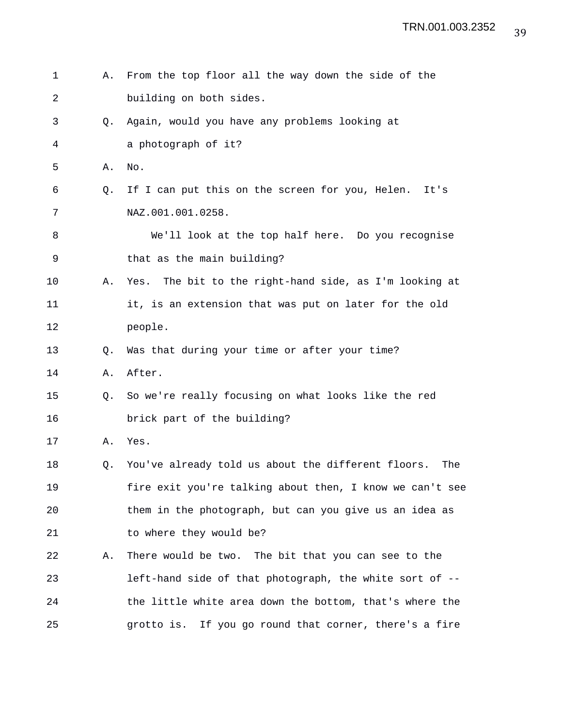1 A. From the top floor all the way down the side of the 2 building on both sides. 3 Q. Again, would you have any problems looking at 4 a photograph of it? 5 A. No. 6 Q. If I can put this on the screen for you, Helen. It's 7 NAZ.001.001.0258. 8 We'll look at the top half here. Do you recognise 9 that as the main building? 10 A. Yes. The bit to the right-hand side, as I'm looking at 11 it, is an extension that was put on later for the old 12 people. 13 Q. Was that during your time or after your time? 14 A. After. 15 Q. So we're really focusing on what looks like the red 16 brick part of the building? 17 A. Yes. 18 Q. You've already told us about the different floors. The 19 fire exit you're talking about then, I know we can't see 20 them in the photograph, but can you give us an idea as 21 to where they would be? 22 A. There would be two. The bit that you can see to the 23 left-hand side of that photograph, the white sort of -- 24 the little white area down the bottom, that's where the 25 grotto is. If you go round that corner, there's a fire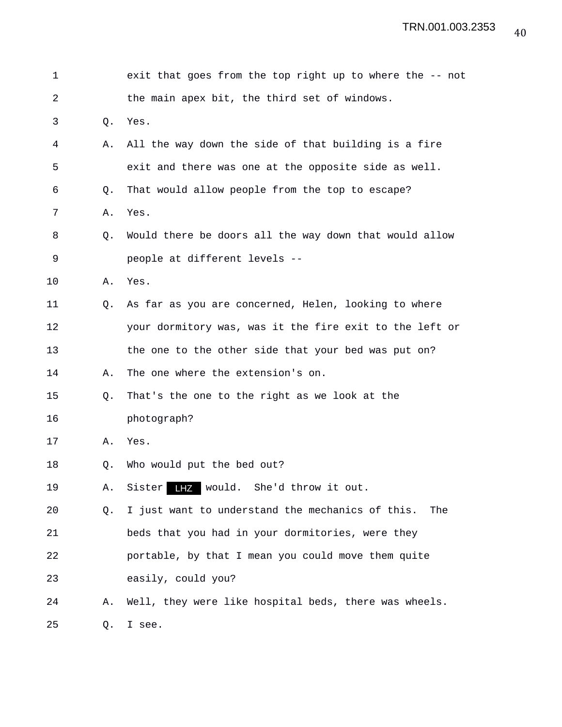| 1  |    | exit that goes from the top right up to where the -- not |
|----|----|----------------------------------------------------------|
| 2  |    | the main apex bit, the third set of windows.             |
| 3  | Q. | Yes.                                                     |
| 4  | Α. | All the way down the side of that building is a fire     |
| 5  |    | exit and there was one at the opposite side as well.     |
| 6  | Q. | That would allow people from the top to escape?          |
| 7  | Α. | Yes.                                                     |
| 8  | Q. | Would there be doors all the way down that would allow   |
| 9  |    | people at different levels --                            |
| 10 | Α. | Yes.                                                     |
| 11 | Q. | As far as you are concerned, Helen, looking to where     |
| 12 |    | your dormitory was, was it the fire exit to the left or  |
| 13 |    | the one to the other side that your bed was put on?      |
| 14 | Α. | The one where the extension's on.                        |
| 15 | Q. | That's the one to the right as we look at the            |
| 16 |    | photograph?                                              |
| 17 | Α. | Yes.                                                     |
| 18 | Q. | Who would put the bed out?                               |
| 19 | Α. | LHZ would. She'd throw it out.<br>Sister                 |
| 20 | Q. | I just want to understand the mechanics of this.<br>The  |
| 21 |    | beds that you had in your dormitories, were they         |
| 22 |    | portable, by that I mean you could move them quite       |
| 23 |    | easily, could you?                                       |
| 24 | Α. | Well, they were like hospital beds, there was wheels.    |
| 25 | Q. | I see.                                                   |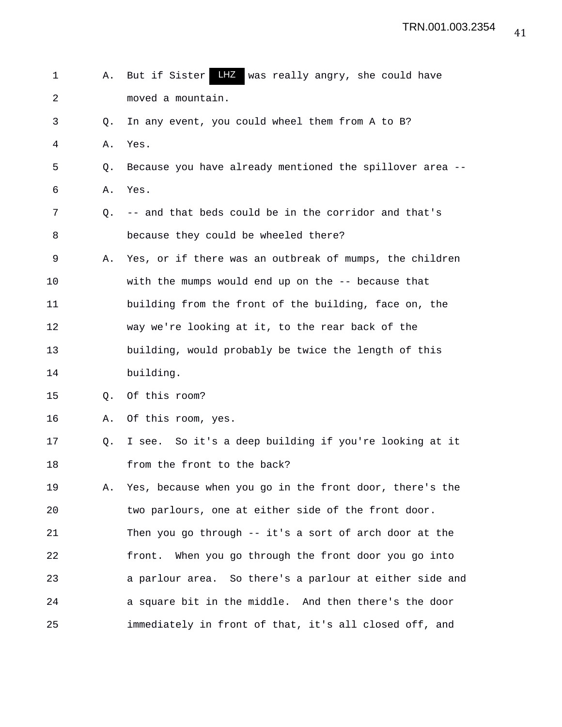1 A. But if Sister LHZ was really angry, she could have 2 moved a mountain. 3 Q. In any event, you could wheel them from A to B? 4 A. Yes. 5 Q. Because you have already mentioned the spillover area -- 6 A. Yes. 7 Q. -- and that beds could be in the corridor and that's 8 because they could be wheeled there? 9 A. Yes, or if there was an outbreak of mumps, the children 10 with the mumps would end up on the -- because that 11 building from the front of the building, face on, the 12 way we're looking at it, to the rear back of the 13 building, would probably be twice the length of this 14 building. 15 Q. Of this room? 16 A. Of this room, yes. 17 Q. I see. So it's a deep building if you're looking at it 18 from the front to the back? 19 A. Yes, because when you go in the front door, there's the 20 two parlours, one at either side of the front door. 21 Then you go through -- it's a sort of arch door at the 22 front. When you go through the front door you go into 23 a parlour area. So there's a parlour at either side and 24 a square bit in the middle. And then there's the door 25 immediately in front of that, it's all closed off, and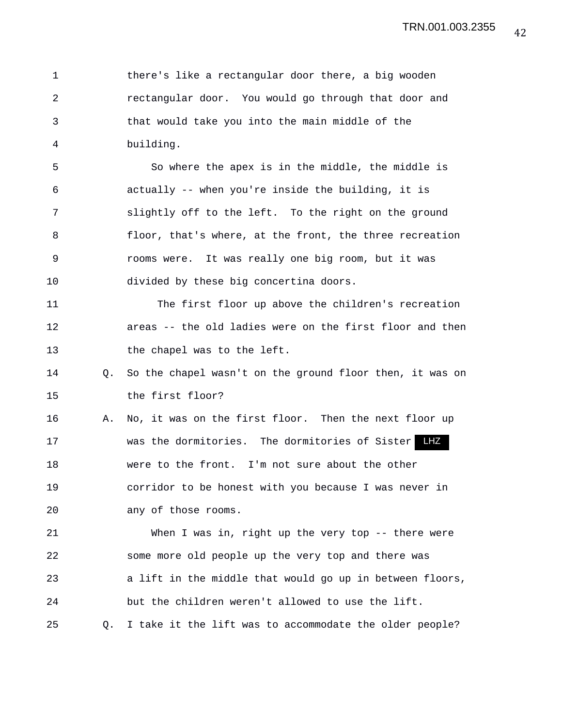1 there's like a rectangular door there, a big wooden 2 rectangular door. You would go through that door and 3 that would take you into the main middle of the 4 building.

5 So where the apex is in the middle, the middle is 6 actually -- when you're inside the building, it is 7 slightly off to the left. To the right on the ground 8 floor, that's where, at the front, the three recreation 9 rooms were. It was really one big room, but it was 10 divided by these big concertina doors.

11 The first floor up above the children's recreation 12 areas -- the old ladies were on the first floor and then 13 the chapel was to the left.

14 Q. So the chapel wasn't on the ground floor then, it was on 15 the first floor?

16 A. No, it was on the first floor. Then the next floor up 17 **WAS the dormitories.** The dormitories of Sister LHZ 18 were to the front. I'm not sure about the other 19 corridor to be honest with you because I was never in 20 any of those rooms.

21 When I was in, right up the very top -- there were 22 some more old people up the very top and there was 23 a lift in the middle that would go up in between floors, 24 but the children weren't allowed to use the lift. 25 Q. I take it the lift was to accommodate the older people?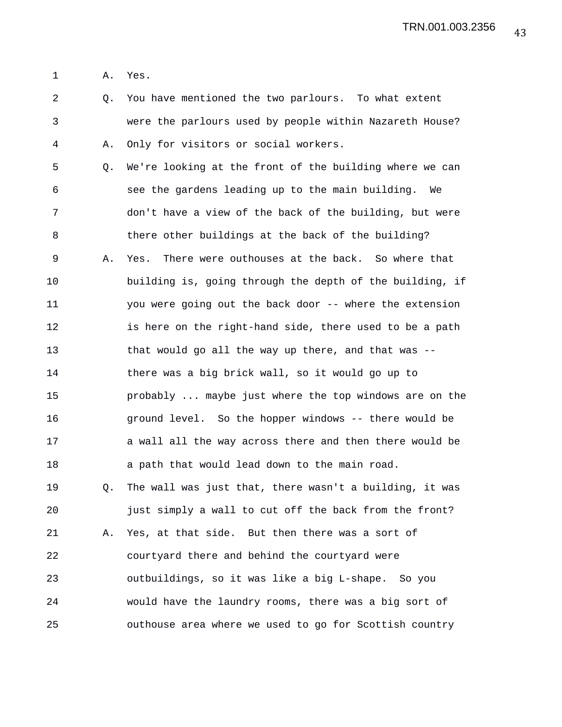1 A. Yes.

2 Q. You have mentioned the two parlours. To what extent 3 were the parlours used by people within Nazareth House? 4 A. Only for visitors or social workers. 5 Q. We're looking at the front of the building where we can 6 see the gardens leading up to the main building. We 7 don't have a view of the back of the building, but were 8 there other buildings at the back of the building? 9 A. Yes. There were outhouses at the back. So where that 10 building is, going through the depth of the building, if 11 you were going out the back door -- where the extension 12 is here on the right-hand side, there used to be a path 13 that would go all the way up there, and that was -- 14 there was a big brick wall, so it would go up to 15 probably ... maybe just where the top windows are on the 16 ground level. So the hopper windows -- there would be 17 a wall all the way across there and then there would be 18 a path that would lead down to the main road. 19 Q. The wall was just that, there wasn't a building, it was 20 just simply a wall to cut off the back from the front? 21 A. Yes, at that side. But then there was a sort of 22 courtyard there and behind the courtyard were 23 outbuildings, so it was like a big L-shape. So you 24 would have the laundry rooms, there was a big sort of 25 outhouse area where we used to go for Scottish country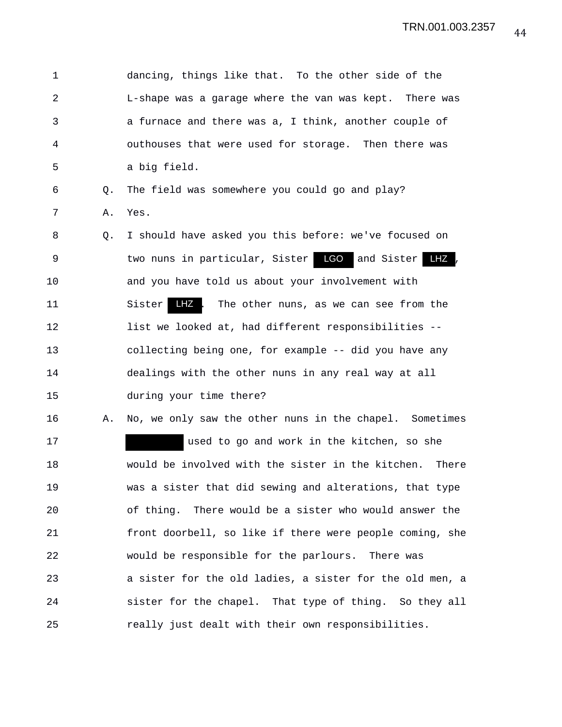1 dancing, things like that. To the other side of the 2 L-shape was a garage where the van was kept. There was 3 a furnace and there was a, I think, another couple of 4 outhouses that were used for storage. Then there was 5 a big field. 6 Q. The field was somewhere you could go and play? 7 A. Yes. 8 Q. I should have asked you this before: we've focused on 9 two nuns in particular, Sister **LGO** and Sister LHZ , 10 and you have told us about your involvement with 11 Sister LHZ. The other nuns, as we can see from the 12 list we looked at, had different responsibilities --13 collecting being one, for example -- did you have any 14 dealings with the other nuns in any real way at all 15 during your time there? 16 A. No, we only saw the other nuns in the chapel. Sometimes 17 used to go and work in the kitchen, so she 18 would be involved with the sister in the kitchen. There 19 was a sister that did sewing and alterations, that type 20 of thing. There would be a sister who would answer the 21 front doorbell, so like if there were people coming, she 22 would be responsible for the parlours. There was 23 a sister for the old ladies, a sister for the old men, a 24 sister for the chapel. That type of thing. So they all 25 really just dealt with their own responsibilities.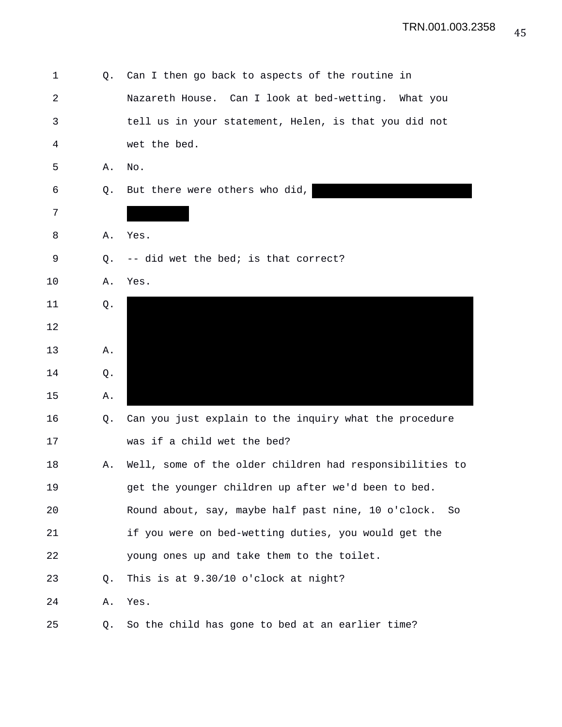| 1          | Q. | Can I then go back to aspects of the routine in           |
|------------|----|-----------------------------------------------------------|
| $\sqrt{2}$ |    | Nazareth House. Can I look at bed-wetting. What you       |
| 3          |    | tell us in your statement, Helen, is that you did not     |
| 4          |    | wet the bed.                                              |
| 5          | Α. | No.                                                       |
| 6          | Q. | But there were others who did,                            |
| 7          |    |                                                           |
| 8          | Α. | Yes.                                                      |
| 9          | Q. | -- did wet the bed; is that correct?                      |
| 10         | Α. | Yes.                                                      |
| 11         | Q. |                                                           |
| 12         |    |                                                           |
| 13         | Α. |                                                           |
| 14         | Q. |                                                           |
| 15         | Α. |                                                           |
| 16         | Q. | Can you just explain to the inquiry what the procedure    |
| 17         |    | was if a child wet the bed?                               |
| 18         | Α. | Well, some of the older children had responsibilities to  |
| 19         |    | get the younger children up after we'd been to bed.       |
| 20         |    | Round about, say, maybe half past nine, 10 o'clock.<br>So |
| 21         |    | if you were on bed-wetting duties, you would get the      |
| 22         |    | young ones up and take them to the toilet.                |
| 23         | Q. | This is at 9.30/10 o'clock at night?                      |
| 24         | Α. | Yes.                                                      |
| 25         | Q. | So the child has gone to bed at an earlier time?          |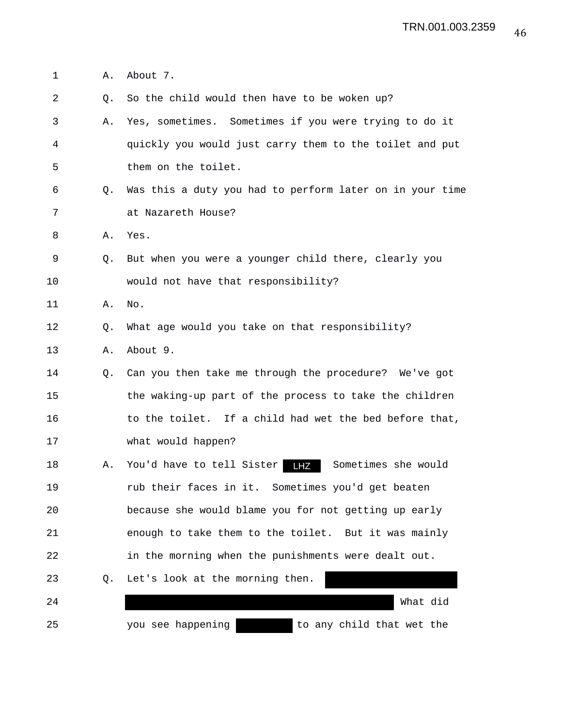1 A. About 7.

2 Q. So the child would then have to be woken up? 3 A. Yes, sometimes. Sometimes if you were trying to do it 4 quickly you would just carry them to the toilet and put 5 them on the toilet. 6 Q. Was this a duty you had to perform later on in your time 7 at Nazareth House? 8 A. Yes. 9 Q. But when you were a younger child there, clearly you 10 would not have that responsibility? 11 A. No. 12 Q. What age would you take on that responsibility? 13 A. About 9. 14 Q. Can you then take me through the procedure? We've got 15 the waking-up part of the process to take the children 16 to the toilet. If a child had wet the bed before that, 17 what would happen? 18 A. You'd have to tell Sister Sometimes she would LHZ19 rub their faces in it. Sometimes you'd get beaten 20 because she would blame you for not getting up early 21 enough to take them to the toilet. But it was mainly 22 in the morning when the punishments were dealt out. 23 Q. Let's look at the morning then. 24 What did 25 you see happening and to any child that wet the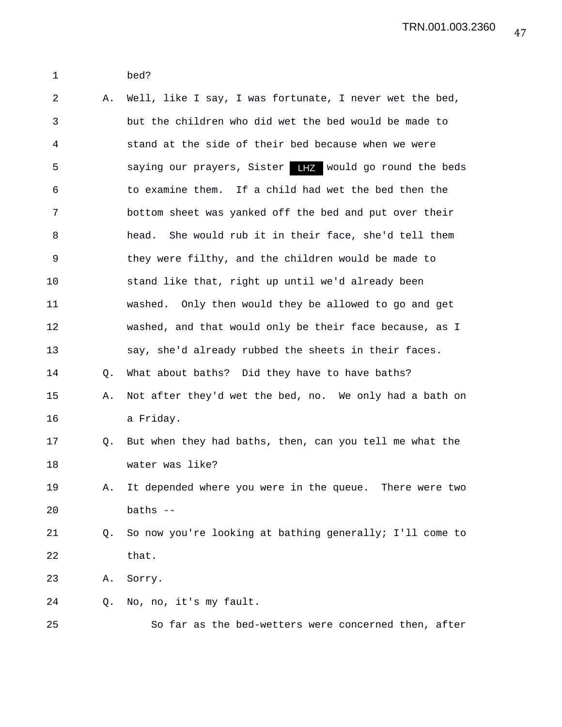1 bed?

2 A. Well, like I say, I was fortunate, I never wet the bed, 3 but the children who did wet the bed would be made to 4 stand at the side of their bed because when we were 5 saying our prayers, Sister THZ would go round the beds 6 to examine them. If a child had wet the bed then the 7 bottom sheet was yanked off the bed and put over their 8 head. She would rub it in their face, she'd tell them 9 they were filthy, and the children would be made to 10 stand like that, right up until we'd already been 11 washed. Only then would they be allowed to go and get 12 washed, and that would only be their face because, as I 13 say, she'd already rubbed the sheets in their faces. 14 Q. What about baths? Did they have to have baths? 15 A. Not after they'd wet the bed, no. We only had a bath on 16 a Friday. 17 Q. But when they had baths, then, can you tell me what the 18 water was like? 19 A. It depended where you were in the queue. There were two 20 baths -- 21 Q. So now you're looking at bathing generally; I'll come to 22 that. 23 A. Sorry. 24 Q. No, no, it's my fault. 25 So far as the bed-wetters were concerned then, after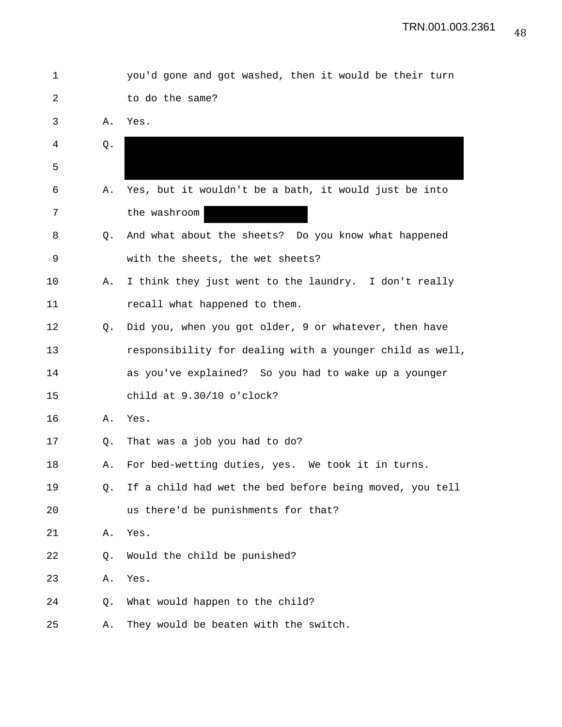| 1  |    | you'd gone and got washed, then it would be their turn   |
|----|----|----------------------------------------------------------|
| 2  |    | to do the same?                                          |
| 3  | Α. | Yes.                                                     |
| 4  | Q. |                                                          |
| 5  |    |                                                          |
| 6  | Α. | Yes, but it wouldn't be a bath, it would just be into    |
| 7  |    | the washroom                                             |
| 8  | O. | And what about the sheets? Do you know what happened     |
| 9  |    | with the sheets, the wet sheets?                         |
| 10 | Α. | I think they just went to the laundry. I don't really    |
| 11 |    | recall what happened to them.                            |
| 12 | Q. | Did you, when you got older, 9 or whatever, then have    |
| 13 |    | responsibility for dealing with a younger child as well, |
| 14 |    | as you've explained? So you had to wake up a younger     |
| 15 |    | child at $9.30/10$ o'clock?                              |
| 16 | Α. | Yes.                                                     |
| 17 | Q. | That was a job you had to do?                            |
| 18 | Α. | For bed-wetting duties, yes. We took it in turns.        |
| 19 | Q. | If a child had wet the bed before being moved, you tell  |
| 20 |    | us there'd be punishments for that?                      |
| 21 | Α. | Yes.                                                     |
| 22 | Q. | Would the child be punished?                             |
| 23 | Α. | Yes.                                                     |
| 24 | Q. | What would happen to the child?                          |
| 25 | Α. | They would be beaten with the switch.                    |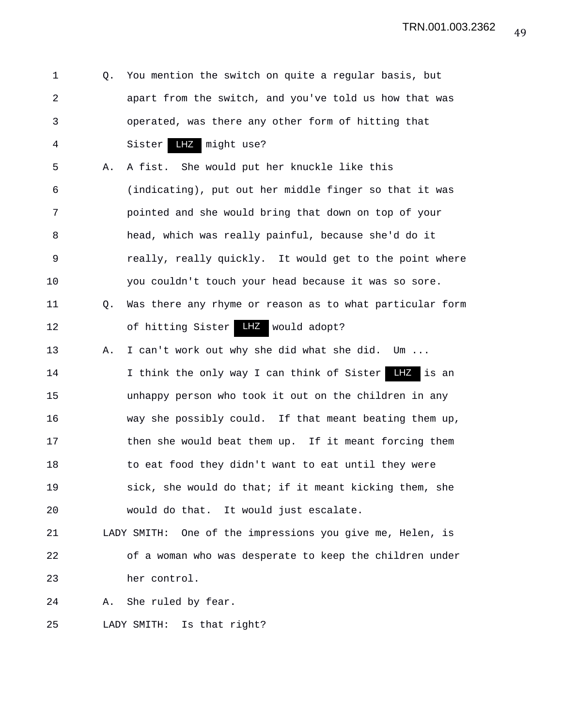1 Q. You mention the switch on quite a regular basis, but 2 apart from the switch, and you've told us how that was 3 operated, was there any other form of hitting that 4 Sister LHZ might use? 5 A. A fist. She would put her knuckle like this 6 (indicating), put out her middle finger so that it was 7 pointed and she would bring that down on top of your 8 head, which was really painful, because she'd do it 9 really, really quickly. It would get to the point where 10 you couldn't touch your head because it was so sore. 11 Q. Was there any rhyme or reason as to what particular form 12 of hitting Sister LHZ would adopt? 13 A. I can't work out why she did what she did. Um ...

14 I think the only way I can think of Sister LHZ is an 15 unhappy person who took it out on the children in any 16 way she possibly could. If that meant beating them up, 17 then she would beat them up. If it meant forcing them 18 to eat food they didn't want to eat until they were 19 sick, she would do that; if it meant kicking them, she 20 would do that. It would just escalate.

21 LADY SMITH: One of the impressions you give me, Helen, is 22 of a woman who was desperate to keep the children under 23 her control.

24 A. She ruled by fear.

25 LADY SMITH: Is that right?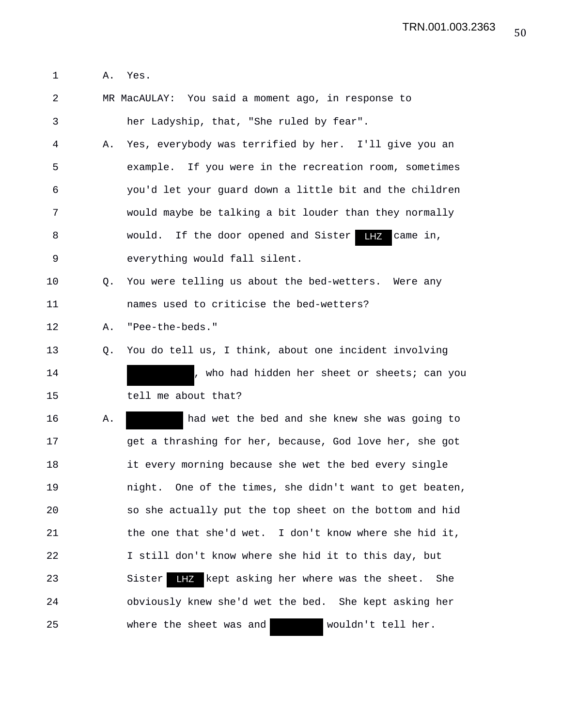1 A. Yes.

2 MR MacAULAY: You said a moment ago, in response to 3 her Ladyship, that, "She ruled by fear".

4 A. Yes, everybody was terrified by her. I'll give you an 5 example. If you were in the recreation room, sometimes 6 you'd let your guard down a little bit and the children 7 would maybe be talking a bit louder than they normally 8 would. If the door opened and Sister LHZ came in, 9 everything would fall silent.

10 Q. You were telling us about the bed-wetters. Were any 11 names used to criticise the bed-wetters?

12 A. "Pee-the-beds."

13 Q. You do tell us, I think, about one incident involving 14 (1)  $\mu$  , who had hidden her sheet or sheets; can you 15 tell me about that?

16 A. had wet the bed and she knew she was going to 17 get a thrashing for her, because, God love her, she got 18 it every morning because she wet the bed every single 19 night. One of the times, she didn't want to get beaten, 20 so she actually put the top sheet on the bottom and hid 21 the one that she'd wet. I don't know where she hid it, 22 I still don't know where she hid it to this day, but 23 Sister LHZ kept asking her where was the sheet. She 24 obviously knew she'd wet the bed. She kept asking her 25 where the sheet was and wouldn't tell her.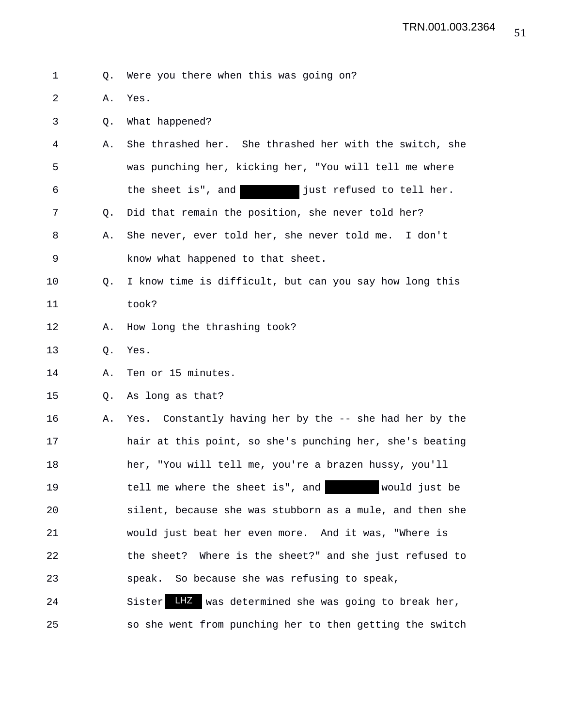1 Q. Were you there when this was going on?

2 A. Yes.

3 Q. What happened?

- 4 A. She thrashed her. She thrashed her with the switch, she 5 was punching her, kicking her, "You will tell me where 6 the sheet is", and just refused to tell her. 7 Q. Did that remain the position, she never told her?
- 8 A. She never, ever told her, she never told me. I don't 9 know what happened to that sheet.
- 10 Q. I know time is difficult, but can you say how long this 11 took?
- 12 A. How long the thrashing took?
- 13 Q. Yes.
- 14 A. Ten or 15 minutes.
- 15 Q. As long as that?

16 A. Yes. Constantly having her by the -- she had her by the 17 hair at this point, so she's punching her, she's beating 18 her, "You will tell me, you're a brazen hussy, you'll 19 tell me where the sheet is", and would just be 20 silent, because she was stubborn as a mule, and then she 21 would just beat her even more. And it was, "Where is 22 the sheet? Where is the sheet?" and she just refused to 23 speak. So because she was refusing to speak,

24 Sister LHZ was determined she was going to break her, 25 so she went from punching her to then getting the switch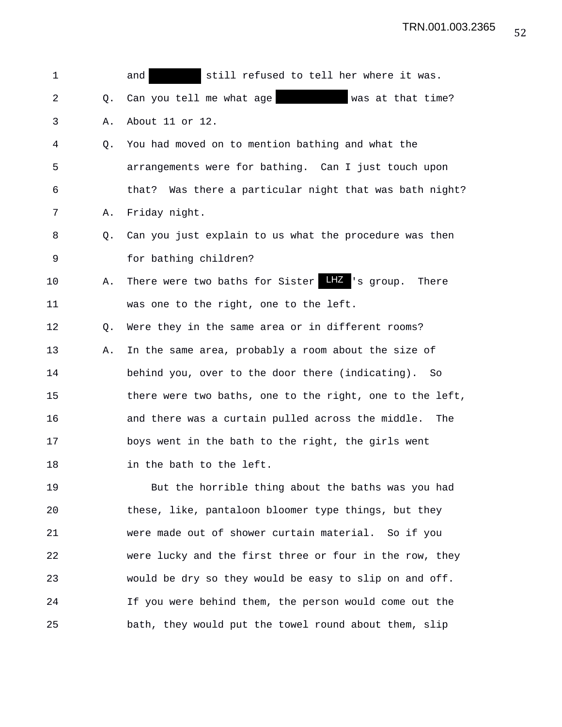| 1              |    | still refused to tell her where it was.<br>and           |
|----------------|----|----------------------------------------------------------|
| $\overline{a}$ | Q. | Can you tell me what age<br>was at that time?            |
| 3              | Α. | About 11 or 12.                                          |
| 4              | Q. | You had moved on to mention bathing and what the         |
| 5              |    | arrangements were for bathing. Can I just touch upon     |
| 6              |    | that? Was there a particular night that was bath night?  |
| 7              | Α. | Friday night.                                            |
| 8              | О. | Can you just explain to us what the procedure was then   |
| 9              |    | for bathing children?                                    |
| 10             | Α. | There were two baths for Sister LHZ 's group.<br>There   |
| 11             |    | was one to the right, one to the left.                   |
| 12             | Q. | Were they in the same area or in different rooms?        |
| 13             | Α. | In the same area, probably a room about the size of      |
| 14             |    | behind you, over to the door there (indicating). So      |
| 15             |    | there were two baths, one to the right, one to the left, |
| 16             |    | and there was a curtain pulled across the middle.<br>The |
| 17             |    | boys went in the bath to the right, the girls went       |
| 18             |    | in the bath to the left.                                 |
| 19             |    | But the horrible thing about the baths was you had       |
| 20             |    | these, like, pantaloon bloomer type things, but they     |
| 21             |    | were made out of shower curtain material. So if you      |
| 22             |    | were lucky and the first three or four in the row, they  |
| 23             |    | would be dry so they would be easy to slip on and off.   |
| 24             |    | If you were behind them, the person would come out the   |
| 25             |    | bath, they would put the towel round about them, slip    |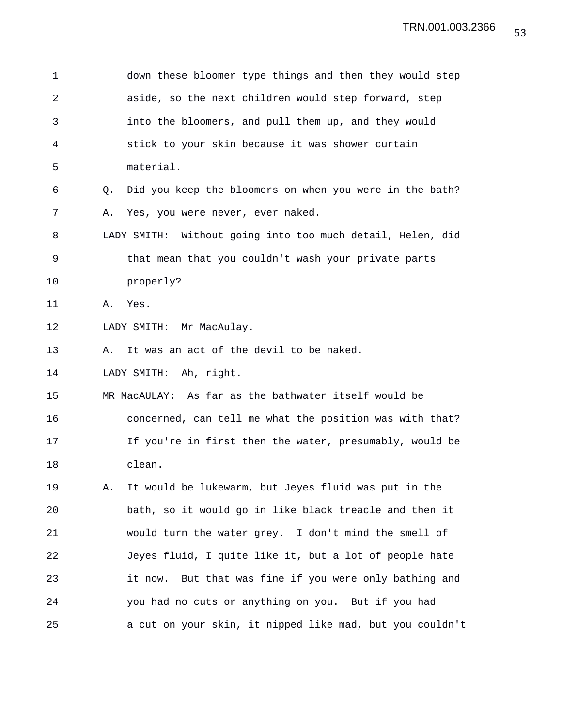| 1  |    | down these bloomer type things and then they would step    |
|----|----|------------------------------------------------------------|
| 2  |    | aside, so the next children would step forward, step       |
| 3  |    | into the bloomers, and pull them up, and they would        |
| 4  |    | stick to your skin because it was shower curtain           |
| 5  |    | material.                                                  |
| 6  | Q. | Did you keep the bloomers on when you were in the bath?    |
| 7  | Α. | Yes, you were never, ever naked.                           |
| 8  |    | LADY SMITH: Without going into too much detail, Helen, did |
| 9  |    | that mean that you couldn't wash your private parts        |
| 10 |    | properly?                                                  |
| 11 | Α. | Yes.                                                       |
| 12 |    | LADY SMITH: Mr MacAulay.                                   |
| 13 | Α. | It was an act of the devil to be naked.                    |
| 14 |    | LADY SMITH: Ah, right.                                     |
| 15 |    | MR MacAULAY: As far as the bathwater itself would be       |
| 16 |    | concerned, can tell me what the position was with that?    |
| 17 |    | If you're in first then the water, presumably, would be    |
| 18 |    | clean.                                                     |
| 19 | Α. | It would be lukewarm, but Jeyes fluid was put in the       |
| 20 |    | bath, so it would go in like black treacle and then it     |
| 21 |    | would turn the water grey. I don't mind the smell of       |
| 22 |    | Jeyes fluid, I quite like it, but a lot of people hate     |
| 23 |    | But that was fine if you were only bathing and<br>it now.  |
| 24 |    | you had no cuts or anything on you. But if you had         |
| 25 |    | a cut on your skin, it nipped like mad, but you couldn't   |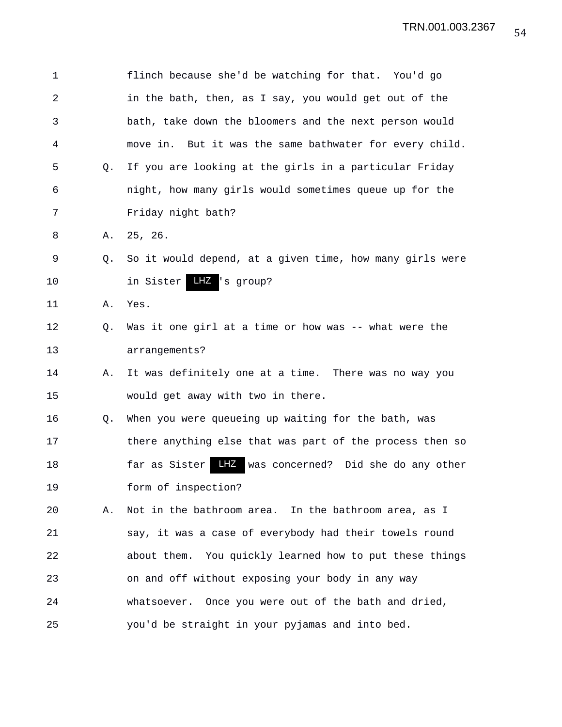| 1              |    | flinch because she'd be watching for that. You'd go         |
|----------------|----|-------------------------------------------------------------|
| $\overline{2}$ |    | in the bath, then, as I say, you would get out of the       |
| 3              |    | bath, take down the bloomers and the next person would      |
| 4              |    | move in. But it was the same bathwater for every child.     |
| 5              | Q. | If you are looking at the girls in a particular Friday      |
| 6              |    | night, how many girls would sometimes queue up for the      |
| 7              |    | Friday night bath?                                          |
| 8              | Α. | 25, 26.                                                     |
| 9              | Q. | So it would depend, at a given time, how many girls were    |
| 10             |    | in Sister LHZ 's group?                                     |
| 11             | Α. | Yes.                                                        |
| 12             | Q. | Was it one girl at a time or how was -- what were the       |
| 13             |    | arrangements?                                               |
| 14             | Α. | It was definitely one at a time. There was no way you       |
| 15             |    | would get away with two in there.                           |
| 16             | Q. | When you were queueing up waiting for the bath, was         |
| 17             |    | there anything else that was part of the process then so    |
| 18             |    | LHZ<br>was concerned? Did she do any other<br>far as Sister |
| 19             |    | form of inspection?                                         |
| 20             | Α. | Not in the bathroom area. In the bathroom area, as I        |
| 21             |    | say, it was a case of everybody had their towels round      |
| 22             |    | about them. You quickly learned how to put these things     |
| 23             |    | on and off without exposing your body in any way            |
| 24             |    | whatsoever. Once you were out of the bath and dried,        |
| 25             |    | you'd be straight in your pyjamas and into bed.             |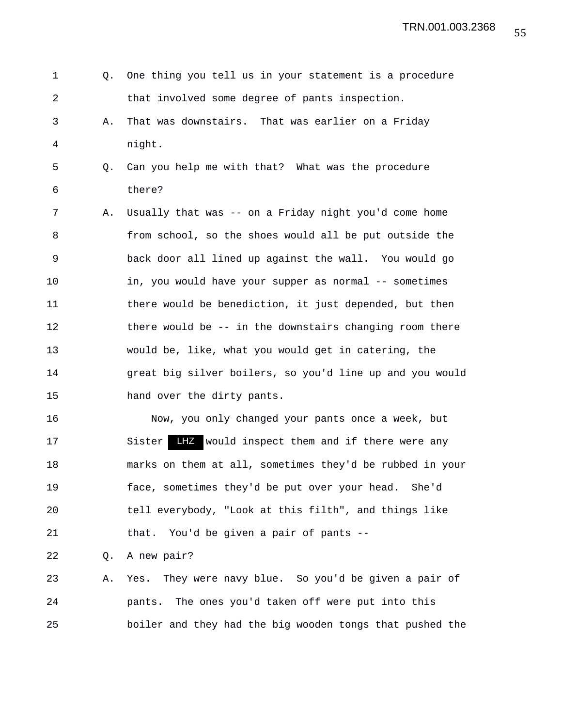1 Q. One thing you tell us in your statement is a procedure 2 that involved some degree of pants inspection. 3 A. That was downstairs. That was earlier on a Friday 4 night. 5 Q. Can you help me with that? What was the procedure 6 there? 7 A. Usually that was -- on a Friday night you'd come home 8 from school, so the shoes would all be put outside the 9 back door all lined up against the wall. You would go 10 in, you would have your supper as normal -- sometimes 11 there would be benediction, it just depended, but then 12 there would be -- in the downstairs changing room there 13 would be, like, what you would get in catering, the 14 great big silver boilers, so you'd line up and you would 15 hand over the dirty pants.

16 Now, you only changed your pants once a week, but 17 Sister LHZ would inspect them and if there were any 18 marks on them at all, sometimes they'd be rubbed in your 19 face, sometimes they'd be put over your head. She'd 20 tell everybody, "Look at this filth", and things like 21 that. You'd be given a pair of pants --

22 Q. A new pair?

23 A. Yes. They were navy blue. So you'd be given a pair of 24 pants. The ones you'd taken off were put into this 25 boiler and they had the big wooden tongs that pushed the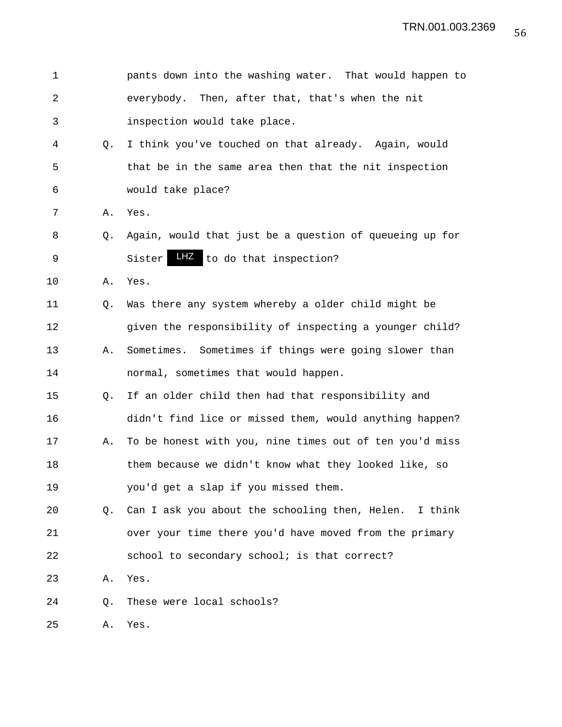| 1  |             | pants down into the washing water. That would happen to |
|----|-------------|---------------------------------------------------------|
| 2  |             | everybody. Then, after that, that's when the nit        |
| 3  |             | inspection would take place.                            |
| 4  | Q.          | I think you've touched on that already. Again, would    |
| 5  |             | that be in the same area then that the nit inspection   |
| 6  |             | would take place?                                       |
| 7  | Α.          | Yes.                                                    |
| 8  | O.          | Again, would that just be a question of queueing up for |
| 9  |             | LHZ to do that inspection?<br>Sister                    |
| 10 | Α.          | Yes.                                                    |
| 11 | $Q_{\star}$ | Was there any system whereby a older child might be     |
| 12 |             | given the responsibility of inspecting a younger child? |
| 13 | Α.          | Sometimes. Sometimes if things were going slower than   |
| 14 |             | normal, sometimes that would happen.                    |
| 15 | O.          | If an older child then had that responsibility and      |
| 16 |             | didn't find lice or missed them, would anything happen? |
| 17 | Α.          | To be honest with you, nine times out of ten you'd miss |
| 18 |             | them because we didn't know what they looked like, so   |
| 19 |             | you'd get a slap if you missed them.                    |
| 20 | O.          | Can I ask you about the schooling then, Helen. I think  |
| 21 |             | over your time there you'd have moved from the primary  |
| 22 |             | school to secondary school; is that correct?            |
| 23 | Α.          | Yes.                                                    |
| 24 | Q.          | These were local schools?                               |
| 25 | Α.          | Yes.                                                    |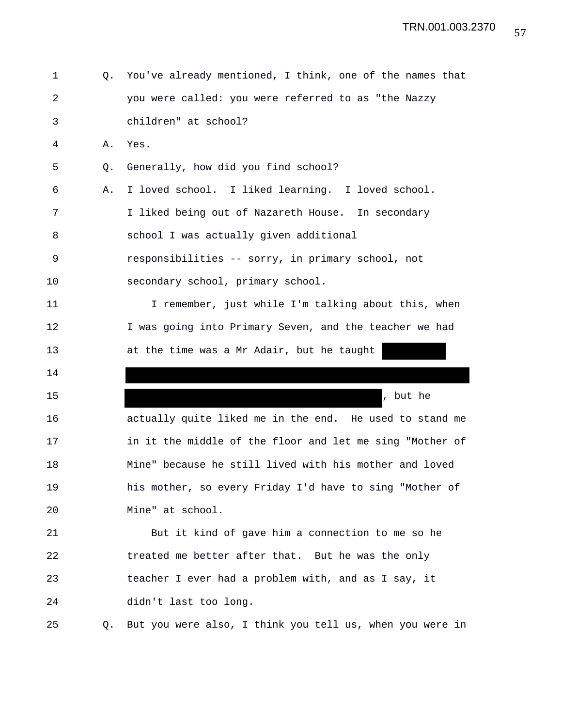| 1              | Q. | You've already mentioned, I think, one of the names that |
|----------------|----|----------------------------------------------------------|
| $\overline{a}$ |    | you were called: you were referred to as "the Nazzy      |
| 3              |    | children" at school?                                     |
| 4              | Α. | Yes.                                                     |
| 5              | Q. | Generally, how did you find school?                      |
| 6              | Α. | I loved school. I liked learning. I loved school.        |
| 7              |    | I liked being out of Nazareth House. In secondary        |
| 8              |    | school I was actually given additional                   |
| 9              |    | responsibilities -- sorry, in primary school, not        |
| 10             |    | secondary school, primary school.                        |
| 11             |    | I remember, just while I'm talking about this, when      |
| 12             |    | I was going into Primary Seven, and the teacher we had   |
| 13             |    | at the time was a Mr Adair, but he taught                |
| 14             |    |                                                          |
| 15             |    | , but he                                                 |
| 16             |    | actually quite liked me in the end. He used to stand me  |
| 17             |    | in it the middle of the floor and let me sing "Mother of |
| 18             |    | Mine" because he still lived with his mother and loved   |
| 19             |    | his mother, so every Friday I'd have to sing "Mother of  |
| 20             |    | Mine" at school.                                         |
| 21             |    | But it kind of gave him a connection to me so he         |
| 22             |    | treated me better after that. But he was the only        |
| 23             |    | teacher I ever had a problem with, and as I say, it      |
| 24             |    | didn't last too long.                                    |
| 25             | Q. | But you were also, I think you tell us, when you were in |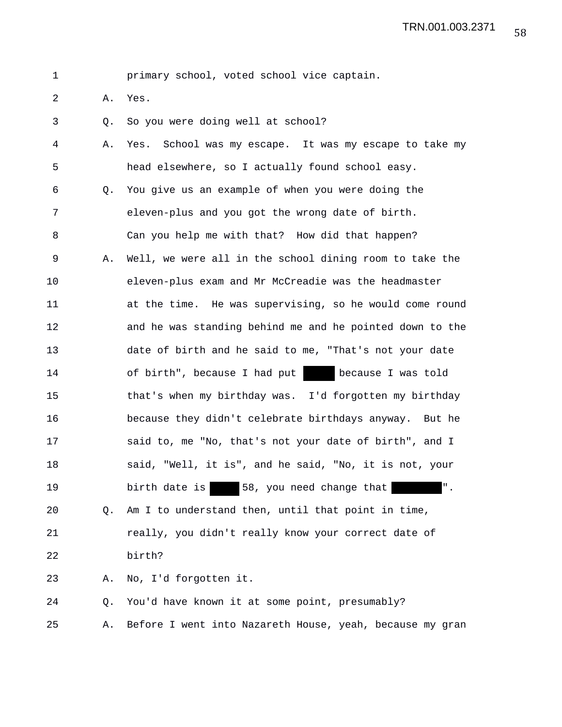| primary school, voted school vice captain. |  |
|--------------------------------------------|--|
|--------------------------------------------|--|

- 2 A. Yes.
- 3 Q. So you were doing well at school?

| 4  | Α. | School was my escape. It was my escape to take my<br>Yes.    |
|----|----|--------------------------------------------------------------|
| 5  |    | head elsewhere, so I actually found school easy.             |
| 6  | Q. | You give us an example of when you were doing the            |
| 7  |    | eleven-plus and you got the wrong date of birth.             |
| 8  |    | Can you help me with that? How did that happen?              |
| 9  | Α. | Well, we were all in the school dining room to take the      |
| 10 |    | eleven-plus exam and Mr McCreadie was the headmaster         |
| 11 |    | at the time. He was supervising, so he would come round      |
| 12 |    | and he was standing behind me and he pointed down to the     |
| 13 |    | date of birth and he said to me, "That's not your date       |
| 14 |    | of birth", because I had put because I was told              |
| 15 |    | that's when my birthday was. I'd forgotten my birthday       |
| 16 |    | because they didn't celebrate birthdays anyway. But he       |
| 17 |    | said to, me "No, that's not your date of birth", and I       |
| 18 |    | said, "Well, it is", and he said, "No, it is not, your       |
| 19 |    | birth date is 58, you need change that<br>$^{\mathrm{II}}$ . |
| 20 | O. | Am I to understand then, until that point in time,           |
| 21 |    | really, you didn't really know your correct date of          |
| 22 |    | birth?                                                       |
| 23 | Α. | No, I'd forgotten it.                                        |
| 24 | Q. | You'd have known it at some point, presumably?               |

25 A. Before I went into Nazareth House, yeah, because my gran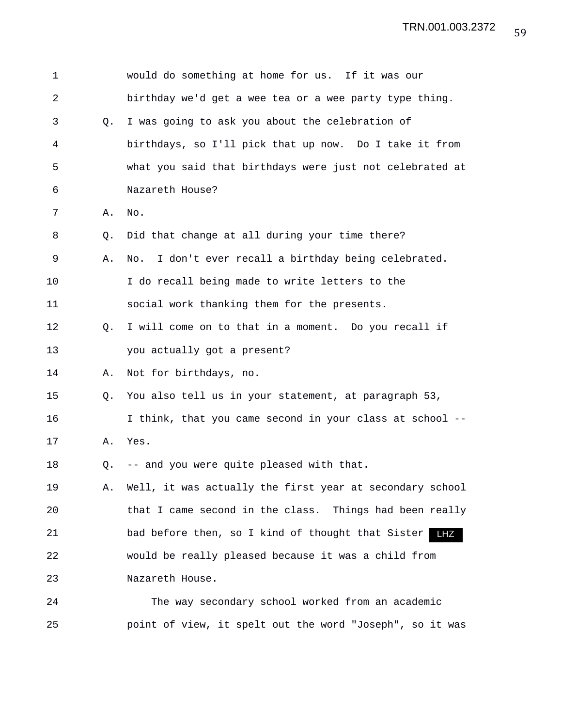| 1          |           | would do something at home for us. If it was our         |
|------------|-----------|----------------------------------------------------------|
| $\sqrt{2}$ |           | birthday we'd get a wee tea or a wee party type thing.   |
| 3          | Q.        | I was going to ask you about the celebration of          |
| 4          |           | birthdays, so I'll pick that up now. Do I take it from   |
| 5          |           | what you said that birthdays were just not celebrated at |
| 6          |           | Nazareth House?                                          |
| 7          | Α.        | No.                                                      |
| 8          | $\circ$ . | Did that change at all during your time there?           |
| 9          | Α.        | I don't ever recall a birthday being celebrated.<br>No.  |
| 10         |           | I do recall being made to write letters to the           |
| 11         |           | social work thanking them for the presents.              |
| 12         | O.        | I will come on to that in a moment. Do you recall if     |
| 13         |           | you actually got a present?                              |
| 14         | Α.        | Not for birthdays, no.                                   |
| 15         | Q.        | You also tell us in your statement, at paragraph 53,     |
| 16         |           | I think, that you came second in your class at school -- |
| 17         | Α.        | Yes.                                                     |
| 18         | Q.        | -- and you were quite pleased with that.                 |
| 19         | Α.        | Well, it was actually the first year at secondary school |
| 20         |           | that I came second in the class. Things had been really  |
| 21         |           | bad before then, so I kind of thought that Sister<br>LHZ |
| 22         |           | would be really pleased because it was a child from      |
| 23         |           | Nazareth House.                                          |
| 24         |           | The way secondary school worked from an academic         |
| 25         |           | point of view, it spelt out the word "Joseph", so it was |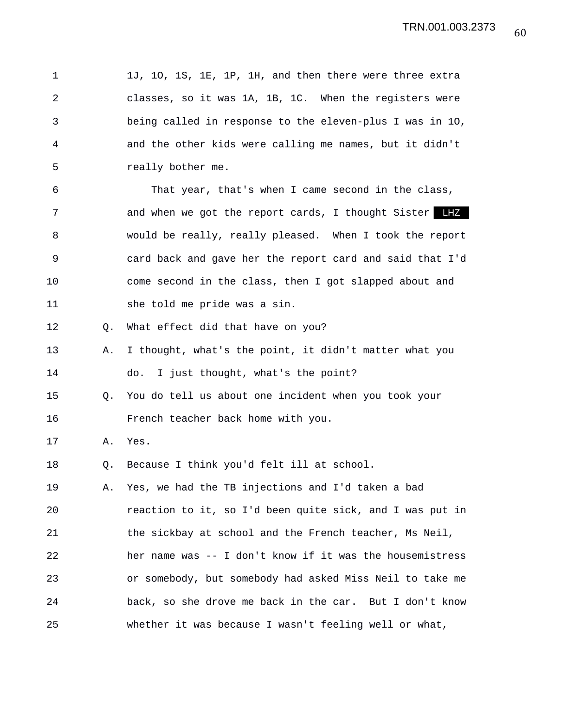1 1J, 1O, 1S, 1E, 1P, 1H, and then there were three extra 2 classes, so it was 1A, 1B, 1C. When the registers were 3 being called in response to the eleven-plus I was in 1O, 4 and the other kids were calling me names, but it didn't 5 really bother me. 6 That year, that's when I came second in the class, 7 and when we got the report cards, I thought Sister LHZ 8 would be really, really pleased. When I took the report 9 card back and gave her the report card and said that I'd 10 come second in the class, then I got slapped about and 11 she told me pride was a sin. 12 Q. What effect did that have on you? 13 A. I thought, what's the point, it didn't matter what you 14 do. I just thought, what's the point? 15 Q. You do tell us about one incident when you took your 16 French teacher back home with you. 17 A. Yes. 18 Q. Because I think you'd felt ill at school. 19 A. Yes, we had the TB injections and I'd taken a bad 20 reaction to it, so I'd been quite sick, and I was put in 21 the sickbay at school and the French teacher, Ms Neil, 22 her name was -- I don't know if it was the housemistress 23 or somebody, but somebody had asked Miss Neil to take me 24 back, so she drove me back in the car. But I don't know 25 whether it was because I wasn't feeling well or what,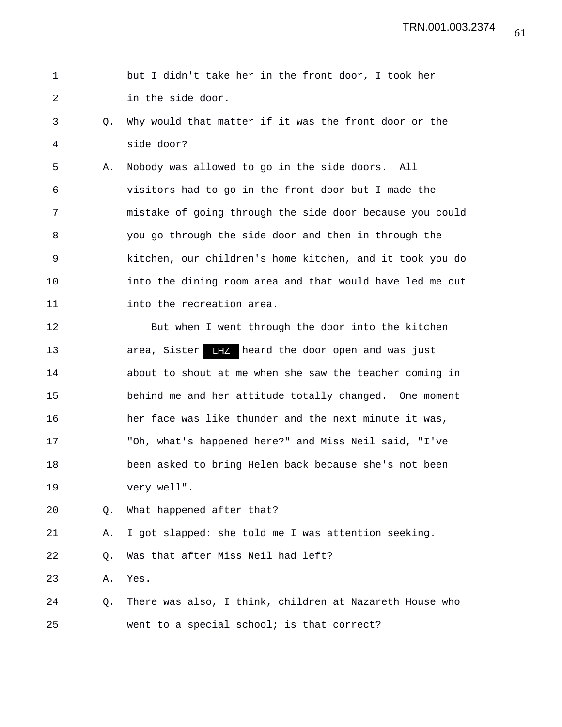## 1 but I didn't take her in the front door, I took her 2 in the side door.

3 Q. Why would that matter if it was the front door or the 4 side door?

5 A. Nobody was allowed to go in the side doors. All 6 visitors had to go in the front door but I made the 7 mistake of going through the side door because you could 8 you go through the side door and then in through the 9 kitchen, our children's home kitchen, and it took you do 10 into the dining room area and that would have led me out 11 **into the recreation area.** 

12 But when I went through the door into the kitchen 13 area, Sister heard the door open and was just LHZ14 about to shout at me when she saw the teacher coming in 15 behind me and her attitude totally changed. One moment 16 her face was like thunder and the next minute it was, 17 "Oh, what's happened here?" and Miss Neil said, "I've 18 been asked to bring Helen back because she's not been 19 very well".

20 Q. What happened after that?

21 A. I got slapped: she told me I was attention seeking.

22 Q. Was that after Miss Neil had left?

23 A. Yes.

24 Q. There was also, I think, children at Nazareth House who 25 went to a special school; is that correct?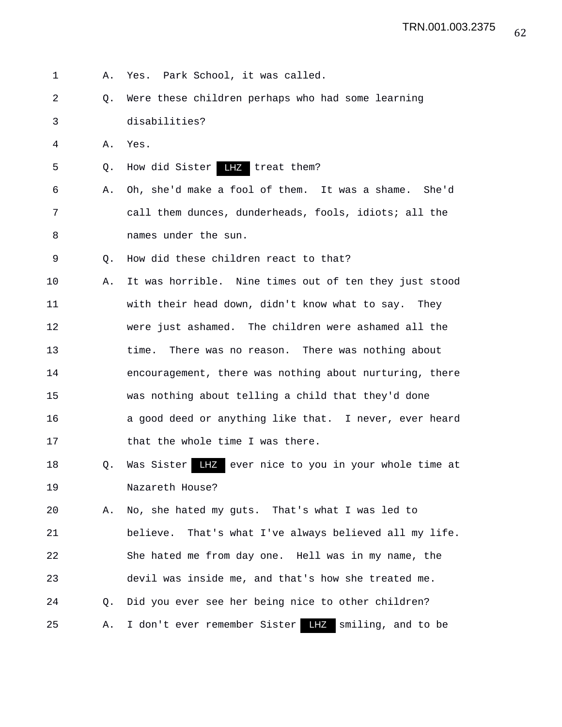- 1 A. Yes. Park School, it was called.
- 2 Q. Were these children perhaps who had some learning 3 disabilities?
- 4 A. Yes.
- 5 Q. How did Sister LHZ treat them?
- 6 A. Oh, she'd make a fool of them. It was a shame. She'd 7 call them dunces, dunderheads, fools, idiots; all the 8 names under the sun.
- 9 Q. How did these children react to that?
- 10 A. It was horrible. Nine times out of ten they just stood 11 with their head down, didn't know what to say. They 12 were just ashamed. The children were ashamed all the 13 time. There was no reason. There was nothing about 14 encouragement, there was nothing about nurturing, there 15 was nothing about telling a child that they'd done 16 a good deed or anything like that. I never, ever heard 17 that the whole time I was there.
- 18 Q. Was Sister **LHZ** ever nice to you in your whole time at 19 Nazareth House?
- 20 A. No, she hated my guts. That's what I was led to 21 believe. That's what I've always believed all my life. 22 She hated me from day one. Hell was in my name, the 23 devil was inside me, and that's how she treated me. 24 Q. Did you ever see her being nice to other children? 25 A. I don't ever remember Sister LHZ smiling, and to be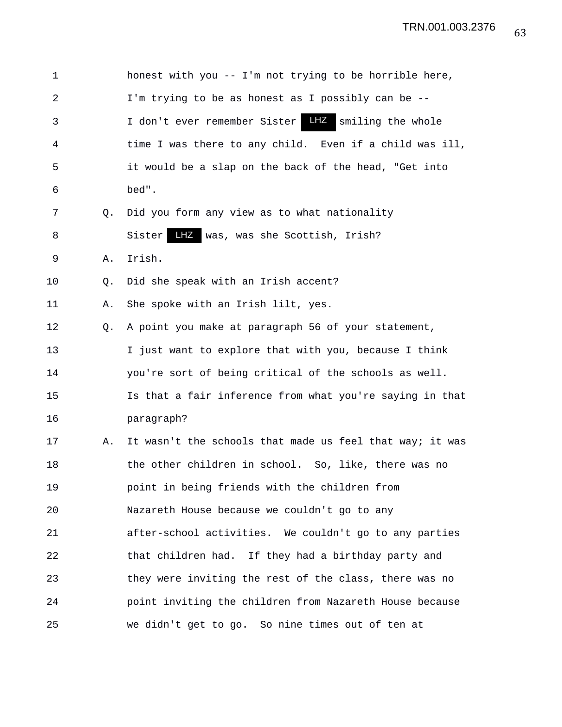| 1  |    | honest with you -- I'm not trying to be horrible here,   |
|----|----|----------------------------------------------------------|
| 2  |    | I'm trying to be as honest as I possibly can be --       |
| 3  |    | I don't ever remember Sister LIZ smiling the whole       |
| 4  |    | time I was there to any child. Even if a child was ill,  |
| 5  |    | it would be a slap on the back of the head, "Get into    |
| 6  |    | bed".                                                    |
| 7  | Q. | Did you form any view as to what nationality             |
| 8  |    | LHZ was, was she Scottish, Irish?<br>Sister              |
| 9  | Α. | Irish.                                                   |
| 10 | Q. | Did she speak with an Irish accent?                      |
| 11 | Α. | She spoke with an Irish lilt, yes.                       |
| 12 | Q. | A point you make at paragraph 56 of your statement,      |
| 13 |    | I just want to explore that with you, because I think    |
| 14 |    | you're sort of being critical of the schools as well.    |
| 15 |    | Is that a fair inference from what you're saying in that |
| 16 |    | paragraph?                                               |
| 17 | Α. | It wasn't the schools that made us feel that way; it was |
| 18 |    | the other children in school. So, like, there was no     |
| 19 |    | point in being friends with the children from            |
| 20 |    | Nazareth House because we couldn't go to any             |
| 21 |    | after-school activities. We couldn't go to any parties   |
| 22 |    | that children had. If they had a birthday party and      |
| 23 |    | they were inviting the rest of the class, there was no   |
| 24 |    | point inviting the children from Nazareth House because  |
| 25 |    | we didn't get to go. So nine times out of ten at         |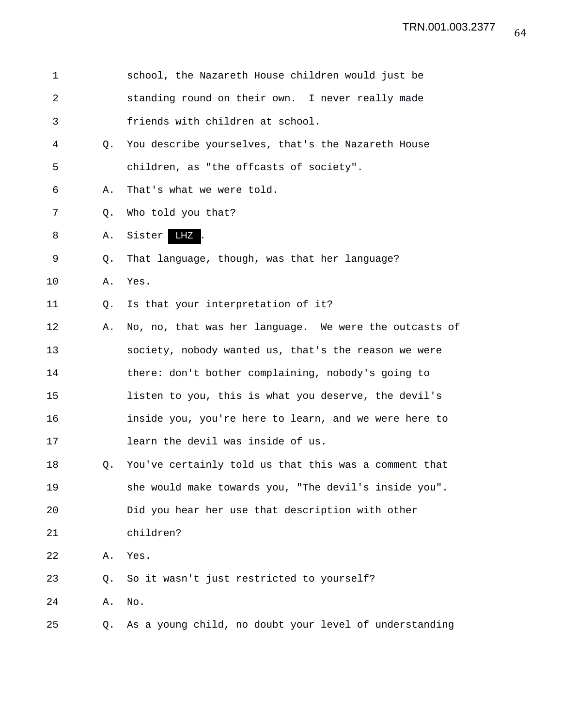| 1  |    | school, the Nazareth House children would just be      |
|----|----|--------------------------------------------------------|
| 2  |    | standing round on their own. I never really made       |
| 3  |    | friends with children at school.                       |
| 4  | Q. | You describe yourselves, that's the Nazareth House     |
| 5  |    | children, as "the offcasts of society".                |
| 6  | Α. | That's what we were told.                              |
| 7  | Q. | Who told you that?                                     |
| 8  | Α. | LHZ.<br>Sister                                         |
| 9  | Q. | That language, though, was that her language?          |
| 10 | Α. | Yes.                                                   |
| 11 | Q. | Is that your interpretation of it?                     |
| 12 | Α. | No, no, that was her language. We were the outcasts of |
| 13 |    | society, nobody wanted us, that's the reason we were   |
| 14 |    | there: don't bother complaining, nobody's going to     |
| 15 |    | listen to you, this is what you deserve, the devil's   |
| 16 |    | inside you, you're here to learn, and we were here to  |
| 17 |    | learn the devil was inside of us.                      |
| 18 | Q. | You've certainly told us that this was a comment that  |
| 19 |    | she would make towards you, "The devil's inside you".  |
| 20 |    | Did you hear her use that description with other       |
| 21 |    | children?                                              |
| 22 | Α. | Yes.                                                   |
| 23 | Q. | So it wasn't just restricted to yourself?              |
| 24 | Α. | No.                                                    |
| 25 | Q. | As a young child, no doubt your level of understanding |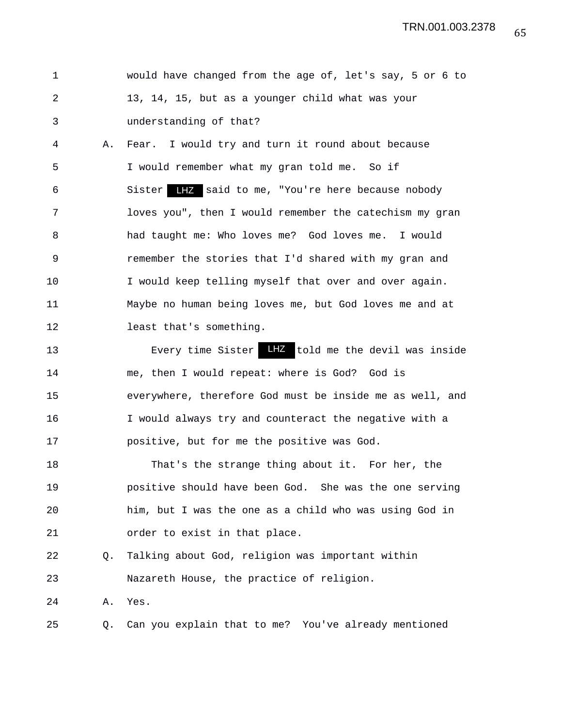1 would have changed from the age of, let's say, 5 or 6 to 2 13, 14, 15, but as a younger child what was your 3 understanding of that?

4 A. Fear. I would try and turn it round about because 5 I would remember what my gran told me. So if 6 Sister LHZ said to me, "You're here because nobody 7 loves you", then I would remember the catechism my gran 8 had taught me: Who loves me? God loves me. I would 9 remember the stories that I'd shared with my gran and 10 I would keep telling myself that over and over again. 11 Maybe no human being loves me, but God loves me and at 12 least that's something.

13 Every time Sister LHZ told me the devil was inside 14 me, then I would repeat: where is God? God is 15 everywhere, therefore God must be inside me as well, and 16 I would always try and counteract the negative with a 17 positive, but for me the positive was God.

18 That's the strange thing about it. For her, the 19 positive should have been God. She was the one serving 20 him, but I was the one as a child who was using God in 21 order to exist in that place.

22 Q. Talking about God, religion was important within 23 Nazareth House, the practice of religion.

24 A. Yes.

25 Q. Can you explain that to me? You've already mentioned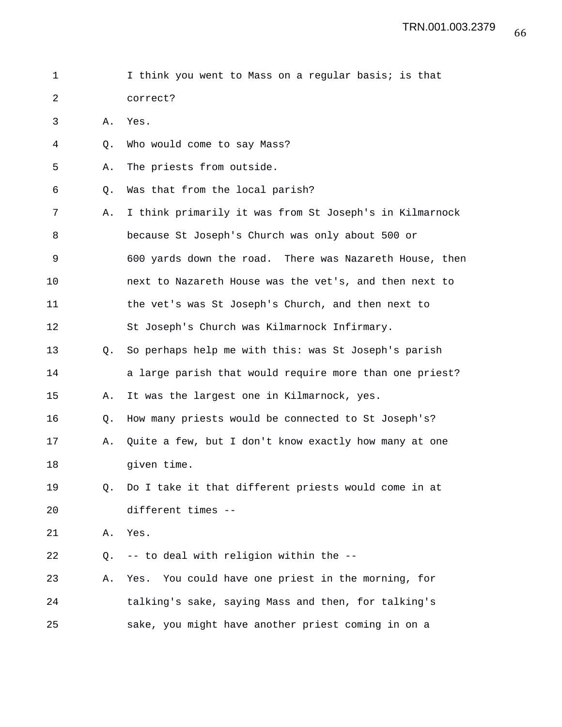1 I think you went to Mass on a regular basis; is that 2 correct?

3 A. Yes.

- 4 Q. Who would come to say Mass?
- 5 A. The priests from outside.
- 6 Q. Was that from the local parish?
- 7 A. I think primarily it was from St Joseph's in Kilmarnock 8 because St Joseph's Church was only about 500 or 9 600 yards down the road. There was Nazareth House, then 10 next to Nazareth House was the vet's, and then next to 11 the vet's was St Joseph's Church, and then next to 12 St Joseph's Church was Kilmarnock Infirmary. 13 Q. So perhaps help me with this: was St Joseph's parish 14 **a** large parish that would require more than one priest? 15 A. It was the largest one in Kilmarnock, yes. 16 Q. How many priests would be connected to St Joseph's?
- 17 A. Quite a few, but I don't know exactly how many at one 18 given time.

## 19 Q. Do I take it that different priests would come in at 20 different times --

21 A. Yes.

22 Q. -- to deal with religion within the --

23 A. Yes. You could have one priest in the morning, for 24 talking's sake, saying Mass and then, for talking's 25 sake, you might have another priest coming in on a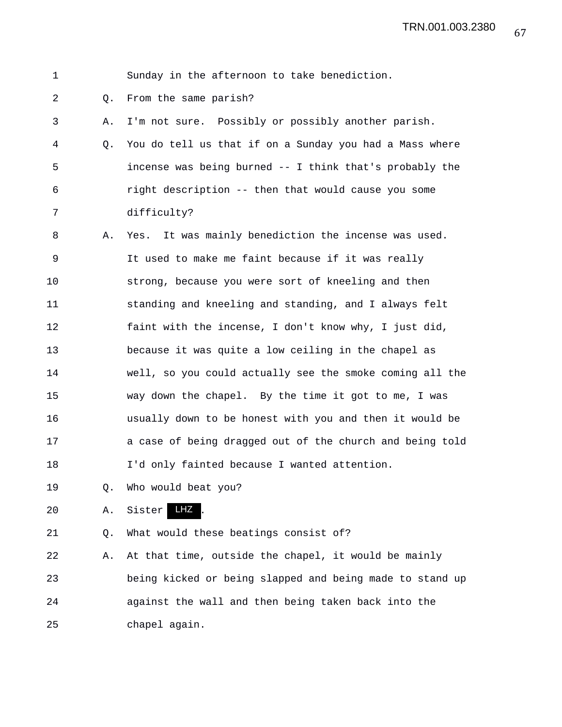## 1 Sunday in the afternoon to take benediction. 2 Q. From the same parish? 3 A. I'm not sure. Possibly or possibly another parish. 4 Q. You do tell us that if on a Sunday you had a Mass where 5 incense was being burned -- I think that's probably the 6 right description -- then that would cause you some 7 difficulty? 8 A. Yes. It was mainly benediction the incense was used. 9 It used to make me faint because if it was really 10 strong, because you were sort of kneeling and then 11 standing and kneeling and standing, and I always felt 12 faint with the incense, I don't know why, I just did, 13 because it was quite a low ceiling in the chapel as 14 well, so you could actually see the smoke coming all the 15 way down the chapel. By the time it got to me, I was 16 usually down to be honest with you and then it would be 17 a case of being dragged out of the church and being told 18 I'd only fainted because I wanted attention. 19 Q. Who would beat you? 20 A. Sister LHZ. 21 Q. What would these beatings consist of?

22 A. At that time, outside the chapel, it would be mainly 23 being kicked or being slapped and being made to stand up 24 against the wall and then being taken back into the 25 chapel again.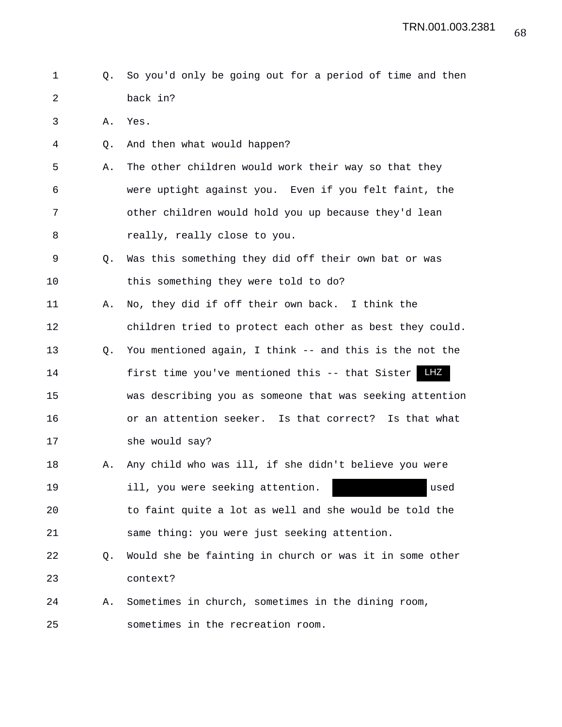- 1 Q. So you'd only be going out for a period of time and then 2 back in?
- 3 A. Yes.
- 4 Q. And then what would happen?
- 5 A. The other children would work their way so that they 6 were uptight against you. Even if you felt faint, the 7 other children would hold you up because they'd lean 8 really, really close to you.
- 9 Q. Was this something they did off their own bat or was 10 this something they were told to do?
- 11 A. No, they did if off their own back. I think the 12 children tried to protect each other as best they could.
- 13 Q. You mentioned again, I think -- and this is the not the 14 first time you've mentioned this -- that Sister LHZ 15 was describing you as someone that was seeking attention 16 or an attention seeker. Is that correct? Is that what
- 17 she would say?
- 18 A. Any child who was ill, if she didn't believe you were 19 ill, you were seeking attention. used 20 to faint quite a lot as well and she would be told the
- 21 same thing: you were just seeking attention.
- 22 Q. Would she be fainting in church or was it in some other 23 context?
- 24 A. Sometimes in church, sometimes in the dining room, 25 sometimes in the recreation room.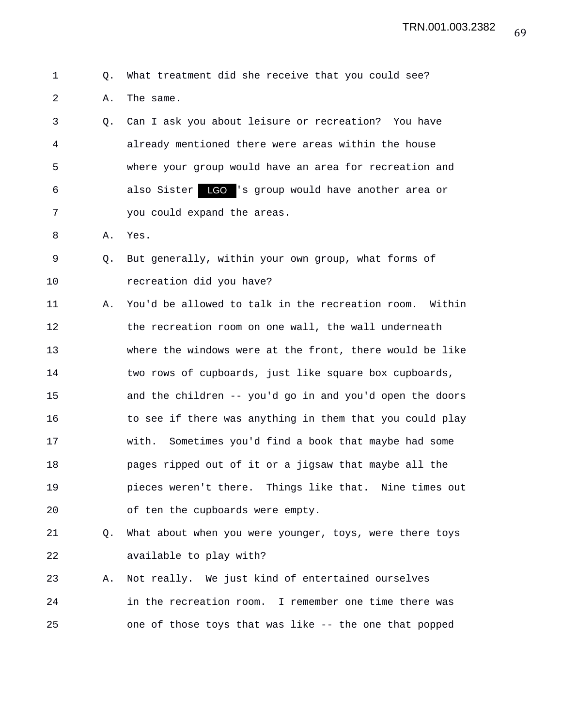```
1 Q. What treatment did she receive that you could see?
2 A. The same.
```
3 Q. Can I ask you about leisure or recreation? You have 4 already mentioned there were areas within the house 5 where your group would have an area for recreation and 6 6 also Sister LGO 's group would have another area or 7 you could expand the areas.

- 8 A. Yes.
- 9 Q. But generally, within your own group, what forms of 10 recreation did you have?

11 A. You'd be allowed to talk in the recreation room. Within 12 the recreation room on one wall, the wall underneath 13 where the windows were at the front, there would be like 14 two rows of cupboards, just like square box cupboards, 15 and the children -- you'd go in and you'd open the doors 16 to see if there was anything in them that you could play 17 with. Sometimes you'd find a book that maybe had some 18 pages ripped out of it or a jigsaw that maybe all the 19 pieces weren't there. Things like that. Nine times out 20 of ten the cupboards were empty.

- 21 Q. What about when you were younger, toys, were there toys 22 available to play with?
- 23 A. Not really. We just kind of entertained ourselves 24 in the recreation room. I remember one time there was 25 one of those toys that was like -- the one that popped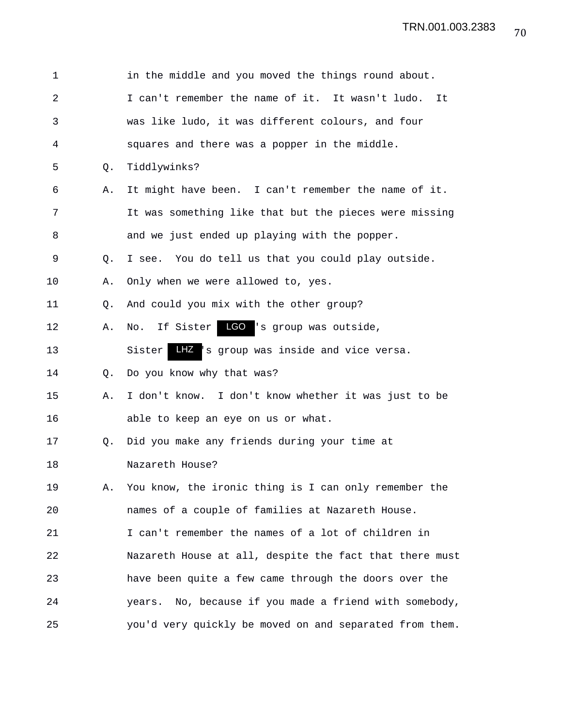| 1              |    | in the middle and you moved the things round about.     |
|----------------|----|---------------------------------------------------------|
| $\overline{a}$ |    | I can't remember the name of it. It wasn't ludo.<br>It  |
| 3              |    | was like ludo, it was different colours, and four       |
| 4              |    | squares and there was a popper in the middle.           |
| 5              | Q. | Tiddlywinks?                                            |
| 6              | Α. | It might have been. I can't remember the name of it.    |
| 7              |    | It was something like that but the pieces were missing  |
| 8              |    | and we just ended up playing with the popper.           |
| 9              | Q. | I see. You do tell us that you could play outside.      |
| 10             | Α. | Only when we were allowed to, yes.                      |
| 11             | Q. | And could you mix with the other group?                 |
| 12             | Α. | LGO 's group was outside,<br>If Sister<br>No.           |
| 13             |    | LHZ 's group was inside and vice versa.<br>Sister       |
| 14             | O. | Do you know why that was?                               |
| 15             | Α. | I don't know. I don't know whether it was just to be    |
| 16             |    | able to keep an eye on us or what.                      |
| 17             | Q. | Did you make any friends during your time at            |
| 18             |    | Nazareth House?                                         |
| 19             | Α. | You know, the ironic thing is I can only remember the   |
| 20             |    | names of a couple of families at Nazareth House.        |
| 21             |    | I can't remember the names of a lot of children in      |
| 22             |    | Nazareth House at all, despite the fact that there must |
| 23             |    | have been quite a few came through the doors over the   |
| 24             |    | years. No, because if you made a friend with somebody,  |
| 25             |    | you'd very quickly be moved on and separated from them. |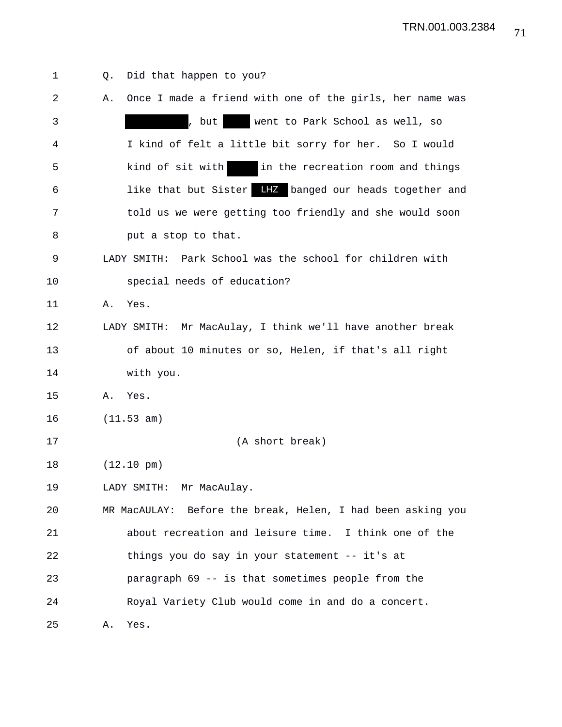| 1  | Did that happen to you?<br>Q.                                  |
|----|----------------------------------------------------------------|
| 2  | Once I made a friend with one of the girls, her name was<br>Α. |
| 3  | , but<br>went to Park School as well, so                       |
| 4  | I kind of felt a little bit sorry for her. So I would          |
| 5  | in the recreation room and things<br>kind of sit with          |
| 6  | like that but Sister LIZ banged our heads together and         |
| 7  | told us we were getting too friendly and she would soon        |
| 8  | put a stop to that.                                            |
| 9  | LADY SMITH: Park School was the school for children with       |
| 10 | special needs of education?                                    |
| 11 | Yes.<br>Α.                                                     |
| 12 | LADY SMITH: Mr MacAulay, I think we'll have another break      |
| 13 | of about 10 minutes or so, Helen, if that's all right          |
| 14 | with you.                                                      |
| 15 | Α.<br>Yes.                                                     |
| 16 | (11.53 am)                                                     |
| 17 | (A short break)                                                |
| 18 | $(12.10 \text{ pm})$                                           |
| 19 | LADY SMITH: Mr MacAulay.                                       |
| 20 | MR MacAULAY: Before the break, Helen, I had been asking you    |
| 21 | about recreation and leisure time. I think one of the          |
| 22 | things you do say in your statement -- it's at                 |
| 23 | paragraph 69 -- is that sometimes people from the              |
| 24 | Royal Variety Club would come in and do a concert.             |
| 25 | Yes.<br>Α.                                                     |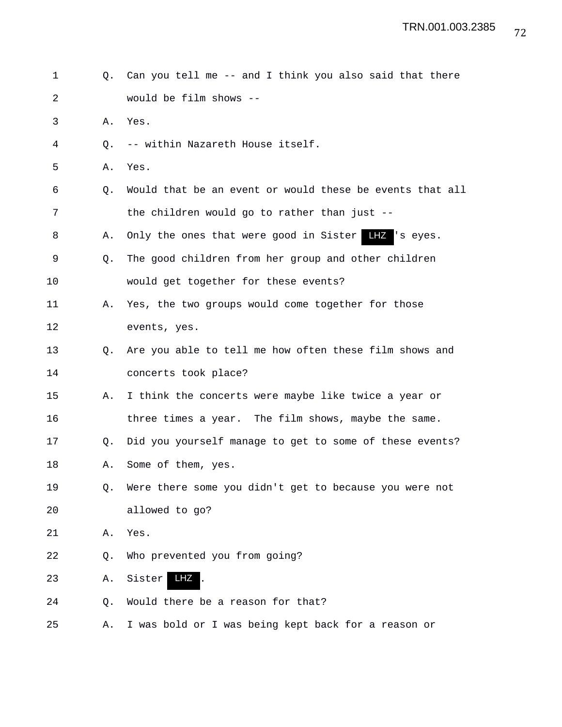| $\mathbf 1$ | Q.          | Can you tell me -- and I think you also said that there  |
|-------------|-------------|----------------------------------------------------------|
| 2           |             | would be film shows --                                   |
| 3           | Α.          | Yes.                                                     |
| 4           | O.          | -- within Nazareth House itself.                         |
| 5           | Α.          | Yes.                                                     |
| 6           | O.          | Would that be an event or would these be events that all |
| 7           |             | the children would go to rather than just --             |
| 8           | Α.          | Only the ones that were good in Sister HIZ 's eyes.      |
| 9           | $Q_{\star}$ | The good children from her group and other children      |
| 10          |             | would get together for these events?                     |
| 11          | Α.          | Yes, the two groups would come together for those        |
| 12          |             | events, yes.                                             |
| 13          | O.          | Are you able to tell me how often these film shows and   |
| 14          |             | concerts took place?                                     |
| 15          | Α.          | I think the concerts were maybe like twice a year or     |
| 16          |             | three times a year. The film shows, maybe the same.      |
| 17          | Q.          | Did you yourself manage to get to some of these events?  |
| 18          | Α.          | Some of them, yes.                                       |
| 19          | О.          | Were there some you didn't get to because you were not   |
| 20          |             | allowed to go?                                           |
| 21          | Α.          | Yes.                                                     |
| 22          | Q.          | Who prevented you from going?                            |
| 23          | Α.          | Sister<br>LHZ                                            |
| 24          | Q.          | Would there be a reason for that?                        |
| 25          | Α.          | I was bold or I was being kept back for a reason or      |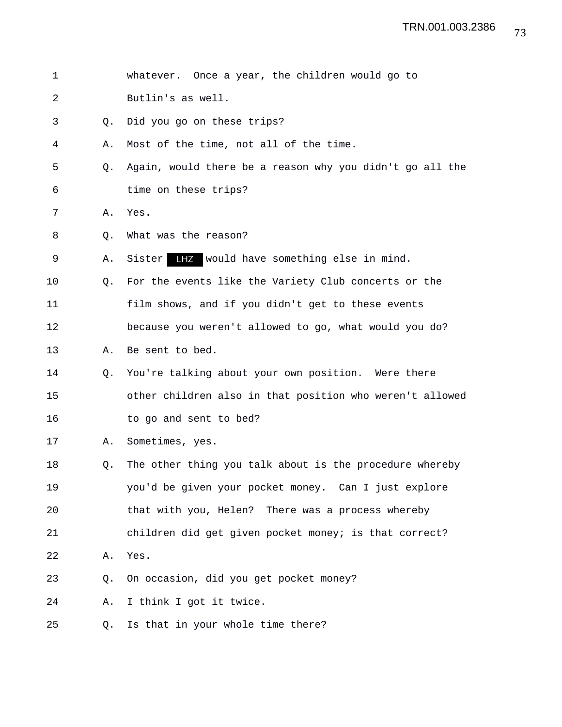| 1              |    | whatever. Once a year, the children would go to          |
|----------------|----|----------------------------------------------------------|
| $\overline{2}$ |    | Butlin's as well.                                        |
| 3              | O. | Did you go on these trips?                               |
| 4              | Α. | Most of the time, not all of the time.                   |
| 5              | Q. | Again, would there be a reason why you didn't go all the |
| 6              |    | time on these trips?                                     |
| 7              | Α. | Yes.                                                     |
| 8              | Q. | What was the reason?                                     |
| 9              | Α. | LHZ would have something else in mind.<br>Sister         |
| 10             | O. | For the events like the Variety Club concerts or the     |
| 11             |    | film shows, and if you didn't get to these events        |
| 12             |    | because you weren't allowed to go, what would you do?    |
| 13             | Α. | Be sent to bed.                                          |
| 14             | Q. | You're talking about your own position. Were there       |
| 15             |    | other children also in that position who weren't allowed |
| 16             |    | to go and sent to bed?                                   |
| 17             | Α. | Sometimes, yes.                                          |
| 18             | Q. | The other thing you talk about is the procedure whereby  |
| 19             |    | you'd be given your pocket money. Can I just explore     |
| 20             |    | that with you, Helen? There was a process whereby        |
| 21             |    | children did get given pocket money; is that correct?    |
| 22             | Α. | Yes.                                                     |
| 23             | Q. | On occasion, did you get pocket money?                   |
| 24             | Α. | I think I got it twice.                                  |
| 25             | Q. | Is that in your whole time there?                        |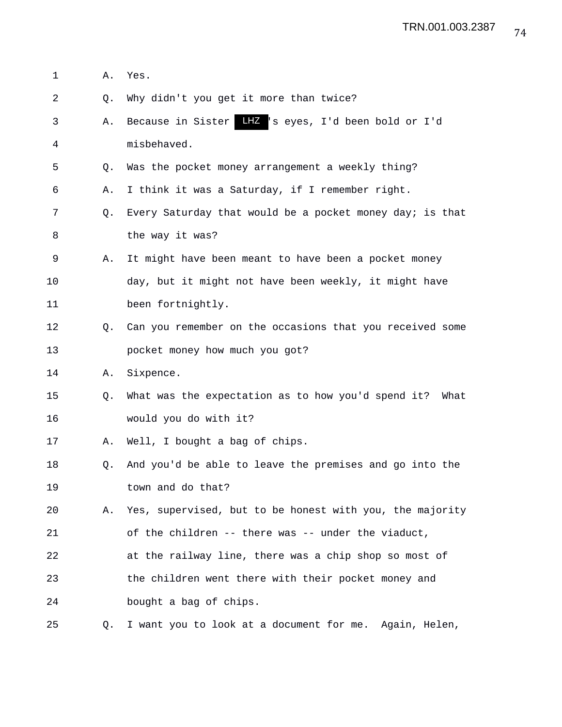- 1 A. Yes.
- 2 Q. Why didn't you get it more than twice?
- 3 A. Because in Sister LHZ 's eyes, I'd been bold or I'd 4 misbehaved.
- 5 Q. Was the pocket money arrangement a weekly thing?
- 6 A. I think it was a Saturday, if I remember right.
- 7 Q. Every Saturday that would be a pocket money day; is that 8 the way it was?
- 9 A. It might have been meant to have been a pocket money 10 day, but it might not have been weekly, it might have 11 been fortnightly.
- 12 Q. Can you remember on the occasions that you received some 13 pocket money how much you got?
- 14 A. Sixpence.
- 15 Q. What was the expectation as to how you'd spend it? What 16 would you do with it?
- 17 A. Well, I bought a bag of chips.
- 18 Q. And you'd be able to leave the premises and go into the 19 town and do that?
- 20 A. Yes, supervised, but to be honest with you, the majority 21 of the children -- there was -- under the viaduct,
- 22 at the railway line, there was a chip shop so most of 23 the children went there with their pocket money and 24 bought a bag of chips.
- 25 Q. I want you to look at a document for me. Again, Helen,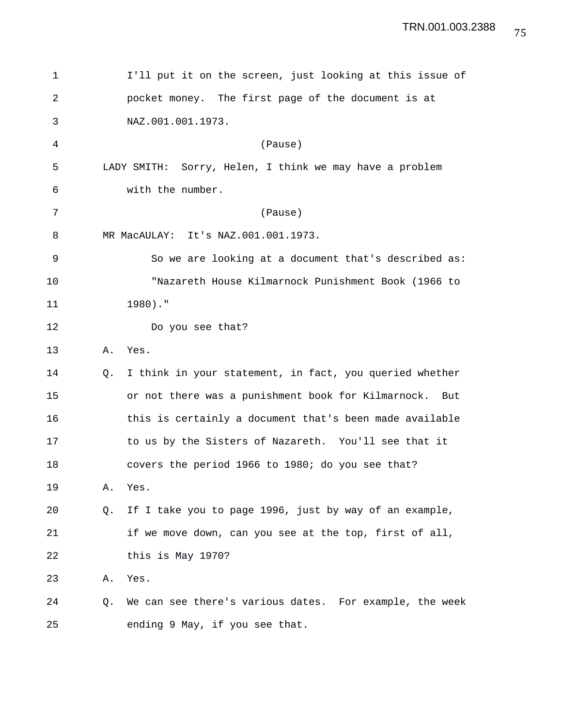| 1  | I'll put it on the screen, just looking at this issue of      |
|----|---------------------------------------------------------------|
| 2  | pocket money. The first page of the document is at            |
| 3  | NAZ.001.001.1973.                                             |
| 4  | (Pause)                                                       |
| 5  | LADY SMITH: Sorry, Helen, I think we may have a problem       |
| 6  | with the number.                                              |
| 7  | (Pause)                                                       |
| 8  | MR MacAULAY: It's NAZ.001.001.1973.                           |
| 9  | So we are looking at a document that's described as:          |
| 10 | "Nazareth House Kilmarnock Punishment Book (1966 to           |
| 11 | $1980)$ ."                                                    |
| 12 | Do you see that?                                              |
| 13 | Yes.<br>Α.                                                    |
| 14 | I think in your statement, in fact, you queried whether<br>О. |
| 15 | or not there was a punishment book for Kilmarnock.<br>But     |
| 16 | this is certainly a document that's been made available       |
| 17 | to us by the Sisters of Nazareth. You'll see that it          |
| 18 | covers the period 1966 to 1980; do you see that?              |
| 19 | Yes.<br>Α.                                                    |
| 20 | If I take you to page 1996, just by way of an example,<br>O.  |
| 21 | if we move down, can you see at the top, first of all,        |
| 22 | this is May 1970?                                             |
| 23 | Yes.<br>Α.                                                    |
| 24 | We can see there's various dates. For example, the week<br>Q. |
| 25 | ending 9 May, if you see that.                                |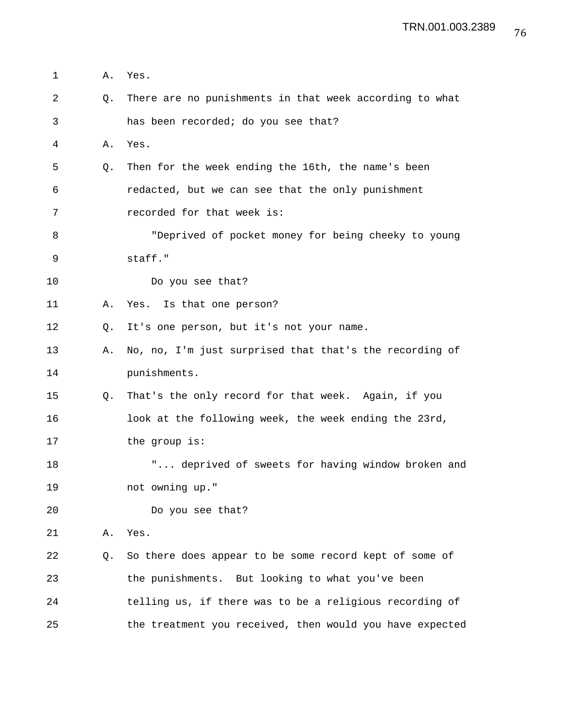| 1  | Α. | Yes.                                                     |
|----|----|----------------------------------------------------------|
| 2  | Q. | There are no punishments in that week according to what  |
| 3  |    | has been recorded; do you see that?                      |
| 4  | Α. | Yes.                                                     |
| 5  | Q. | Then for the week ending the 16th, the name's been       |
| 6  |    | redacted, but we can see that the only punishment        |
| 7  |    | recorded for that week is:                               |
| 8  |    | "Deprived of pocket money for being cheeky to young      |
| 9  |    | staff."                                                  |
| 10 |    | Do you see that?                                         |
| 11 | Α. | Yes. Is that one person?                                 |
| 12 | Q. | It's one person, but it's not your name.                 |
| 13 | Α. | No, no, I'm just surprised that that's the recording of  |
| 14 |    | punishments.                                             |
| 15 | Q. | That's the only record for that week. Again, if you      |
| 16 |    | look at the following week, the week ending the 23rd,    |
| 17 |    | the group is:                                            |
| 18 |    | " deprived of sweets for having window broken and        |
| 19 |    | not owning up."                                          |
| 20 |    | Do you see that?                                         |
| 21 | Α. | Yes.                                                     |
| 22 | Q. | So there does appear to be some record kept of some of   |
| 23 |    | the punishments. But looking to what you've been         |
| 24 |    | telling us, if there was to be a religious recording of  |
| 25 |    | the treatment you received, then would you have expected |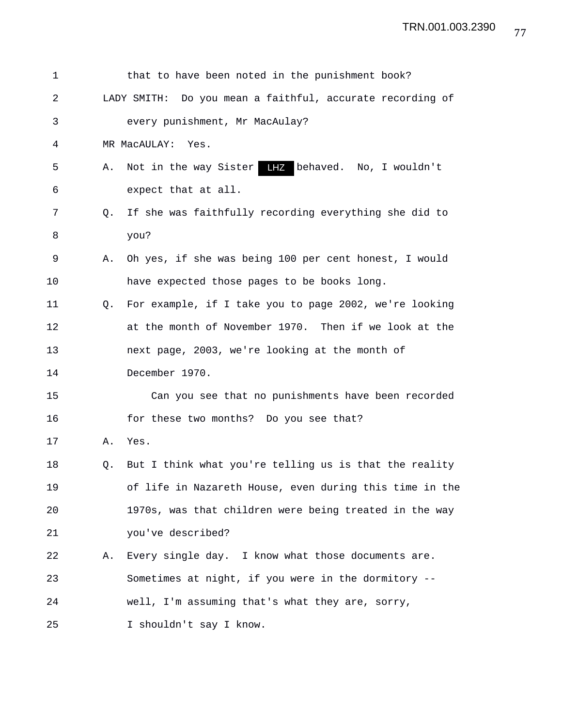| 1  |    | that to have been noted in the punishment book?           |
|----|----|-----------------------------------------------------------|
| 2  |    | LADY SMITH: Do you mean a faithful, accurate recording of |
| 3  |    | every punishment, Mr MacAulay?                            |
| 4  |    | MR MacAULAY: Yes.                                         |
| 5  | Α. | Not in the way Sister LHZ behaved. No, I wouldn't         |
| 6  |    | expect that at all.                                       |
| 7  | O. | If she was faithfully recording everything she did to     |
| 8  |    | you?                                                      |
| 9  | Α. | Oh yes, if she was being 100 per cent honest, I would     |
| 10 |    | have expected those pages to be books long.               |
| 11 | O. | For example, if I take you to page 2002, we're looking    |
| 12 |    | at the month of November 1970. Then if we look at the     |
| 13 |    | next page, 2003, we're looking at the month of            |
| 14 |    | December 1970.                                            |
| 15 |    | Can you see that no punishments have been recorded        |
| 16 |    | for these two months? Do you see that?                    |
| 17 | Α. | Yes.                                                      |
| 18 | Q. | But I think what you're telling us is that the reality    |
| 19 |    | of life in Nazareth House, even during this time in the   |
| 20 |    | 1970s, was that children were being treated in the way    |
| 21 |    | you've described?                                         |
| 22 | Α. | Every single day. I know what those documents are.        |
| 23 |    | Sometimes at night, if you were in the dormitory --       |
| 24 |    | well, I'm assuming that's what they are, sorry,           |
| 25 |    | I shouldn't say I know.                                   |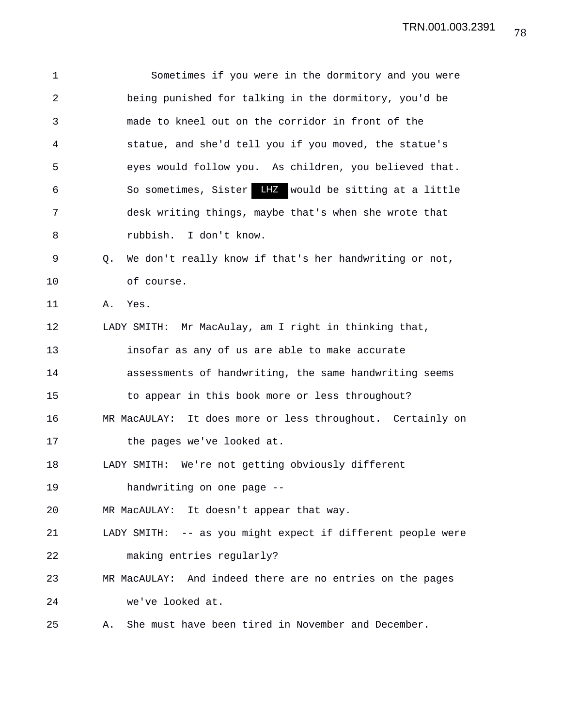1 Sometimes if you were in the dormitory and you were 2 being punished for talking in the dormitory, you'd be 3 made to kneel out on the corridor in front of the 4 statue, and she'd tell you if you moved, the statue's 5 eyes would follow you. As children, you believed that. 6 So sometimes, Sister LHZ would be sitting at a little 7 desk writing things, maybe that's when she wrote that 8 rubbish. I don't know. 9 Q. We don't really know if that's her handwriting or not, 10 of course. 11 A. Yes. 12 LADY SMITH: Mr MacAulay, am I right in thinking that, 13 insofar as any of us are able to make accurate 14 assessments of handwriting, the same handwriting seems 15 to appear in this book more or less throughout? 16 MR MacAULAY: It does more or less throughout. Certainly on 17 the pages we've looked at. 18 LADY SMITH: We're not getting obviously different 19 handwriting on one page -- 20 MR MacAULAY: It doesn't appear that way. 21 LADY SMITH: -- as you might expect if different people were 22 making entries regularly? 23 MR MacAULAY: And indeed there are no entries on the pages 24 we've looked at. 25 A. She must have been tired in November and December.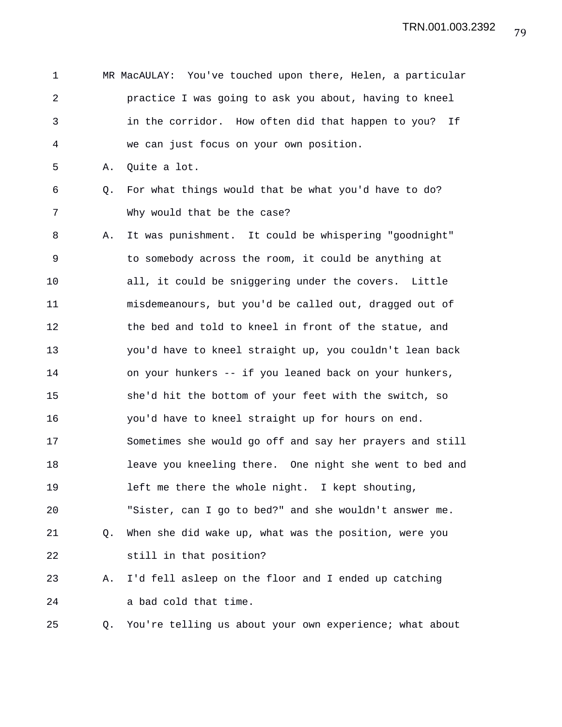| $\mathbf 1$    |    | MR MacAULAY: You've touched upon there, Helen, a particular |
|----------------|----|-------------------------------------------------------------|
| $\overline{2}$ |    | practice I was going to ask you about, having to kneel      |
| 3              |    | in the corridor. How often did that happen to you?<br>If    |
| 4              |    | we can just focus on your own position.                     |
| 5              | Α. | Quite a lot.                                                |
| 6              | Q. | For what things would that be what you'd have to do?        |
| 7              |    | Why would that be the case?                                 |
| 8              | Α. | It was punishment. It could be whispering "goodnight"       |
| 9              |    | to somebody across the room, it could be anything at        |
| 10             |    | all, it could be sniggering under the covers. Little        |
| 11             |    | misdemeanours, but you'd be called out, dragged out of      |
| 12             |    | the bed and told to kneel in front of the statue, and       |
| 13             |    | you'd have to kneel straight up, you couldn't lean back     |
| 14             |    | on your hunkers -- if you leaned back on your hunkers,      |
| 15             |    | she'd hit the bottom of your feet with the switch, so       |
| 16             |    | you'd have to kneel straight up for hours on end.           |
| 17             |    | Sometimes she would go off and say her prayers and still    |
| 18             |    | leave you kneeling there. One night she went to bed and     |
| 19             |    | left me there the whole night. I kept shouting,             |
| 20             |    | "Sister, can I go to bed?" and she wouldn't answer me.      |
| 21             | Q. | When she did wake up, what was the position, were you       |
| 22             |    | still in that position?                                     |
| 23             | Α. | I'd fell asleep on the floor and I ended up catching        |
| 24             |    | a bad cold that time.                                       |
| 25             | Q. | You're telling us about your own experience; what about     |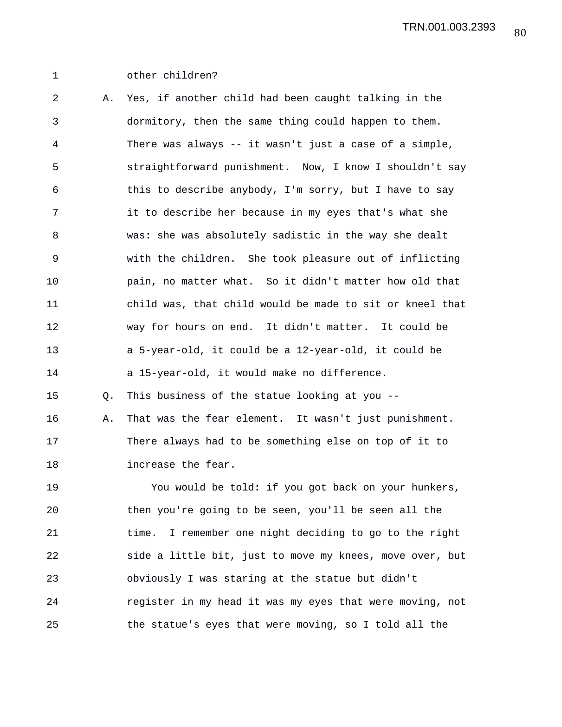## 1 other children?

2 A. Yes, if another child had been caught talking in the 3 dormitory, then the same thing could happen to them. 4 There was always -- it wasn't just a case of a simple, 5 straightforward punishment. Now, I know I shouldn't say 6 this to describe anybody, I'm sorry, but I have to say 7 it to describe her because in my eyes that's what she 8 was: she was absolutely sadistic in the way she dealt 9 with the children. She took pleasure out of inflicting 10 pain, no matter what. So it didn't matter how old that 11 child was, that child would be made to sit or kneel that 12 way for hours on end. It didn't matter. It could be 13 a 5-year-old, it could be a 12-year-old, it could be 14 a 15-year-old, it would make no difference. 15 Q. This business of the statue looking at you -- 16 A. That was the fear element. It wasn't just punishment. 17 There always had to be something else on top of it to 18 increase the fear. 19 You would be told: if you got back on your hunkers, 20 then you're going to be seen, you'll be seen all the

21 time. I remember one night deciding to go to the right 22 side a little bit, just to move my knees, move over, but 23 obviously I was staring at the statue but didn't 24 register in my head it was my eyes that were moving, not 25 the statue's eyes that were moving, so I told all the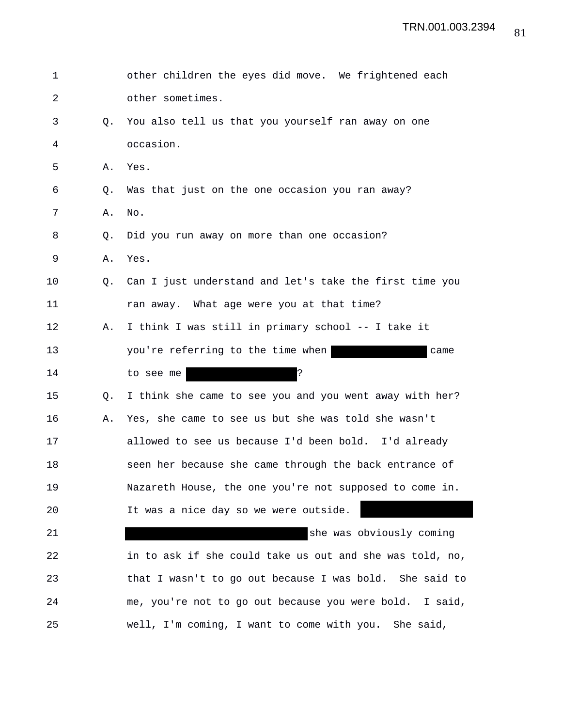| 1  |           | other children the eyes did move. We frightened each     |
|----|-----------|----------------------------------------------------------|
| 2  |           | other sometimes.                                         |
| 3  | О.        | You also tell us that you yourself ran away on one       |
| 4  |           | occasion.                                                |
| 5  | Α.        | Yes.                                                     |
| 6  | Q.        | Was that just on the one occasion you ran away?          |
| 7  | Α.        | No.                                                      |
| 8  | Q.        | Did you run away on more than one occasion?              |
| 9  | Α.        | Yes.                                                     |
| 10 | $\circ$ . | Can I just understand and let's take the first time you  |
| 11 |           | ran away. What age were you at that time?                |
| 12 | Α.        | I think I was still in primary school -- I take it       |
| 13 |           | you're referring to the time when<br>came                |
| 14 |           | S.<br>to see me                                          |
| 15 | Q.        | I think she came to see you and you went away with her?  |
| 16 | Α.        | Yes, she came to see us but she was told she wasn't      |
| 17 |           | allowed to see us because I'd been bold. I'd already     |
| 18 |           | seen her because she came through the back entrance of   |
| 19 |           | Nazareth House, the one you're not supposed to come in.  |
| 20 |           | It was a nice day so we were outside.                    |
| 21 |           | she was obviously coming                                 |
| 22 |           | in to ask if she could take us out and she was told, no, |
| 23 |           | that I wasn't to go out because I was bold. She said to  |
| 24 |           | me, you're not to go out because you were bold. I said,  |
| 25 |           | well, I'm coming, I want to come with you.<br>She said,  |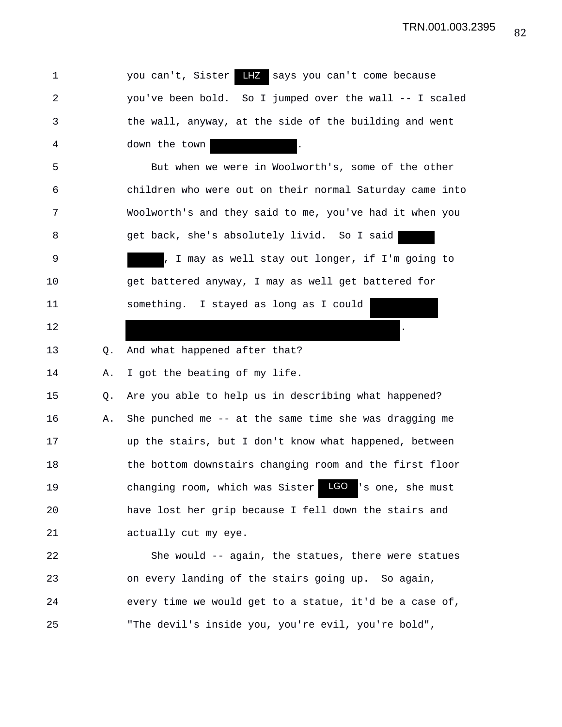TRN.001.003.2395

1 vou can't, Sister LHZ says you can't come because 2 you've been bold. So I jumped over the wall -- I scaled 3 the wall, anyway, at the side of the building and went 4 down the town 5 But when we were in Woolworth's, some of the other 6 children who were out on their normal Saturday came into 7 Woolworth's and they said to me, you've had it when you 8 get back, she's absolutely livid. So I said 9 , I may as well stay out longer, if I'm going to 10 get battered anyway, I may as well get battered for 11 something. I stayed as long as I could  $12$ 13 O. And what happened after that? 14 A. I got the beating of my life. 15 Q. Are you able to help us in describing what happened? 16 A. She punched me -- at the same time she was dragging me 17 up the stairs, but I don't know what happened, between 18 the bottom downstairs changing room and the first floor 19 changing room, which was Sister LCO 's one, she must 20 have lost her grip because I fell down the stairs and 21 actually cut my eye. 22 She would -- again, the statues, there were statues 23 on every landing of the stairs going up. So again, 24 every time we would get to a statue, it'd be a case of, 25 "The devil's inside you, you're evil, you're bold", LGO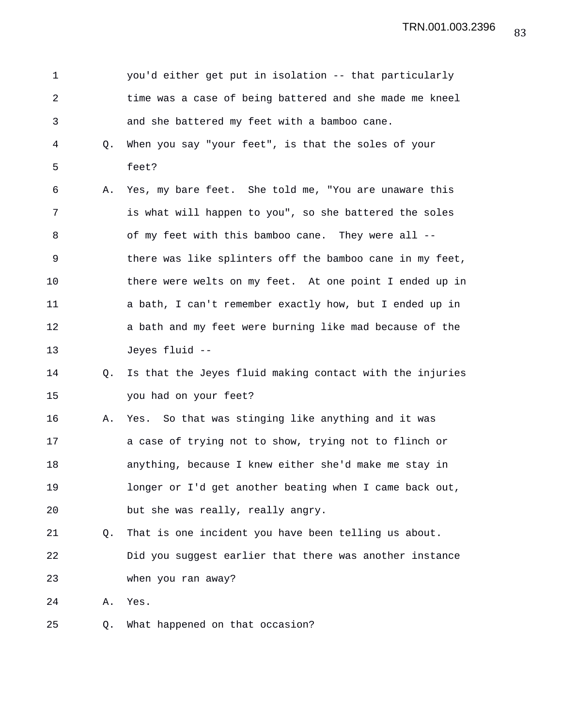1 you'd either get put in isolation -- that particularly 2 time was a case of being battered and she made me kneel 3 and she battered my feet with a bamboo cane. 4 Q. When you say "your feet", is that the soles of your 5 feet? 6 A. Yes, my bare feet. She told me, "You are unaware this 7 is what will happen to you", so she battered the soles 8 of my feet with this bamboo cane. They were all -- 9 there was like splinters off the bamboo cane in my feet, 10 there were welts on my feet. At one point I ended up in 11 a bath, I can't remember exactly how, but I ended up in 12 a bath and my feet were burning like mad because of the 13 Jeyes fluid -- 14 Q. Is that the Jeyes fluid making contact with the injuries 15 you had on your feet? 16 A. Yes. So that was stinging like anything and it was 17 a case of trying not to show, trying not to flinch or 18 anything, because I knew either she'd make me stay in 19 longer or I'd get another beating when I came back out, 20 but she was really, really angry. 21 Q. That is one incident you have been telling us about. 22 Did you suggest earlier that there was another instance 23 when you ran away? 24 A. Yes. 25 Q. What happened on that occasion?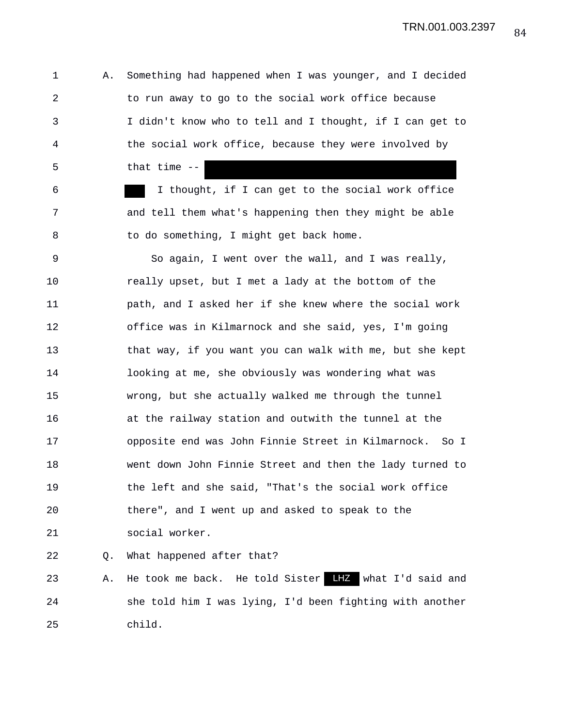TRN.001.003.2397

1 A. Something had happened when I was younger, and I decided 2 to run away to go to the social work office because 3 I didn't know who to tell and I thought, if I can get to 4 the social work office, because they were involved by 5 that time --

6 I thought, if I can get to the social work office 7 and tell them what's happening then they might be able 8 to do something, I might get back home.

9 So again, I went over the wall, and I was really, 10 really upset, but I met a lady at the bottom of the 11 path, and I asked her if she knew where the social work 12 office was in Kilmarnock and she said, yes, I'm going 13 that way, if you want you can walk with me, but she kept 14 looking at me, she obviously was wondering what was 15 wrong, but she actually walked me through the tunnel 16 at the railway station and outwith the tunnel at the 17 opposite end was John Finnie Street in Kilmarnock. So I 18 went down John Finnie Street and then the lady turned to 19 the left and she said, "That's the social work office 20 there", and I went up and asked to speak to the 21 social worker.

22 Q. What happened after that?

23 A. He took me back. He told Sister LHZ what I'd said and 24 she told him I was lying, I'd been fighting with another 25 child.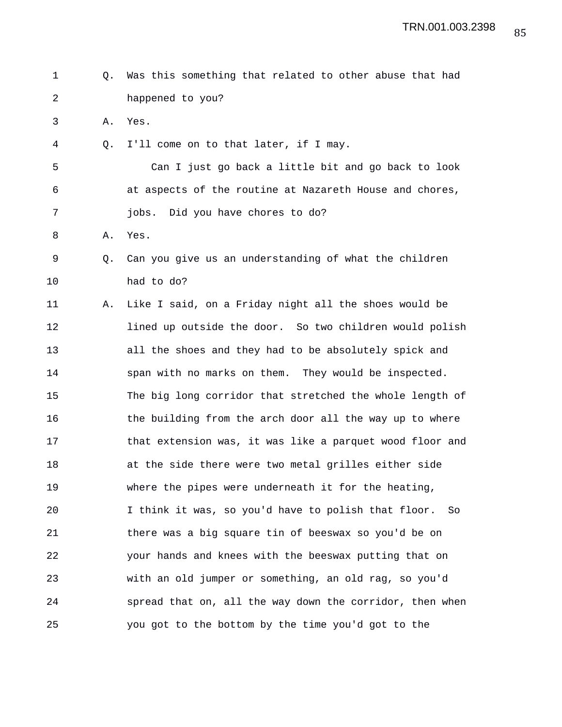- 1 Q. Was this something that related to other abuse that had 2 happened to you?
- 3 A. Yes.
- 4 Q. I'll come on to that later, if I may.

5 Can I just go back a little bit and go back to look 6 at aspects of the routine at Nazareth House and chores, 7 jobs. Did you have chores to do?

- 8 A. Yes.
- 9 Q. Can you give us an understanding of what the children 10 had to do?

11 A. Like I said, on a Friday night all the shoes would be 12 lined up outside the door. So two children would polish 13 all the shoes and they had to be absolutely spick and 14 span with no marks on them. They would be inspected. 15 The big long corridor that stretched the whole length of 16 the building from the arch door all the way up to where 17 that extension was, it was like a parquet wood floor and 18 at the side there were two metal grilles either side 19 where the pipes were underneath it for the heating, 20 I think it was, so you'd have to polish that floor. So 21 there was a big square tin of beeswax so you'd be on 22 your hands and knees with the beeswax putting that on 23 with an old jumper or something, an old rag, so you'd 24 spread that on, all the way down the corridor, then when 25 you got to the bottom by the time you'd got to the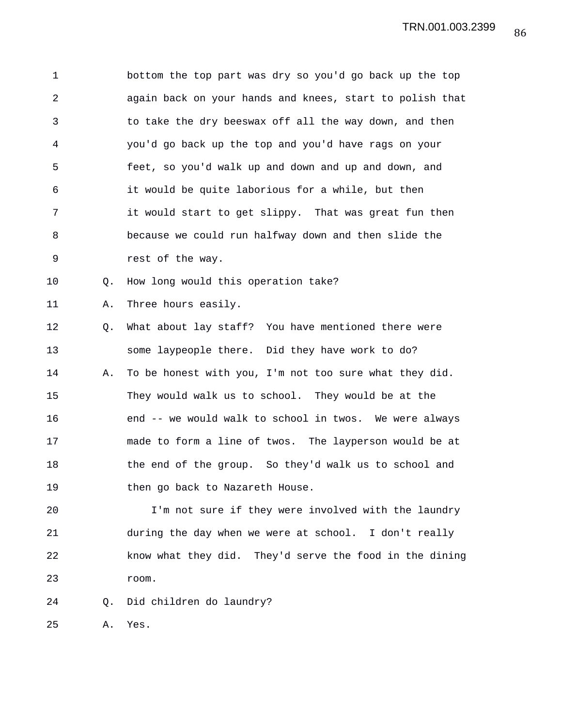1 bottom the top part was dry so you'd go back up the top 2 again back on your hands and knees, start to polish that 3 to take the dry beeswax off all the way down, and then 4 you'd go back up the top and you'd have rags on your 5 feet, so you'd walk up and down and up and down, and 6 it would be quite laborious for a while, but then 7 it would start to get slippy. That was great fun then 8 because we could run halfway down and then slide the 9 rest of the way.

10 Q. How long would this operation take?

11 A. Three hours easily.

12 Q. What about lay staff? You have mentioned there were 13 some laypeople there. Did they have work to do? 14 A. To be honest with you, I'm not too sure what they did. 15 They would walk us to school. They would be at the 16 end -- we would walk to school in twos. We were always 17 made to form a line of twos. The layperson would be at 18 the end of the group. So they'd walk us to school and 19 then go back to Nazareth House.

20 I'm not sure if they were involved with the laundry 21 during the day when we were at school. I don't really 22 know what they did. They'd serve the food in the dining 23 room.

24 Q. Did children do laundry?

25 A. Yes.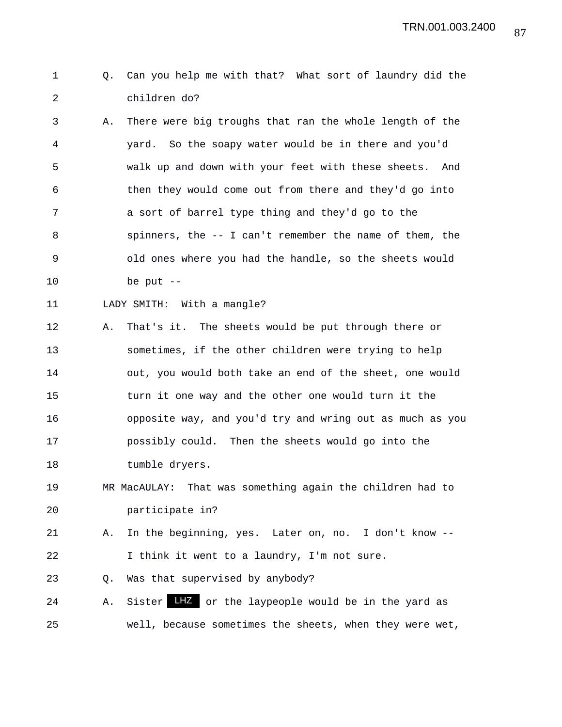## 1 Q. Can you help me with that? What sort of laundry did the 2 children do?

3 A. There were big troughs that ran the whole length of the 4 yard. So the soapy water would be in there and you'd 5 walk up and down with your feet with these sheets. And 6 then they would come out from there and they'd go into 7 a sort of barrel type thing and they'd go to the 8 spinners, the -- I can't remember the name of them, the 9 old ones where you had the handle, so the sheets would 10 be put --

```
11 LADY SMITH: With a mangle?
```
12 A. That's it. The sheets would be put through there or 13 sometimes, if the other children were trying to help 14 out, you would both take an end of the sheet, one would 15 turn it one way and the other one would turn it the 16 opposite way, and you'd try and wring out as much as you 17 possibly could. Then the sheets would go into the 18 tumble dryers.

19 MR MacAULAY: That was something again the children had to 20 participate in?

21 A. In the beginning, yes. Later on, no. I don't know -- 22 I think it went to a laundry, I'm not sure.

23 Q. Was that supervised by anybody?

24 A. Sister LHZ or the laypeople would be in the yard as 25 well, because sometimes the sheets, when they were wet,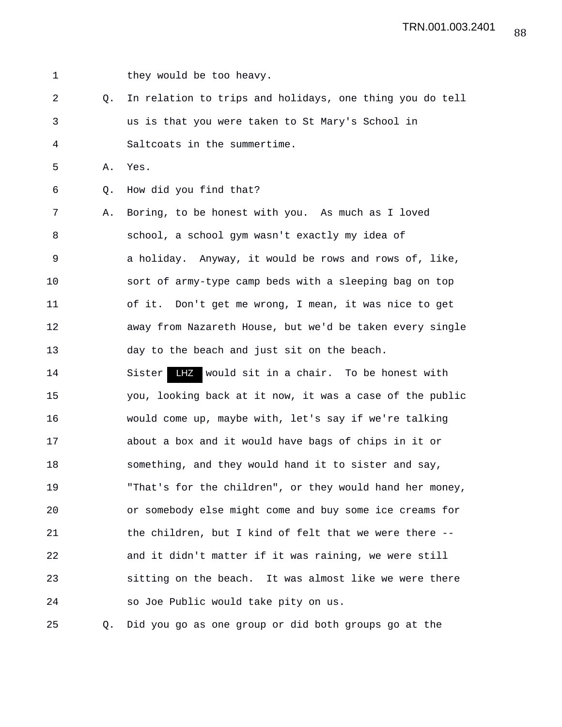1 they would be too heavy. 2 Q. In relation to trips and holidays, one thing you do tell 3 us is that you were taken to St Mary's School in 4 Saltcoats in the summertime. 5 A. Yes. 6 Q. How did you find that? 7 A. Boring, to be honest with you. As much as I loved 8 school, a school gym wasn't exactly my idea of 9 a holiday. Anyway, it would be rows and rows of, like, 10 sort of army-type camp beds with a sleeping bag on top 11 of it. Don't get me wrong, I mean, it was nice to get 12 away from Nazareth House, but we'd be taken every single 13 day to the beach and just sit on the beach. 14 Sister LHZ would sit in a chair. To be honest with 15 you, looking back at it now, it was a case of the public 16 would come up, maybe with, let's say if we're talking 17 about a box and it would have bags of chips in it or 18 something, and they would hand it to sister and say, 19 "That's for the children", or they would hand her money, 20 or somebody else might come and buy some ice creams for 21 the children, but I kind of felt that we were there -- 22 and it didn't matter if it was raining, we were still 23 sitting on the beach. It was almost like we were there 24 so Joe Public would take pity on us.

25 Q. Did you go as one group or did both groups go at the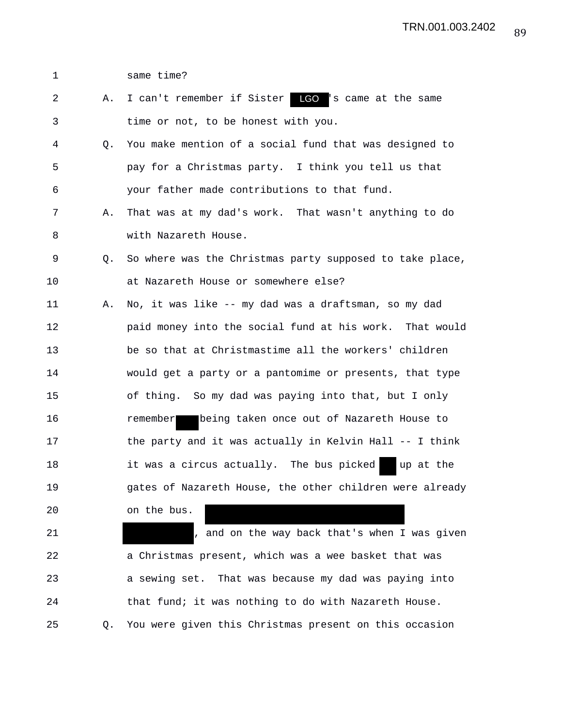1 same time?

| 2  | Α. | I can't remember if Sister LGO 's came at the same       |
|----|----|----------------------------------------------------------|
| 3  |    | time or not, to be honest with you.                      |
| 4  | Q. | You make mention of a social fund that was designed to   |
| 5  |    | pay for a Christmas party. I think you tell us that      |
| 6  |    | your father made contributions to that fund.             |
| 7  | Α. | That was at my dad's work. That wasn't anything to do    |
| 8  |    | with Nazareth House.                                     |
| 9  | Q. | So where was the Christmas party supposed to take place, |
| 10 |    | at Nazareth House or somewhere else?                     |
| 11 | Α. | No, it was like -- my dad was a draftsman, so my dad     |
| 12 |    | paid money into the social fund at his work. That would  |
| 13 |    | be so that at Christmastime all the workers' children    |
| 14 |    | would get a party or a pantomime or presents, that type  |
| 15 |    | of thing. So my dad was paying into that, but I only     |
| 16 |    | remember being taken once out of Nazareth House to       |
| 17 |    | the party and it was actually in Kelvin Hall -- I think  |
| 18 |    | it was a circus actually. The bus picked up at the       |
| 19 |    | gates of Nazareth House, the other children were already |
| 20 |    | on the bus.                                              |
| 21 |    | , and on the way back that's when I was given            |
| 22 |    | a Christmas present, which was a wee basket that was     |
| 23 |    | a sewing set. That was because my dad was paying into    |
| 24 |    | that fund; it was nothing to do with Nazareth House.     |
| 25 | Q. | You were given this Christmas present on this occasion   |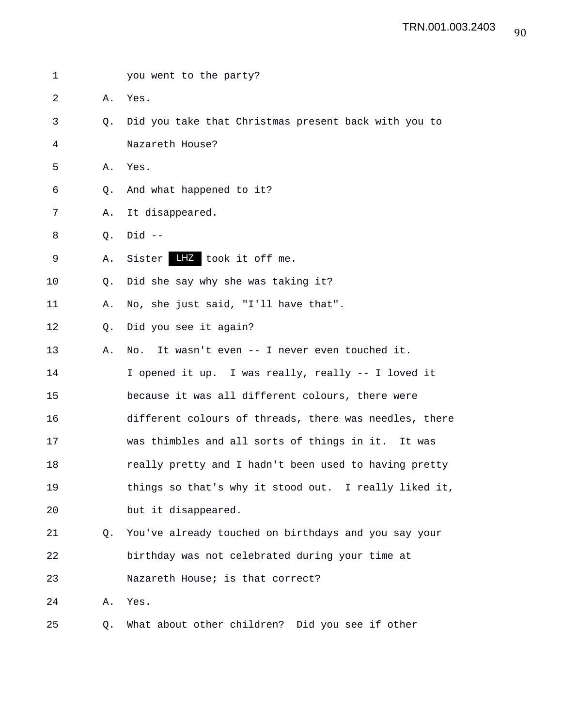| 1  |                | you went to the party?                                 |
|----|----------------|--------------------------------------------------------|
| 2  | Α.             | Yes.                                                   |
| 3  | Q.             | Did you take that Christmas present back with you to   |
| 4  |                | Nazareth House?                                        |
| 5  | Α.             | Yes.                                                   |
| 6  | Q.             | And what happened to it?                               |
| 7  | Α.             | It disappeared.                                        |
| 8  | Q.             | $Did --$                                               |
| 9  | Α.             | Sister <b>HZ</b> took it off me.                       |
| 10 | $\circ$ .      | Did she say why she was taking it?                     |
| 11 | Α.             | No, she just said, "I'll have that".                   |
| 12 | Q <sub>z</sub> | Did you see it again?                                  |
| 13 | Α.             | No. It wasn't even -- I never even touched it.         |
| 14 |                | I opened it up. I was really, really -- I loved it     |
| 15 |                | because it was all different colours, there were       |
| 16 |                | different colours of threads, there was needles, there |
| 17 |                | was thimbles and all sorts of things in it. It was     |
| 18 |                | really pretty and I hadn't been used to having pretty  |
| 19 |                | things so that's why it stood out. I really liked it,  |
| 20 |                | but it disappeared.                                    |
| 21 | Q.             | You've already touched on birthdays and you say your   |
| 22 |                | birthday was not celebrated during your time at        |
| 23 |                | Nazareth House; is that correct?                       |
| 24 | Α.             | Yes.                                                   |
| 25 | Q.             | What about other children? Did you see if other        |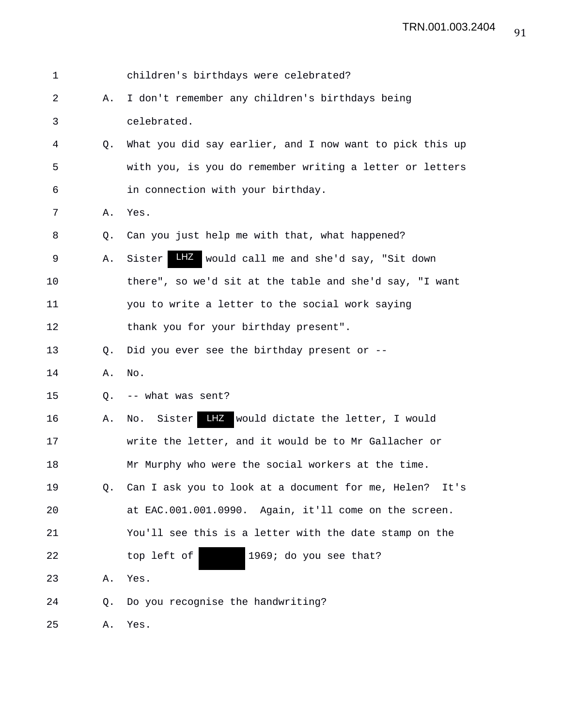| 1  |                | children's birthdays were celebrated?                      |
|----|----------------|------------------------------------------------------------|
| 2  | Α.             | I don't remember any children's birthdays being            |
| 3  |                | celebrated.                                                |
| 4  | Q.             | What you did say earlier, and I now want to pick this up   |
| 5  |                | with you, is you do remember writing a letter or letters   |
| 6  |                | in connection with your birthday.                          |
| 7  | Α.             | Yes.                                                       |
| 8  | Q <sub>z</sub> | Can you just help me with that, what happened?             |
| 9  | Α.             | LHZ would call me and she'd say, "Sit down<br>Sister       |
| 10 |                | there", so we'd sit at the table and she'd say, "I want    |
| 11 |                | you to write a letter to the social work saying            |
| 12 |                | thank you for your birthday present".                      |
| 13 | Q.             | Did you ever see the birthday present or --                |
| 14 | Α.             | No.                                                        |
| 15 | Q <sub>z</sub> | -- what was sent?                                          |
| 16 | Α.             | LHZ would dictate the letter, I would<br>Sister<br>No.     |
| 17 |                | write the letter, and it would be to Mr Gallacher or       |
| 18 |                | Mr Murphy who were the social workers at the time.         |
| 19 |                | Q. Can I ask you to look at a document for me, Helen? It's |
| 20 |                | at EAC.001.001.0990. Again, it'll come on the screen.      |
| 21 |                | You'll see this is a letter with the date stamp on the     |
| 22 |                | top left of<br>1969; do you see that?                      |
| 23 | Α.             | Yes.                                                       |
| 24 | Q.             | Do you recognise the handwriting?                          |
|    |                |                                                            |

25 A. Yes.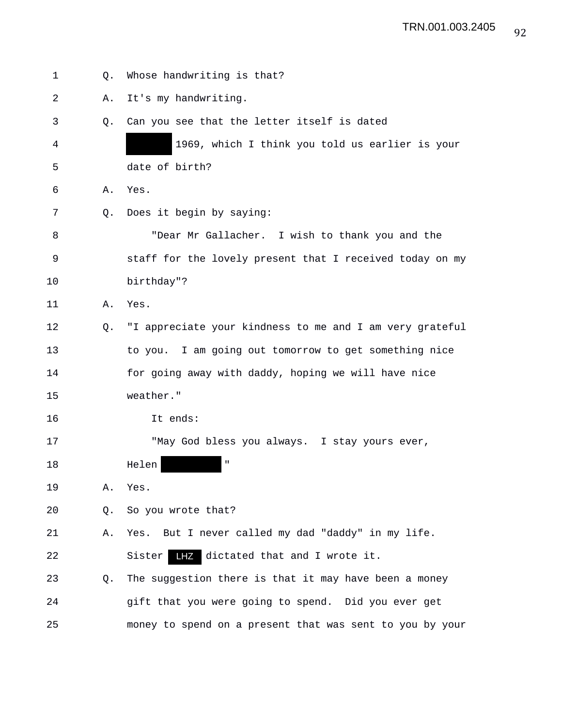| 1  | 0. | Whose handwriting is that?                                  |
|----|----|-------------------------------------------------------------|
| 2  | Α. | It's my handwriting.                                        |
| 3  | О. | Can you see that the letter itself is dated                 |
| 4  |    | 1969, which I think you told us earlier is your             |
| 5  |    | date of birth?                                              |
| 6  | Α. | Yes.                                                        |
| 7  | 0. | Does it begin by saying:                                    |
| 8  |    | "Dear Mr Gallacher. I wish to thank you and the             |
| 9  |    | staff for the lovely present that I received today on my    |
| 10 |    | birthday"?                                                  |
| 11 | Α. | Yes.                                                        |
| 12 |    | Q. "I appreciate your kindness to me and I am very grateful |
| 13 |    | to you. I am going out tomorrow to get something nice       |
| 14 |    | for going away with daddy, hoping we will have nice         |
| 15 |    | weather."                                                   |
| 16 |    | It ends:                                                    |
| 17 |    | "May God bless you always. I stay yours ever,               |
| 18 |    | $\mathbf H$<br>Helen                                        |
| 19 | Α. | Yes.                                                        |
| 20 | Q. | So you wrote that?                                          |
| 21 | Α. | Yes. But I never called my dad "daddy" in my life.          |
| 22 |    | LHZ<br>dictated that and I wrote it.<br>Sister              |
| 23 | O. | The suggestion there is that it may have been a money       |
| 24 |    | gift that you were going to spend. Did you ever get         |
| 25 |    | money to spend on a present that was sent to you by your    |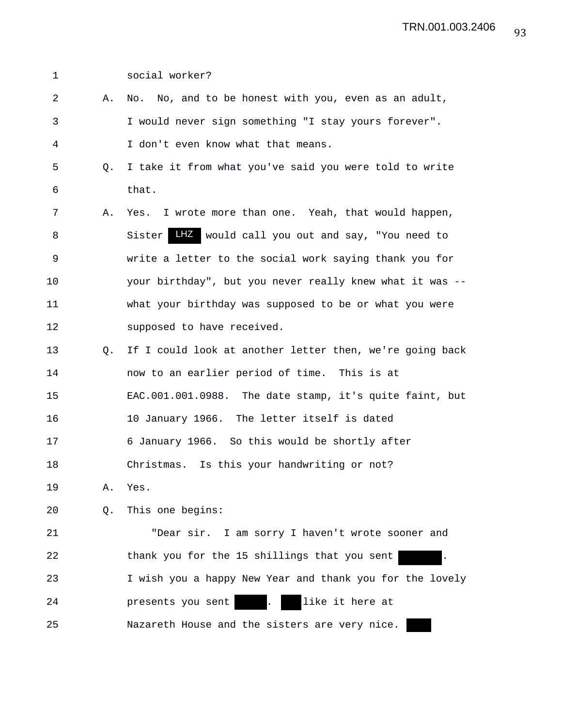| $\mathbf 1$ |           | social worker?                                           |
|-------------|-----------|----------------------------------------------------------|
| 2           | Α.        | No. No, and to be honest with you, even as an adult,     |
| 3           |           | I would never sign something "I stay yours forever".     |
| 4           |           | I don't even know what that means.                       |
| 5           | $\circ$ . | I take it from what you've said you were told to write   |
| 6           |           | that.                                                    |
| 7           | Α.        | Yes. I wrote more than one. Yeah, that would happen,     |
| 8           |           | LHZ would call you out and say, "You need to<br>Sister   |
| 9           |           | write a letter to the social work saying thank you for   |
| 10          |           | your birthday", but you never really knew what it was -- |
| 11          |           | what your birthday was supposed to be or what you were   |
| 12          |           | supposed to have received.                               |
| 13          | Q.        | If I could look at another letter then, we're going back |
| 14          |           | now to an earlier period of time. This is at             |
| 15          |           | EAC.001.001.0988. The date stamp, it's quite faint, but  |
| 16          |           | 10 January 1966. The letter itself is dated              |
| 17          |           | 6 January 1966. So this would be shortly after           |
| 18          |           | Christmas. Is this your handwriting or not?              |
| 19          | Α.        | Yes.                                                     |
| 20          | Q.        | This one begins:                                         |
| 21          |           | "Dear sir. I am sorry I haven't wrote sooner and         |
| 22          |           | thank you for the 15 shillings that you sent             |
| 23          |           | I wish you a happy New Year and thank you for the lovely |
| 24          |           | like it here at<br>presents you sent                     |
| 25          |           | Nazareth House and the sisters are very nice.            |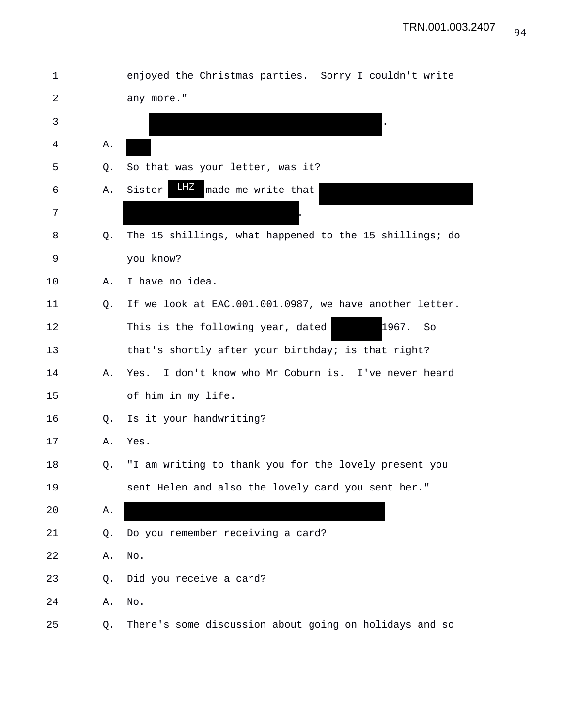| 1  |    | enjoyed the Christmas parties. Sorry I couldn't write   |
|----|----|---------------------------------------------------------|
| 2  |    | any more."                                              |
| 3  |    |                                                         |
| 4  | Α. |                                                         |
| 5  | Q. | So that was your letter, was it?                        |
| 6  | Α. | LHZ<br>Sister<br>made me write that                     |
| 7  |    |                                                         |
| 8  | Q. | The 15 shillings, what happened to the 15 shillings; do |
| 9  |    | you know?                                               |
| 10 | Α. | I have no idea.                                         |
| 11 | Q. | If we look at EAC.001.001.0987, we have another letter. |
| 12 |    | 1967.<br>This is the following year, dated<br>So        |
| 13 |    | that's shortly after your birthday; is that right?      |
| 14 | Α. | I don't know who Mr Coburn is. I've never heard<br>Yes. |
| 15 |    | of him in my life.                                      |
| 16 | Q. | Is it your handwriting?                                 |
| 17 | Α. | Yes.                                                    |
| 18 | Q. | "I am writing to thank you for the lovely present you   |
| 19 |    | sent Helen and also the lovely card you sent her."      |
| 20 | Α. |                                                         |
| 21 | Q. | Do you remember receiving a card?                       |
| 22 | Α. | No.                                                     |
| 23 | Q. | Did you receive a card?                                 |
| 24 | Α. | No.                                                     |
| 25 | Q. | There's some discussion about going on holidays and so  |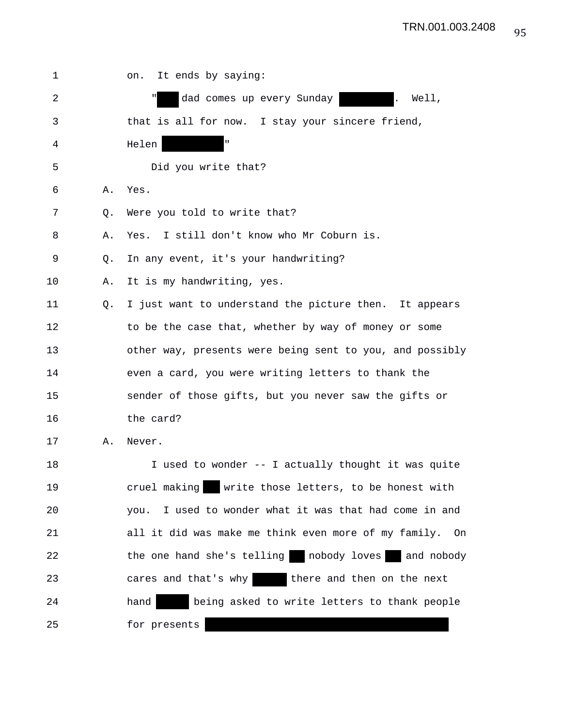| 1  |    | It ends by saying:<br>on.                                    |
|----|----|--------------------------------------------------------------|
| 2  |    | dad comes up every Sunday<br>Well,                           |
| 3  |    | that is all for now. I stay your sincere friend,             |
| 4  |    | $\mathbf{H}$<br>Helen                                        |
| 5  |    | Did you write that?                                          |
| 6  | Α. | Yes.                                                         |
| 7  | Q. | Were you told to write that?                                 |
| 8  | Α. | Yes. I still don't know who Mr Coburn is.                    |
| 9  | Q. | In any event, it's your handwriting?                         |
| 10 | Α. | It is my handwriting, yes.                                   |
| 11 | Q. | I just want to understand the picture then. It appears       |
| 12 |    | to be the case that, whether by way of money or some         |
| 13 |    | other way, presents were being sent to you, and possibly     |
| 14 |    | even a card, you were writing letters to thank the           |
| 15 |    | sender of those gifts, but you never saw the gifts or        |
| 16 |    | the card?                                                    |
| 17 | Α. | Never.                                                       |
| 18 |    | I used to wonder -- I actually thought it was quite          |
| 19 |    | cruel making write those letters, to be honest with          |
| 20 |    | I used to wonder what it was that had come in and<br>you.    |
| 21 |    | all it did was make me think even more of my family.<br>– On |
| 22 |    | the one hand she's telling but nobody loves and nobody       |
| 23 |    | cares and that's why be there and then on the next           |
| 24 |    | hand<br>being asked to write letters to thank people         |
| 25 |    | for presents                                                 |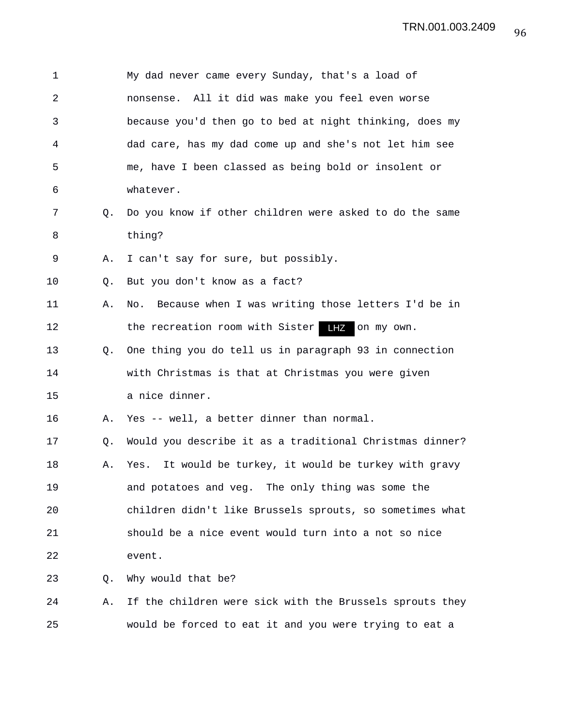| 1  |    | My dad never came every Sunday, that's a load of          |
|----|----|-----------------------------------------------------------|
| 2  |    | nonsense. All it did was make you feel even worse         |
| 3  |    | because you'd then go to bed at night thinking, does my   |
| 4  |    | dad care, has my dad come up and she's not let him see    |
| 5  |    | me, have I been classed as being bold or insolent or      |
| 6  |    | whatever.                                                 |
| 7  | Q. | Do you know if other children were asked to do the same   |
| 8  |    | thing?                                                    |
| 9  | Α. | I can't say for sure, but possibly.                       |
| 10 | Q. | But you don't know as a fact?                             |
| 11 | Α. | Because when I was writing those letters I'd be in<br>No. |
| 12 |    | the recreation room with Sister LHZ on my own.            |
| 13 | Q. | One thing you do tell us in paragraph 93 in connection    |
| 14 |    | with Christmas is that at Christmas you were given        |
| 15 |    | a nice dinner.                                            |
| 16 | Α. | Yes -- well, a better dinner than normal.                 |
| 17 | Q. | Would you describe it as a traditional Christmas dinner?  |
| 18 | Α. | Yes. It would be turkey, it would be turkey with gravy    |
| 19 |    | and potatoes and veg. The only thing was some the         |
| 20 |    | children didn't like Brussels sprouts, so sometimes what  |
| 21 |    | should be a nice event would turn into a not so nice      |
| 22 |    | event.                                                    |
| 23 | Q. | Why would that be?                                        |
| 24 | Α. | If the children were sick with the Brussels sprouts they  |
| 25 |    | would be forced to eat it and you were trying to eat a    |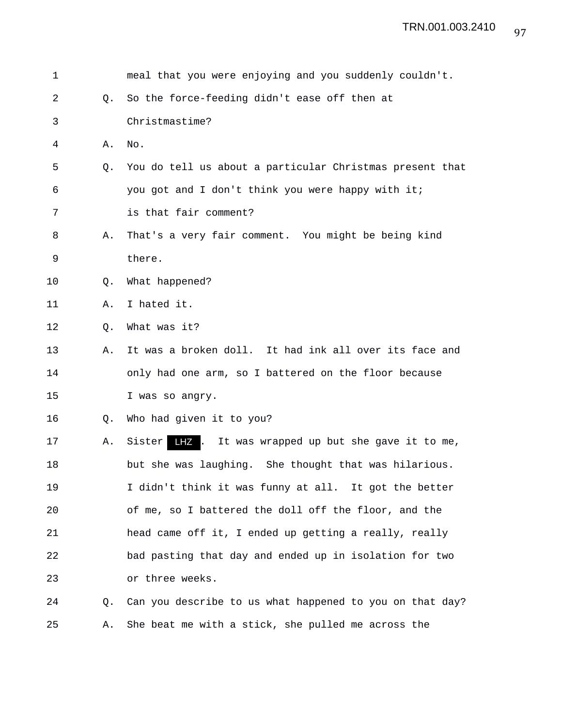| 1  |    | meal that you were enjoying and you suddenly couldn't.     |
|----|----|------------------------------------------------------------|
| 2  | Q. | So the force-feeding didn't ease off then at               |
| 3  |    | Christmastime?                                             |
| 4  | Α. | No.                                                        |
| 5  | O. | You do tell us about a particular Christmas present that   |
| 6  |    | you got and I don't think you were happy with it;          |
| 7  |    | is that fair comment?                                      |
| 8  | Α. | That's a very fair comment. You might be being kind        |
| 9  |    | there.                                                     |
| 10 | Q. | What happened?                                             |
| 11 | Α. | I hated it.                                                |
| 12 | Q. | What was it?                                               |
| 13 | Α. | It was a broken doll. It had ink all over its face and     |
| 14 |    | only had one arm, so I battered on the floor because       |
| 15 |    | I was so angry.                                            |
| 16 | Q. | Who had given it to you?                                   |
| 17 | Α. | LHZ.<br>It was wrapped up but she gave it to me,<br>Sister |
| 18 |    | but she was laughing. She thought that was hilarious.      |
| 19 |    | I didn't think it was funny at all. It got the better      |
| 20 |    | of me, so I battered the doll off the floor, and the       |
| 21 |    | head came off it, I ended up getting a really, really      |
| 22 |    | bad pasting that day and ended up in isolation for two     |
| 23 |    | or three weeks.                                            |
| 24 | Q. | Can you describe to us what happened to you on that day?   |
| 25 | Α. | She beat me with a stick, she pulled me across the         |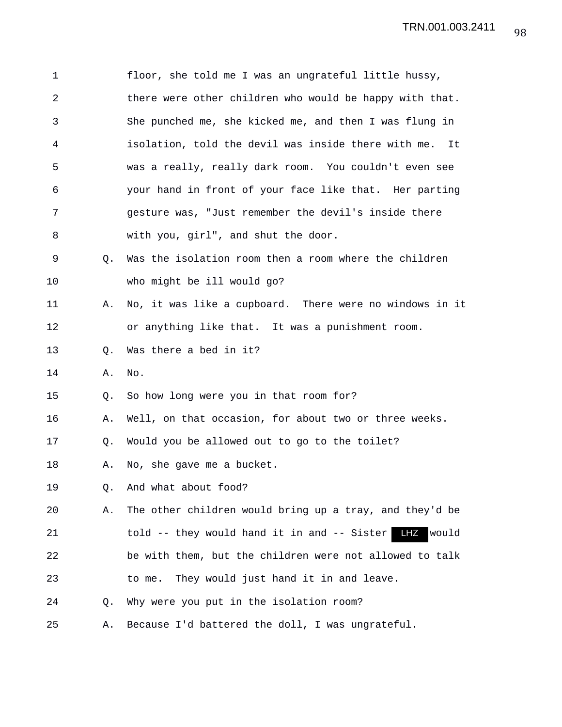| $\mathbf 1$ |    | floor, she told me I was an ungrateful little hussy,        |
|-------------|----|-------------------------------------------------------------|
| 2           |    | there were other children who would be happy with that.     |
| 3           |    | She punched me, she kicked me, and then I was flung in      |
| 4           |    | isolation, told the devil was inside there with me.<br>- It |
| 5           |    | was a really, really dark room. You couldn't even see       |
| 6           |    | your hand in front of your face like that. Her parting      |
| 7           |    | gesture was, "Just remember the devil's inside there        |
| 8           |    | with you, girl", and shut the door.                         |
| 9           | Q. | Was the isolation room then a room where the children       |
| 10          |    | who might be ill would go?                                  |
| 11          | Α. | No, it was like a cupboard. There were no windows in it     |
| 12          |    | or anything like that. It was a punishment room.            |
| 13          | Q. | Was there a bed in it?                                      |
| 14          | Α. | No.                                                         |
| 15          | Q. | So how long were you in that room for?                      |
| 16          | Α. | Well, on that occasion, for about two or three weeks.       |
| 17          | Q. | Would you be allowed out to go to the toilet?               |
| 18          | Α. | No, she gave me a bucket.                                   |
| 19          | Q. | And what about food?                                        |
| 20          | Α. | The other children would bring up a tray, and they'd be     |
| 21          |    | told -- they would hand it in and -- Sister<br>LHZ<br>would |
| 22          |    | be with them, but the children were not allowed to talk     |
| 23          |    | They would just hand it in and leave.<br>to me.             |
| 24          | Q. | Why were you put in the isolation room?                     |
| 25          | Α. | Because I'd battered the doll, I was ungrateful.            |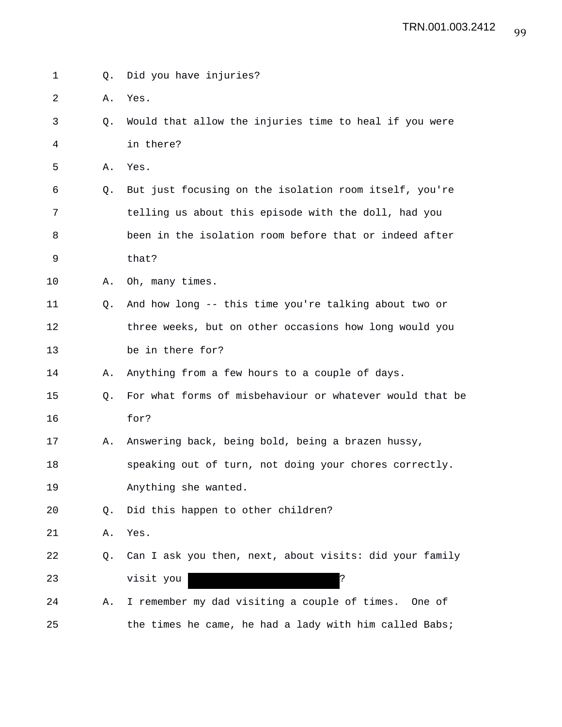| $\mathbf 1$ | 0. | Did you have injuries?                                   |
|-------------|----|----------------------------------------------------------|
| 2           | Α. | Yes.                                                     |
| 3           | Q. | Would that allow the injuries time to heal if you were   |
| 4           |    | in there?                                                |
| 5           | Α. | Yes.                                                     |
| 6           | Q. | But just focusing on the isolation room itself, you're   |
| 7           |    | telling us about this episode with the doll, had you     |
| 8           |    | been in the isolation room before that or indeed after   |
| 9           |    | that?                                                    |
| 10          | Α. | Oh, many times.                                          |
| 11          | Q. | And how long -- this time you're talking about two or    |
| 12          |    | three weeks, but on other occasions how long would you   |
| 13          |    | be in there for?                                         |
| 14          | Α. | Anything from a few hours to a couple of days.           |
| 15          | О. | For what forms of misbehaviour or whatever would that be |
| 16          |    | for?                                                     |
| 17          | Α. | Answering back, being bold, being a brazen hussy,        |
| 18          |    | speaking out of turn, not doing your chores correctly.   |
| 19          |    | Anything she wanted.                                     |
| 20          | Q. | Did this happen to other children?                       |
| 21          | Α. | Yes.                                                     |
| 22          | Q. | Can I ask you then, next, about visits: did your family  |
| 23          |    | Ċ.<br>visit you                                          |
| 24          | Α. | I remember my dad visiting a couple of times.<br>One of  |
| 25          |    | the times he came, he had a lady with him called Babs;   |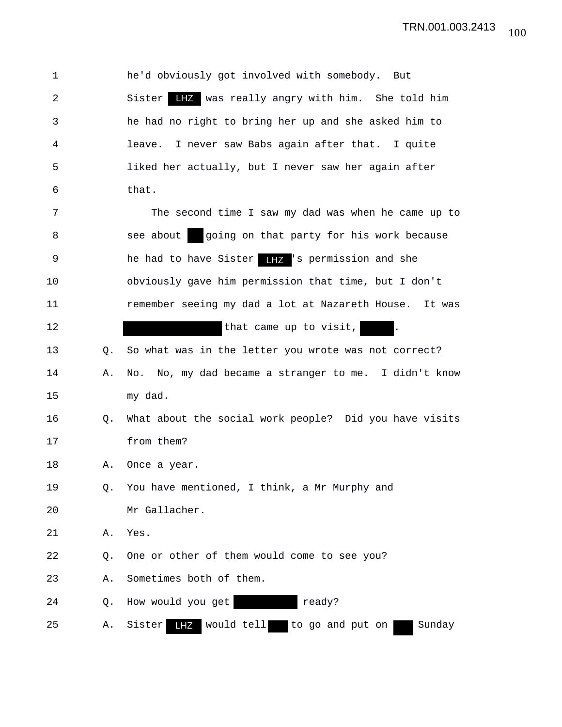| $\mathbf 1$ |    | he'd obviously got involved with somebody. But                   |
|-------------|----|------------------------------------------------------------------|
| 2           |    | Sister LHZ was really angry with him. She told him               |
| 3           |    | he had no right to bring her up and she asked him to             |
| 4           |    | I never saw Babs again after that. I quite<br>leave.             |
| 5           |    | liked her actually, but I never saw her again after              |
| 6           |    | that.                                                            |
| 7           |    | The second time I saw my dad was when he came up to              |
| 8           |    | going on that party for his work because<br>see about            |
| 9           |    | he had to have Sister <b>IFZ</b> 's permission and she           |
| 10          |    | obviously gave him permission that time, but I don't             |
| 11          |    | remember seeing my dad a lot at Nazareth House. It was           |
| 12          |    | that came up to visit,                                           |
| 13          | 0. | So what was in the letter you wrote was not correct?             |
| 14          | Α. | No. No, my dad became a stranger to me. I didn't know            |
| 15          |    | my dad.                                                          |
| 16          | Q. | What about the social work people? Did you have visits           |
| 17          |    | from them?                                                       |
| 18          | Α. | Once a year.                                                     |
| 19          | Q. | You have mentioned, I think, a Mr Murphy and                     |
| 20          |    | Mr Gallacher.                                                    |
| 21          | Α. | Yes.                                                             |
| 22          | Q. | One or other of them would come to see you?                      |
| 23          | Α. | Sometimes both of them.                                          |
| 24          | Q. | ready?<br>How would you get                                      |
| 25          | Α. | would tell<br>Sister<br>to go and put on<br>Sunday<br><b>LHZ</b> |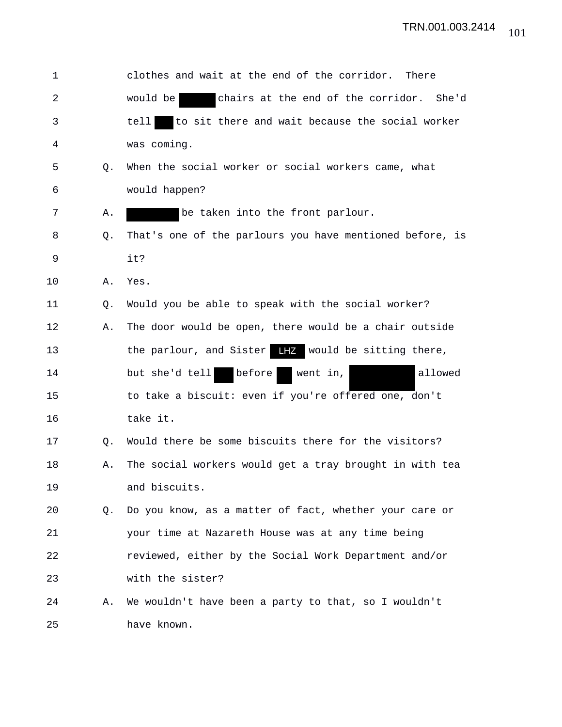| 1  |    | clothes and wait at the end of the corridor.<br>There         |
|----|----|---------------------------------------------------------------|
| 2  |    | chairs at the end of the corridor.<br>would be<br>She'd       |
| 3  |    | to sit there and wait because the social worker<br>tell       |
| 4  |    | was coming.                                                   |
| 5  | Q. | When the social worker or social workers came, what           |
| 6  |    | would happen?                                                 |
| 7  | Α. | be taken into the front parlour.                              |
| 8  | Q. | That's one of the parlours you have mentioned before, is      |
| 9  |    | it?                                                           |
| 10 | Α. | Yes.                                                          |
| 11 | Q. | Would you be able to speak with the social worker?            |
| 12 | Α. | The door would be open, there would be a chair outside        |
| 13 |    | the parlour, and Sister $\frac{1}{2}$ would be sitting there, |
| 14 |    | before<br>allowed<br>but she'd tell<br>went in,               |
| 15 |    | to take a biscuit: even if you're offered one, don't          |
| 16 |    | take it.                                                      |
| 17 | Q. | Would there be some biscuits there for the visitors?          |
| 18 | Α. | The social workers would get a tray brought in with tea       |
| 19 |    | and biscuits.                                                 |
| 20 | Q. | Do you know, as a matter of fact, whether your care or        |
| 21 |    | your time at Nazareth House was at any time being             |
| 22 |    | reviewed, either by the Social Work Department and/or         |
| 23 |    | with the sister?                                              |
| 24 | Α. | We wouldn't have been a party to that, so I wouldn't          |
| 25 |    | have known.                                                   |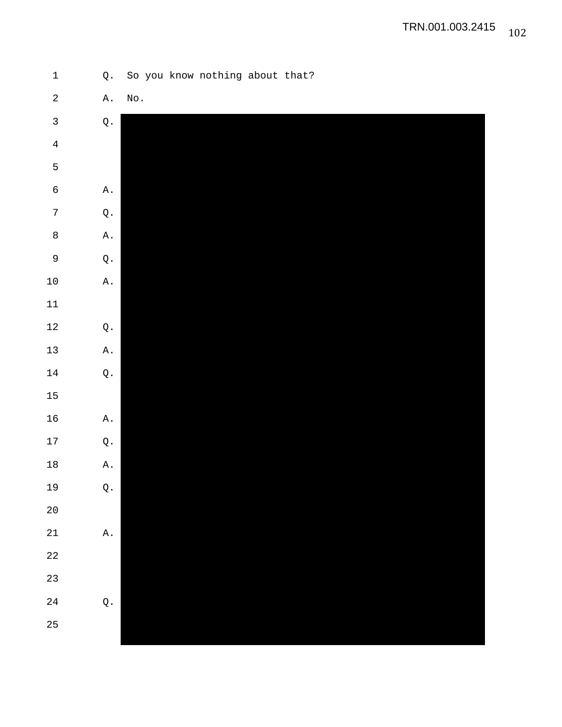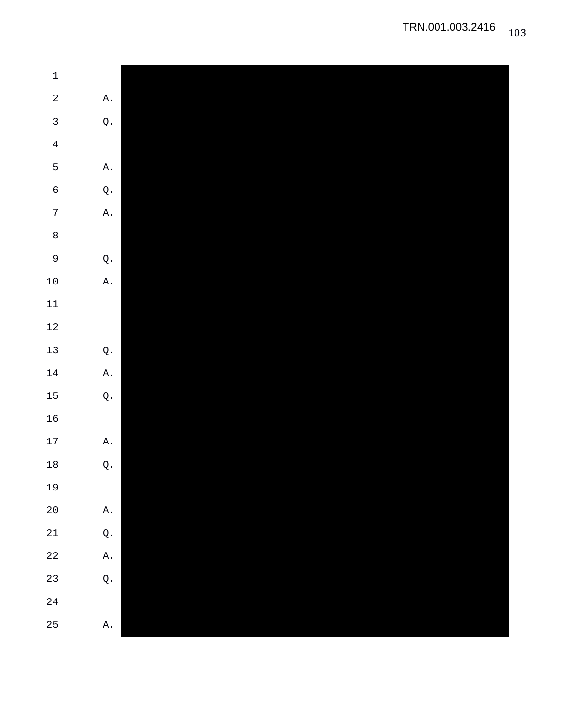| $\ensuremath{\mathbbm{1}}$ |                |
|----------------------------|----------------|
| $\overline{a}$             | Α.             |
| $\mathbf{3}$               | $\mathsf Q$ .  |
| $\overline{4}$             |                |
| 5                          | Α.             |
| $\epsilon$                 | $\mathsf Q$ .  |
| $\sqrt{ }$                 | $\mathtt{A}$ . |
| $\,8\,$                    |                |
| $\overline{9}$             | $\mathbb Q$ .  |
| $10\,$                     | Α.             |
| $11\,$                     |                |
| $12\,$                     |                |
| $13$                       | $\mathsf Q$ .  |
| $14\,$                     | $\mathtt{A}$ . |
| 15                         | $\mathsf Q$ .  |
| $16$                       |                |
| $17\,$                     | $\mathtt{A}$ . |
| $18\,$                     | $\mathbb Q$ .  |
| 19                         |                |
| $2\,0$                     | $\mathtt{A}$ . |
| $21\,$                     | $\mathsf Q$ .  |
| $2\sqrt{2}$                | $\mathtt{A}$ . |
| 23                         | $\mathsf Q$ .  |
| $2\sqrt{4}$                |                |
| 25                         | $\mathtt{A}$ . |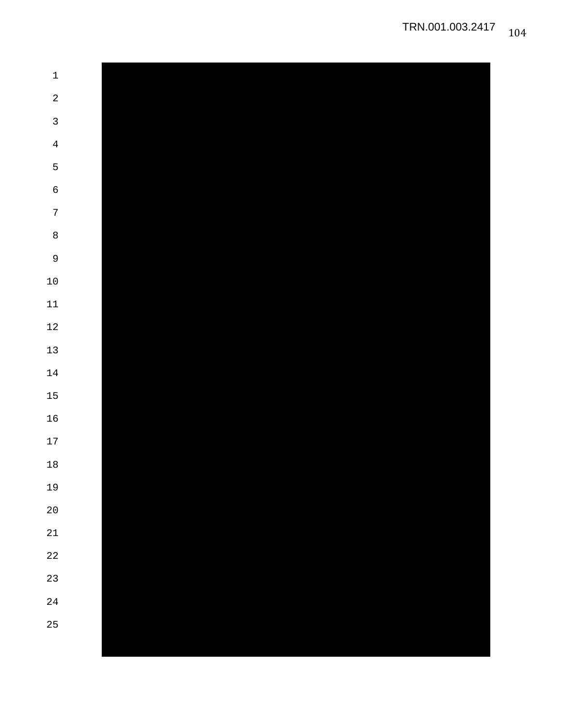| $\,1\,$        |  |  |  |
|----------------|--|--|--|
| $\sqrt{2}$     |  |  |  |
| $\mathbf{3}$   |  |  |  |
| $\overline{4}$ |  |  |  |
| $\mathsf S$    |  |  |  |
| $\epsilon$     |  |  |  |
| $\sqrt{ }$     |  |  |  |
| $\,8\,$        |  |  |  |
| $\overline{9}$ |  |  |  |
| $10\,$         |  |  |  |
| $11\,$         |  |  |  |
| $12\,$         |  |  |  |
| $13$           |  |  |  |
| $14\,$         |  |  |  |
| 15             |  |  |  |
| $16\,$         |  |  |  |
| $17\,$         |  |  |  |
| $18\,$         |  |  |  |
| 19             |  |  |  |
| $20\,$         |  |  |  |
| 21             |  |  |  |
| $22$           |  |  |  |
| 23             |  |  |  |
| 24             |  |  |  |
| 25             |  |  |  |
|                |  |  |  |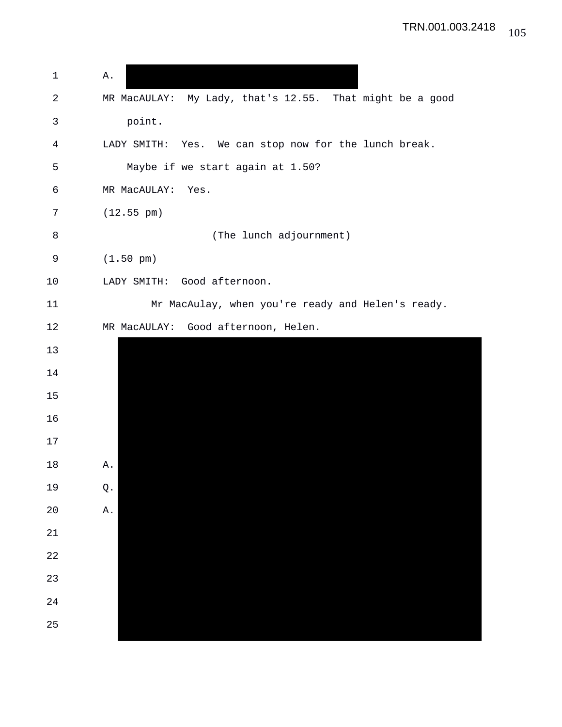| $\mathbf 1$ | Α.                                                       |
|-------------|----------------------------------------------------------|
| 2           | MR MacAULAY: My Lady, that's 12.55. That might be a good |
| 3           | point.                                                   |
| 4           | LADY SMITH: Yes. We can stop now for the lunch break.    |
| 5           | Maybe if we start again at 1.50?                         |
| 6           | MR MacAULAY:<br>Yes.                                     |
| 7           | $(12.55 \text{ pm})$                                     |
| $\,8\,$     | (The lunch adjournment)                                  |
| 9           | $(1.50 \text{ pm})$                                      |
| 10          | LADY SMITH: Good afternoon.                              |
| 11          | Mr MacAulay, when you're ready and Helen's ready.        |
| 12          | Good afternoon, Helen.<br>MR MacAULAY:                   |
| 13          |                                                          |
| 14          |                                                          |
| 15          |                                                          |
| 16          |                                                          |
| 17          |                                                          |
| 18          | Α.                                                       |
| 19          | $\mathsf Q$ .                                            |
| 20          | Α.                                                       |
| 21          |                                                          |
| 22          |                                                          |
| 23          |                                                          |
| 24          |                                                          |
| 25          |                                                          |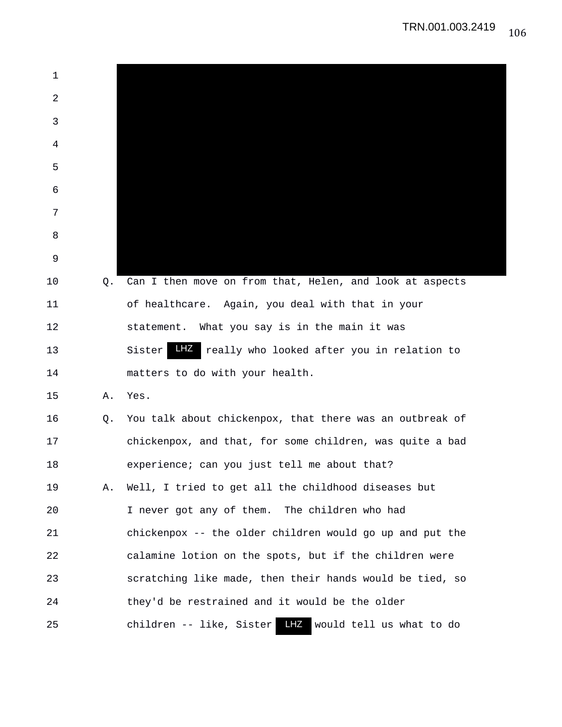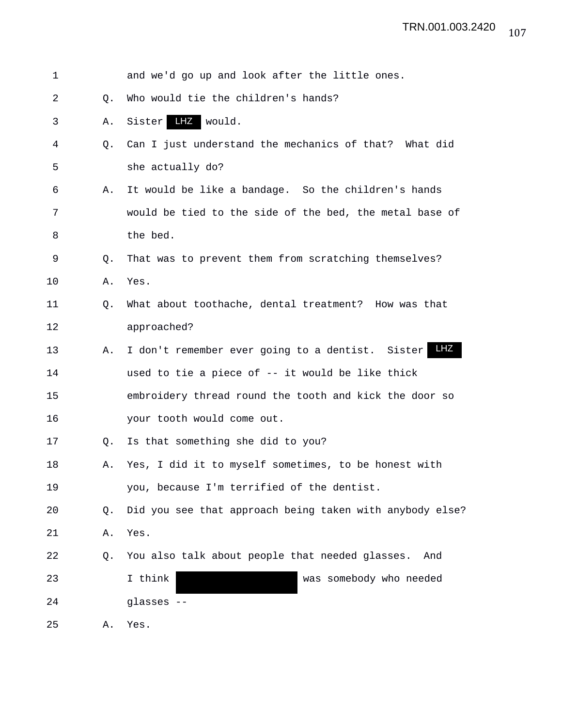| $\mathbf 1$ |    | and we'd go up and look after the little ones.           |
|-------------|----|----------------------------------------------------------|
| 2           | Q. | Who would tie the children's hands?                      |
| 3           | Α. | LHZ<br>would.<br>Sister                                  |
| 4           | 0. | Can I just understand the mechanics of that? What did    |
| 5           |    | she actually do?                                         |
| 6           | Α. | It would be like a bandage. So the children's hands      |
| 7           |    | would be tied to the side of the bed, the metal base of  |
| 8           |    | the bed.                                                 |
| 9           | Q. | That was to prevent them from scratching themselves?     |
| 10          | Α. | Yes.                                                     |
| 11          | Q. | What about toothache, dental treatment? How was that     |
| 12          |    | approached?                                              |
| 13          | Α. | LHZ<br>I don't remember ever going to a dentist. Sister  |
| 14          |    | used to tie a piece of -- it would be like thick         |
| 15          |    | embroidery thread round the tooth and kick the door so   |
| 16          |    | your tooth would come out.                               |
| 17          | Q. | Is that something she did to you?                        |
| 18          | Α. | Yes, I did it to myself sometimes, to be honest with     |
| 19          |    | you, because I'm terrified of the dentist.               |
| 20          | Q. | Did you see that approach being taken with anybody else? |
| 21          | Α. | Yes.                                                     |
| 22          | Q. | You also talk about people that needed glasses.<br>And   |
| 23          |    | I think<br>was somebody who needed                       |
| 24          |    | glasses --                                               |
| 25          | Α. | Yes.                                                     |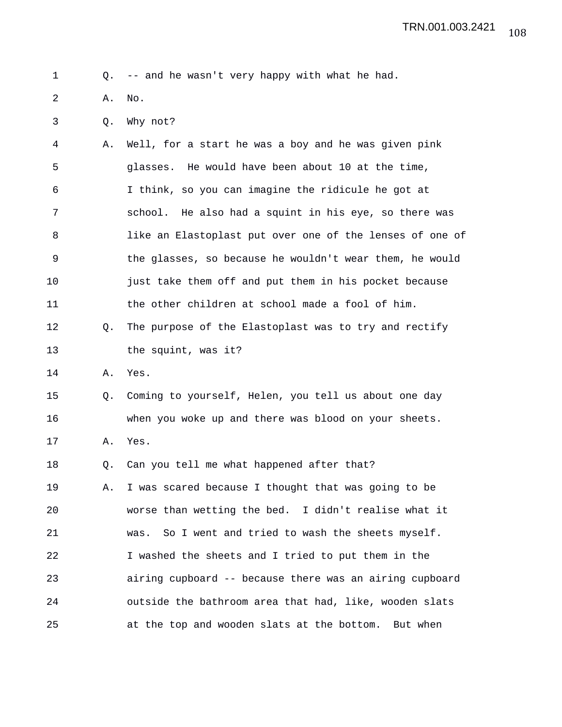1 Q. -- and he wasn't very happy with what he had.

2 A. No.

3 Q. Why not?

4 A. Well, for a start he was a boy and he was given pink 5 glasses. He would have been about 10 at the time, 6 I think, so you can imagine the ridicule he got at 7 school. He also had a squint in his eye, so there was 8 like an Elastoplast put over one of the lenses of one of 9 the glasses, so because he wouldn't wear them, he would 10 just take them off and put them in his pocket because 11 the other children at school made a fool of him. 12 Q. The purpose of the Elastoplast was to try and rectify 13 the squint, was it? 14 A. Yes. 15 Q. Coming to yourself, Helen, you tell us about one day 16 when you woke up and there was blood on your sheets. 17 A. Yes. 18 Q. Can you tell me what happened after that? 19 A. I was scared because I thought that was going to be 20 worse than wetting the bed. I didn't realise what it 21 was. So I went and tried to wash the sheets myself. 22 I washed the sheets and I tried to put them in the

23 airing cupboard -- because there was an airing cupboard 24 outside the bathroom area that had, like, wooden slats 25 at the top and wooden slats at the bottom. But when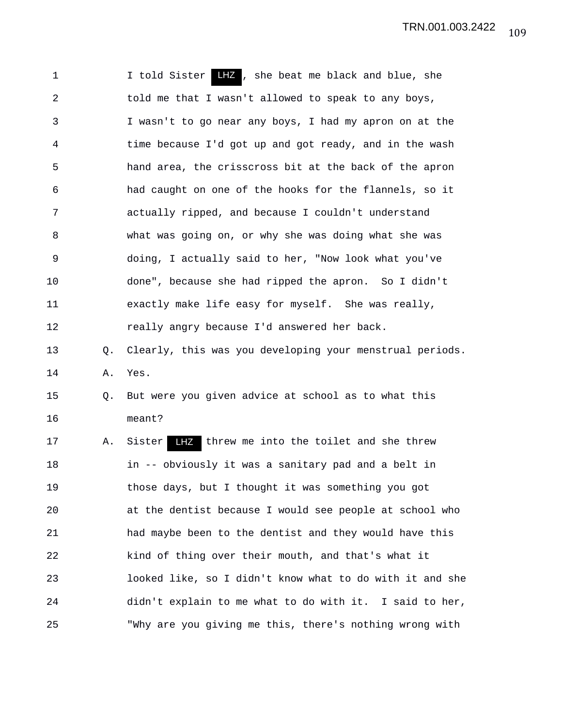1 1 I told Sister LHZ, she beat me black and blue, she 2 told me that I wasn't allowed to speak to any boys, 3 I wasn't to go near any boys, I had my apron on at the 4 time because I'd got up and got ready, and in the wash 5 hand area, the crisscross bit at the back of the apron 6 had caught on one of the hooks for the flannels, so it 7 actually ripped, and because I couldn't understand 8 what was going on, or why she was doing what she was 9 doing, I actually said to her, "Now look what you've 10 done", because she had ripped the apron. So I didn't 11 exactly make life easy for myself. She was really, 12 really angry because I'd answered her back. 13 Q. Clearly, this was you developing your menstrual periods. 14 A. Yes. 15 Q. But were you given advice at school as to what this 16 meant? 17 A. Sister LHZ threw me into the toilet and she threw 18 in -- obviously it was a sanitary pad and a belt in 19 those days, but I thought it was something you got 20 at the dentist because I would see people at school who 21 had maybe been to the dentist and they would have this 22 kind of thing over their mouth, and that's what it 23 looked like, so I didn't know what to do with it and she 24 didn't explain to me what to do with it. I said to her, 25 "Why are you giving me this, there's nothing wrong with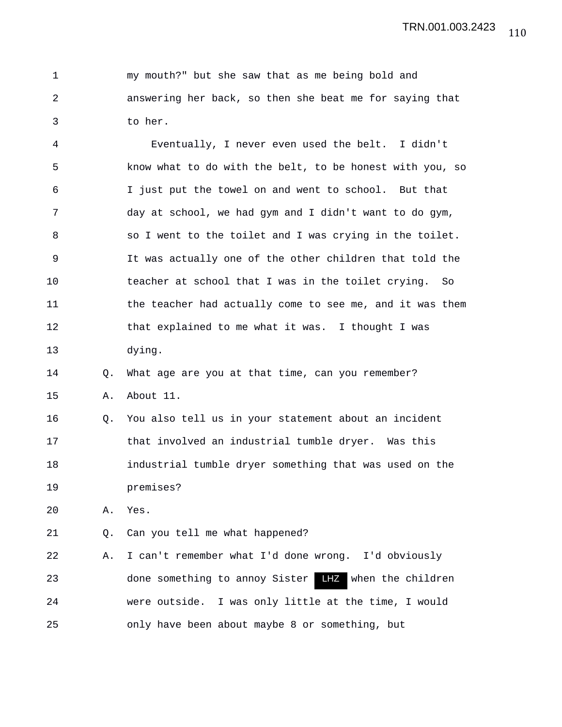|               | my mouth?" but she saw that as me being bold and        |
|---------------|---------------------------------------------------------|
| 2             | answering her back, so then she beat me for saying that |
| $\mathcal{R}$ | to her.                                                 |

4 Eventually, I never even used the belt. I didn't 5 know what to do with the belt, to be honest with you, so 6 I just put the towel on and went to school. But that 7 day at school, we had gym and I didn't want to do gym, 8 so I went to the toilet and I was crying in the toilet. 9 It was actually one of the other children that told the 10 teacher at school that I was in the toilet crying. So 11 the teacher had actually come to see me, and it was them 12 that explained to me what it was. I thought I was 13 dying.

14 Q. What age are you at that time, can you remember?

15 A. About 11.

16 Q. You also tell us in your statement about an incident 17 that involved an industrial tumble dryer. Was this 18 industrial tumble dryer something that was used on the 19 premises?

20 A. Yes.

21 Q. Can you tell me what happened?

22 A. I can't remember what I'd done wrong. I'd obviously 23 done something to annoy Sister LHZ when the children 24 were outside. I was only little at the time, I would 25 only have been about maybe 8 or something, but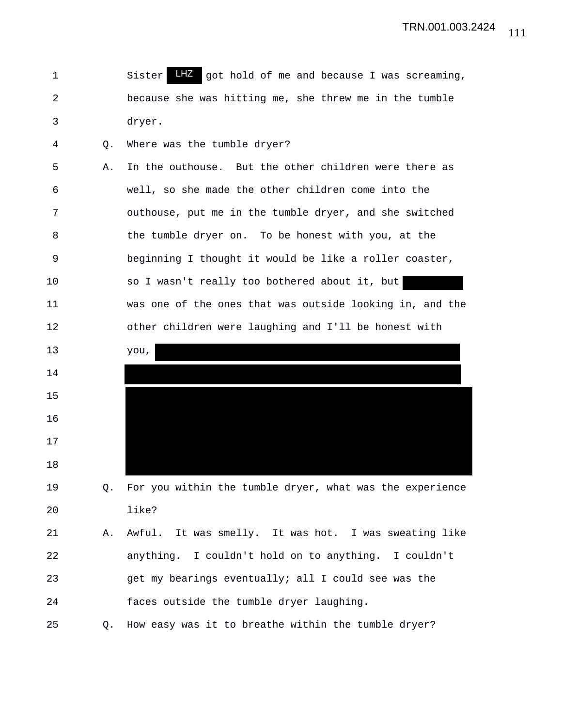1 Sister LHZ got hold of me and because I was screaming, 2 because she was hitting me, she threw me in the tumble 3 dryer.

4 Q. Where was the tumble dryer?

15

16

17

18

5 A. In the outhouse. But the other children were there as 6 well, so she made the other children come into the 7 outhouse, put me in the tumble dryer, and she switched 8 the tumble dryer on. To be honest with you, at the 9 beginning I thought it would be like a roller coaster, 10 so I wasn't really too bothered about it, but 11 was one of the ones that was outside looking in, and the 12 other children were laughing and I'll be honest with 13 you, 14

19 Q. For you within the tumble dryer, what was the experience 20 like?

21 A. Awful. It was smelly. It was hot. I was sweating like 22 anything. I couldn't hold on to anything. I couldn't 23 get my bearings eventually; all I could see was the 24 faces outside the tumble dryer laughing.

25 Q. How easy was it to breathe within the tumble dryer?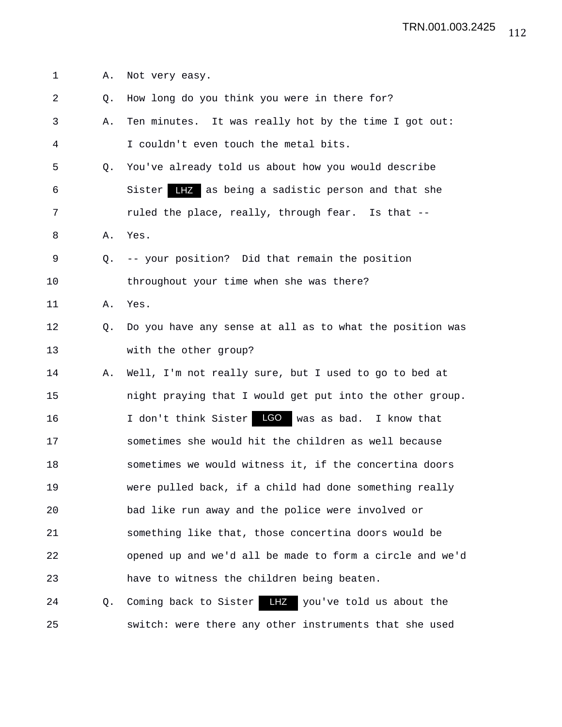1 A. Not very easy. 2 Q. How long do you think you were in there for? 3 A. Ten minutes. It was really hot by the time I got out: 4 I couldn't even touch the metal bits. 5 Q. You've already told us about how you would describe 6 Sister LHZ as being a sadistic person and that she 7 ruled the place, really, through fear. Is that -- 8 A. Yes. 9 Q. -- your position? Did that remain the position 10 throughout your time when she was there? 11 A. Yes. 12 Q. Do you have any sense at all as to what the position was 13 with the other group? 14 A. Well, I'm not really sure, but I used to go to bed at 15 night praying that I would get put into the other group. 16 I don't think Sister LGO was as bad. I know that 17 sometimes she would hit the children as well because 18 sometimes we would witness it, if the concertina doors 19 were pulled back, if a child had done something really 20 bad like run away and the police were involved or 21 something like that, those concertina doors would be 22 opened up and we'd all be made to form a circle and we'd 23 have to witness the children being beaten. 24 Q. Coming back to Sister LHZ you've told us about the 25 switch: were there any other instruments that she used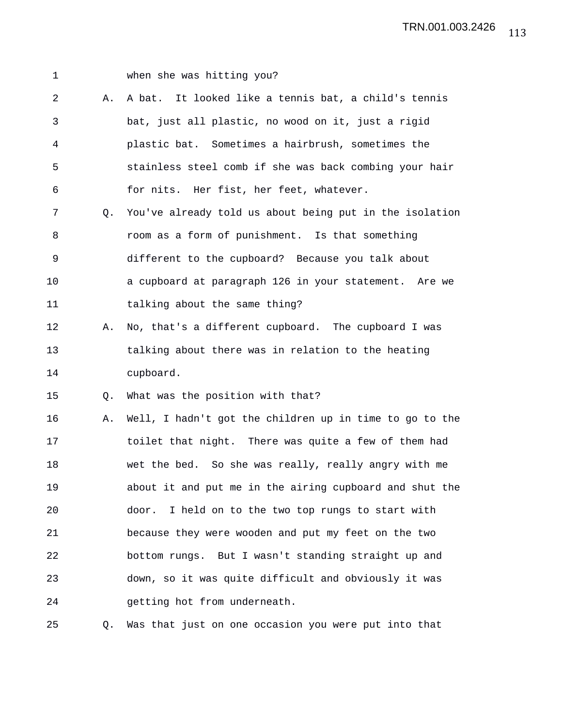| I |  |
|---|--|
|   |  |

## when she was hitting you?

2 A. A bat. It looked like a tennis bat, a child's tennis 3 bat, just all plastic, no wood on it, just a rigid 4 plastic bat. Sometimes a hairbrush, sometimes the 5 stainless steel comb if she was back combing your hair 6 for nits. Her fist, her feet, whatever. 7 Q. You've already told us about being put in the isolation 8 room as a form of punishment. Is that something 9 different to the cupboard? Because you talk about 10 a cupboard at paragraph 126 in your statement. Are we 11 talking about the same thing? 12 A. No, that's a different cupboard. The cupboard I was 13 talking about there was in relation to the heating 14 cupboard. 15 Q. What was the position with that? 16 A. Well, I hadn't got the children up in time to go to the 17 toilet that night. There was quite a few of them had 18 wet the bed. So she was really, really angry with me 19 about it and put me in the airing cupboard and shut the 20 door. I held on to the two top rungs to start with 21 because they were wooden and put my feet on the two 22 bottom rungs. But I wasn't standing straight up and 23 down, so it was quite difficult and obviously it was 24 getting hot from underneath.

25 Q. Was that just on one occasion you were put into that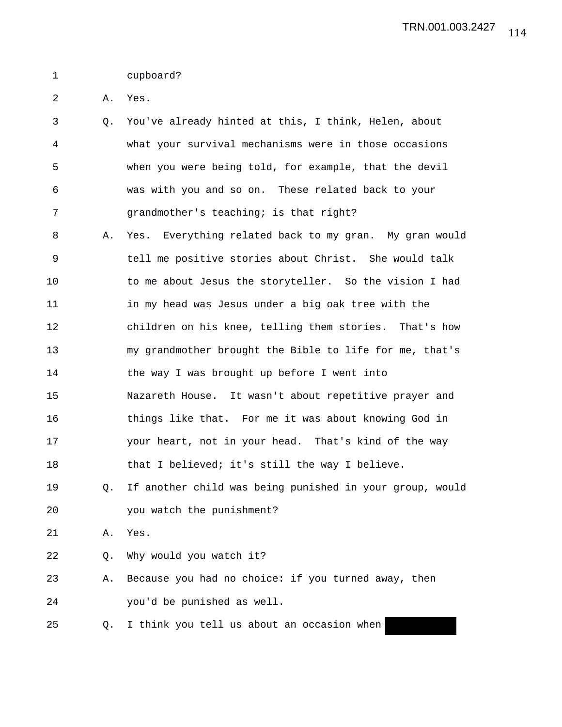## 1 cupboard?

2 A. Yes.

- 3 Q. You've already hinted at this, I think, Helen, about 4 what your survival mechanisms were in those occasions 5 when you were being told, for example, that the devil 6 was with you and so on. These related back to your 7 grandmother's teaching; is that right?
- 8 A. Yes. Everything related back to my gran. My gran would 9 tell me positive stories about Christ. She would talk 10 to me about Jesus the storyteller. So the vision I had 11 in my head was Jesus under a big oak tree with the 12 children on his knee, telling them stories. That's how 13 my grandmother brought the Bible to life for me, that's 14 the way I was brought up before I went into 15 Nazareth House. It wasn't about repetitive prayer and 16 things like that. For me it was about knowing God in 17 your heart, not in your head. That's kind of the way 18 that I believed; it's still the way I believe.
- 19 Q. If another child was being punished in your group, would 20 you watch the punishment?
- 21 A. Yes.
- 22 Q. Why would you watch it?
- 23 A. Because you had no choice: if you turned away, then 24 you'd be punished as well.
- 25 Q. I think you tell us about an occasion when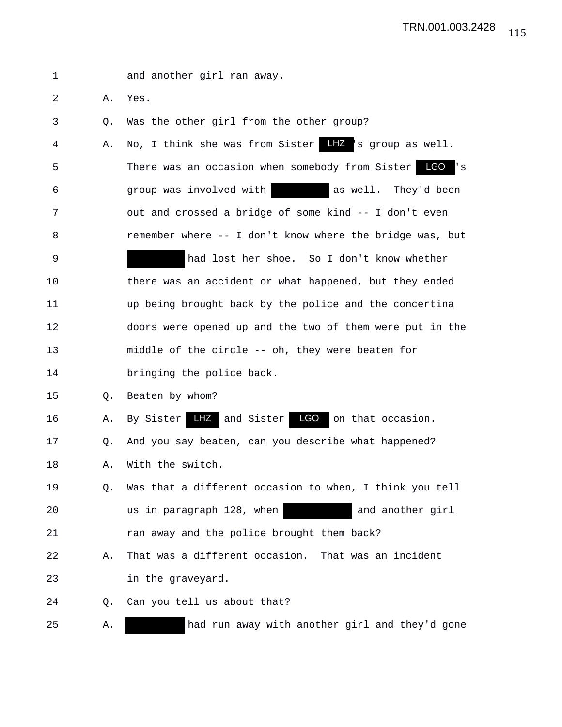| 1  |    | and another girl ran away.                                            |
|----|----|-----------------------------------------------------------------------|
| 2  | Α. | Yes.                                                                  |
| 3  | Q. | Was the other girl from the other group?                              |
| 4  | Α. | No, I think she was from Sister LHZ 's group as well.                 |
| 5  |    | There was an occasion when somebody from Sister LGO<br>$\mathsf{L}$ s |
| 6  |    | as well. They'd been<br>group was involved with                       |
| 7  |    | out and crossed a bridge of some kind -- I don't even                 |
| 8  |    | remember where -- I don't know where the bridge was, but              |
| 9  |    | had lost her shoe. So I don't know whether                            |
| 10 |    | there was an accident or what happened, but they ended                |
| 11 |    | up being brought back by the police and the concertina                |
| 12 |    | doors were opened up and the two of them were put in the              |
| 13 |    | middle of the circle -- oh, they were beaten for                      |
| 14 |    | bringing the police back.                                             |
| 15 | Q. | Beaten by whom?                                                       |
| 16 | Α. | By Sister LHZ and Sister LGO on that occasion.                        |
| 17 | Q. | And you say beaten, can you describe what happened?                   |
| 18 | Α. | With the switch.                                                      |
| 19 | Q. | Was that a different occasion to when, I think you tell               |
| 20 |    | us in paragraph 128, when<br>and another girl                         |
| 21 |    | ran away and the police brought them back?                            |
| 22 | Α. | That was a different occasion. That was an incident                   |
| 23 |    | in the graveyard.                                                     |
| 24 | Q. | Can you tell us about that?                                           |
| 25 | Α. | had run away with another girl and they'd gone                        |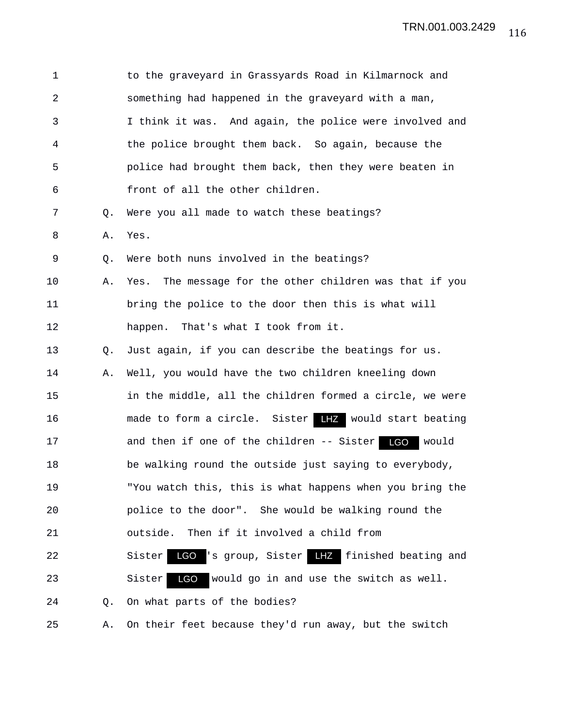| $\mathbf 1$    |                | to the graveyard in Grassyards Road in Kilmarnock and        |
|----------------|----------------|--------------------------------------------------------------|
| $\overline{a}$ |                | something had happened in the graveyard with a man,          |
| 3              |                | I think it was. And again, the police were involved and      |
| 4              |                | the police brought them back. So again, because the          |
| 5              |                | police had brought them back, then they were beaten in       |
| 6              |                | front of all the other children.                             |
| 7              | Q.             | Were you all made to watch these beatings?                   |
| 8              | Α.             | Yes.                                                         |
| 9              | Q.             | Were both nuns involved in the beatings?                     |
| 10             | Α.             | The message for the other children was that if you<br>Yes.   |
| 11             |                | bring the police to the door then this is what will          |
| 12             |                | happen. That's what I took from it.                          |
| 13             | Q <sub>z</sub> | Just again, if you can describe the beatings for us.         |
| 14             | Α.             | Well, you would have the two children kneeling down          |
| 15             |                | in the middle, all the children formed a circle, we were     |
| 16             |                | made to form a circle. Sister <b>LHZ</b> would start beating |
| 17             |                | and then if one of the children -- Sister LGO<br>would       |
| 18             |                | be walking round the outside just saying to everybody,       |
| 19             |                | "You watch this, this is what happens when you bring the     |
| 20             |                | police to the door". She would be walking round the          |
| 21             |                | outside. Then if it involved a child from                    |
| 22             |                | LGO 's group, Sister LHZ finished beating and<br>Sister      |
| 23             |                | LGO<br>would go in and use the switch as well.<br>Sister     |
| 24             | Q.             | On what parts of the bodies?                                 |
| 25             | Α.             | On their feet because they'd run away, but the switch        |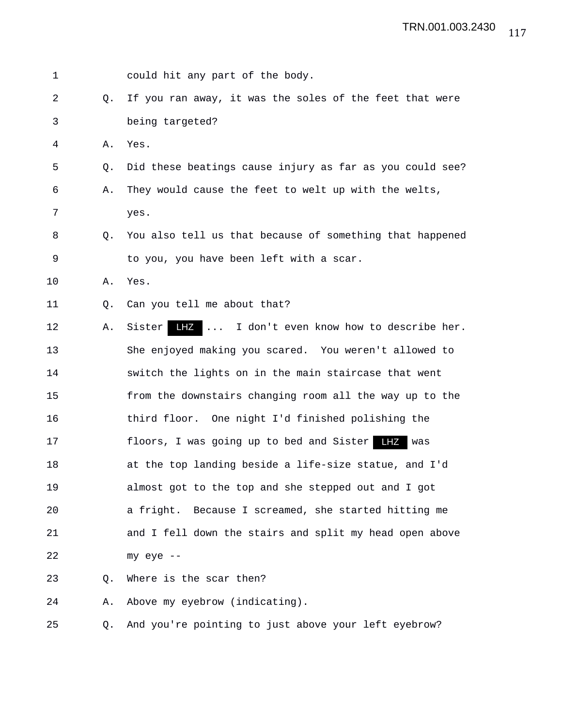| 1  |    | could hit any part of the body.                          |
|----|----|----------------------------------------------------------|
| 2  | О. | If you ran away, it was the soles of the feet that were  |
| 3  |    | being targeted?                                          |
| 4  | Α. | Yes.                                                     |
| 5  | Q. | Did these beatings cause injury as far as you could see? |
| 6  | Α. | They would cause the feet to welt up with the welts,     |
| 7  |    | yes.                                                     |
| 8  | Q. | You also tell us that because of something that happened |
| 9  |    | to you, you have been left with a scar.                  |
| 10 | Α. | Yes.                                                     |
| 11 | Q. | Can you tell me about that?                              |
| 12 | Α. | LHZ<br>Sister<br>I don't even know how to describe her.  |
| 13 |    | She enjoyed making you scared. You weren't allowed to    |
| 14 |    | switch the lights on in the main staircase that went     |
| 15 |    | from the downstairs changing room all the way up to the  |
| 16 |    | third floor. One night I'd finished polishing the        |
| 17 |    | floors, I was going up to bed and Sister<br>$L$ $Z$ was  |
| 18 |    | at the top landing beside a life-size statue, and I'd    |
| 19 |    | almost got to the top and she stepped out and I got      |
| 20 |    | a fright. Because I screamed, she started hitting me     |
| 21 |    | and I fell down the stairs and split my head open above  |
| 22 |    | my eye --                                                |
| 23 | Q. | Where is the scar then?                                  |
| 24 | Α. | Above my eyebrow (indicating).                           |
| 25 | Q. | And you're pointing to just above your left eyebrow?     |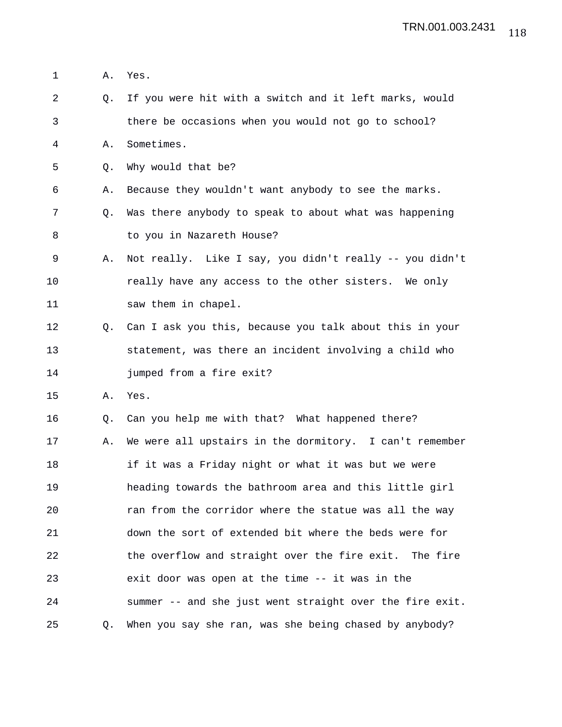1 A. Yes. 2 Q. If you were hit with a switch and it left marks, would 3 there be occasions when you would not go to school? 4 A. Sometimes. 5 Q. Why would that be? 6 A. Because they wouldn't want anybody to see the marks. 7 Q. Was there anybody to speak to about what was happening 8 to you in Nazareth House? 9 A. Not really. Like I say, you didn't really -- you didn't 10 really have any access to the other sisters. We only 11 saw them in chapel. 12 Q. Can I ask you this, because you talk about this in your 13 statement, was there an incident involving a child who 14 jumped from a fire exit? 15 A. Yes. 16 Q. Can you help me with that? What happened there? 17 A. We were all upstairs in the dormitory. I can't remember 18 if it was a Friday night or what it was but we were 19 heading towards the bathroom area and this little girl 20 ran from the corridor where the statue was all the way 21 down the sort of extended bit where the beds were for 22 the overflow and straight over the fire exit. The fire 23 exit door was open at the time -- it was in the 24 summer -- and she just went straight over the fire exit. 25 Q. When you say she ran, was she being chased by anybody?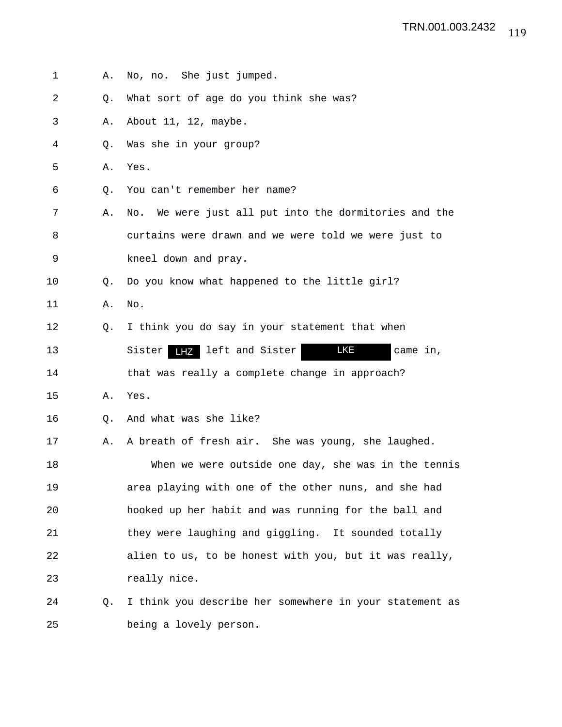- 1 A. No, no. She just jumped. 2 Q. What sort of age do you think she was? 3 A. About 11, 12, maybe. 4 Q. Was she in your group? 5 A. Yes. 6 Q. You can't remember her name? 7 A. No. We were just all put into the dormitories and the 8 curtains were drawn and we were told we were just to 9 kneel down and pray. 10 Q. Do you know what happened to the little girl? 11 A. No. 12 Q. I think you do say in your statement that when 13 Sister LHZ left and Sister LKE came in, 14 that was really a complete change in approach? 15 A. Yes. 16 Q. And what was she like? 17 A. A breath of fresh air. She was young, she laughed. 18 When we were outside one day, she was in the tennis 19 area playing with one of the other nuns, and she had 20 hooked up her habit and was running for the ball and 21 they were laughing and giggling. It sounded totally 22 alien to us, to be honest with you, but it was really, 23 really nice. 24 Q. I think you describe her somewhere in your statement as
- 25 being a lovely person.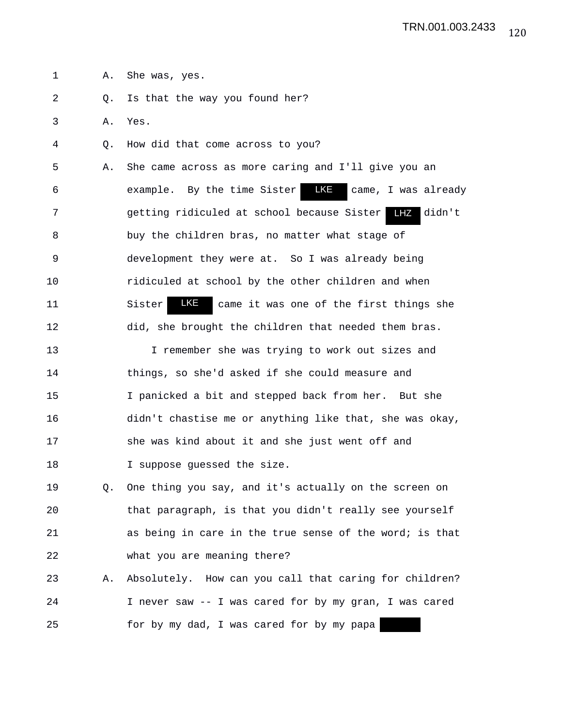1 A. She was, yes. 2 Q. Is that the way you found her? 3 A. Yes. 4 Q. How did that come across to you? 5 A. She came across as more caring and I'll give you an 6 example. By the time Sister 7 getting ridiculed at school because Sister didn't LHZ 8 buy the children bras, no matter what stage of 9 development they were at. So I was already being 10 ridiculed at school by the other children and when 11 Sister **KE** came it was one of the first things she 12 did, she brought the children that needed them bras. 13 I remember she was trying to work out sizes and 14 things, so she'd asked if she could measure and 15 I panicked a bit and stepped back from her. But she 16 didn't chastise me or anything like that, she was okay, 17 she was kind about it and she just went off and 18 I suppose guessed the size. 19 Q. One thing you say, and it's actually on the screen on 20 that paragraph, is that you didn't really see yourself 21 as being in care in the true sense of the word; is that 22 what you are meaning there? 23 A. Absolutely. How can you call that caring for children? 24 I never saw -- I was cared for by my gran, I was cared 25 for by my dad, I was cared for by my papa **LKE** came, I was already LKE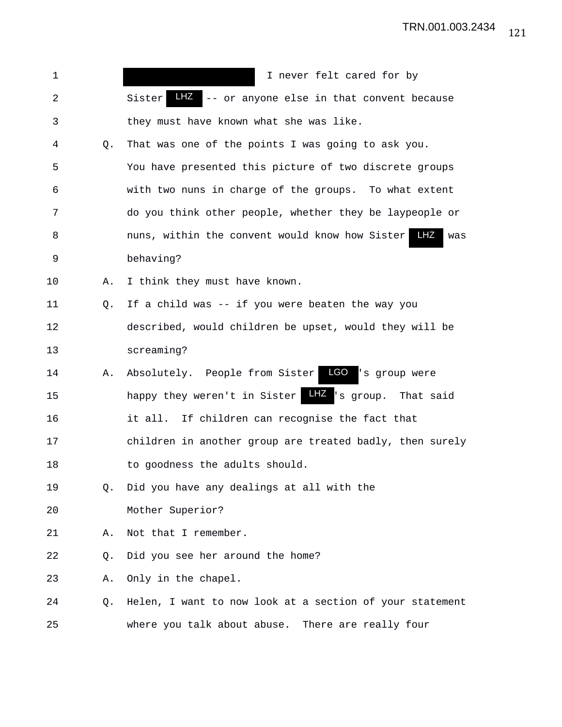| 1  |                | I never felt cared for by                                    |
|----|----------------|--------------------------------------------------------------|
| 2  |                | LHZ -- or anyone else in that convent because<br>Sister      |
| 3  |                | they must have known what she was like.                      |
| 4  | Q.             | That was one of the points I was going to ask you.           |
| 5  |                | You have presented this picture of two discrete groups       |
| 6  |                | with two nuns in charge of the groups. To what extent        |
| 7  |                | do you think other people, whether they be laypeople or      |
| 8  |                | LHZ<br>nuns, within the convent would know how Sister<br>was |
| 9  |                | behaving?                                                    |
| 10 | Α.             | I think they must have known.                                |
| 11 | Q.             | If a child was -- if you were beaten the way you             |
| 12 |                | described, would children be upset, would they will be       |
| 13 |                | screaming?                                                   |
| 14 | Α.             | Absolutely. People from Sister LGO<br>'s group were          |
| 15 |                | LHZ 's group. That said<br>happy they weren't in Sister      |
| 16 |                | it all. If children can recognise the fact that              |
| 17 |                | children in another group are treated badly, then surely     |
| 18 |                | to goodness the adults should.                               |
| 19 | Q.             | Did you have any dealings at all with the                    |
| 20 |                | Mother Superior?                                             |
| 21 | Α.             | Not that I remember.                                         |
| 22 | Q.             | Did you see her around the home?                             |
| 23 | Α.             | Only in the chapel.                                          |
| 24 | Q <sub>z</sub> | Helen, I want to now look at a section of your statement     |
| 25 |                | where you talk about abuse. There are really four            |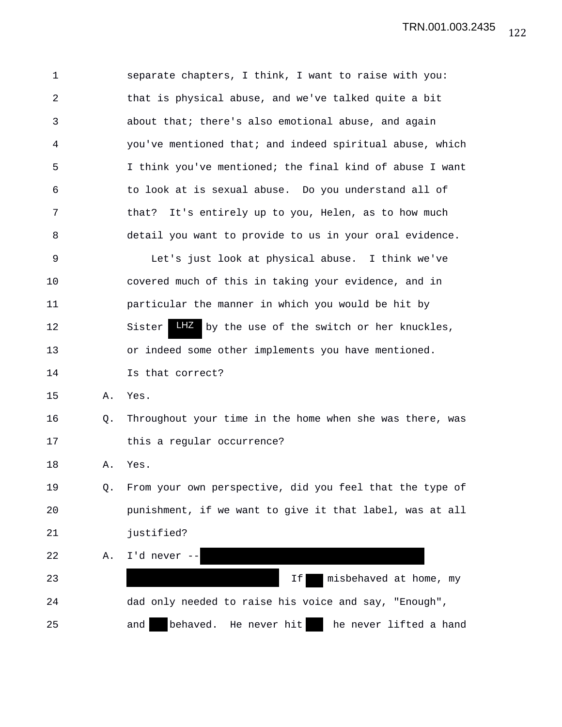1 separate chapters, I think, I want to raise with you: 2 that is physical abuse, and we've talked quite a bit 3 about that; there's also emotional abuse, and again 4 you've mentioned that; and indeed spiritual abuse, which 5 I think you've mentioned; the final kind of abuse I want 6 to look at is sexual abuse. Do you understand all of 7 that? It's entirely up to you, Helen, as to how much 8 detail you want to provide to us in your oral evidence. 9 Let's just look at physical abuse. I think we've 10 covered much of this in taking your evidence, and in 11 particular the manner in which you would be hit by 12 Sister Liz by the use of the switch or her knuckles, 13 or indeed some other implements you have mentioned. 14 Is that correct? 15 A. Yes. 16 Q. Throughout your time in the home when she was there, was 17 this a regular occurrence? 18 A. Yes. 19 Q. From your own perspective, did you feel that the type of 20 punishment, if we want to give it that label, was at all 21 justified? 22 A. I'd never -- 23 If misbehaved at home, my 24 dad only needed to raise his voice and say, "Enough", 25 and behaved. He never hit he never lifted a hand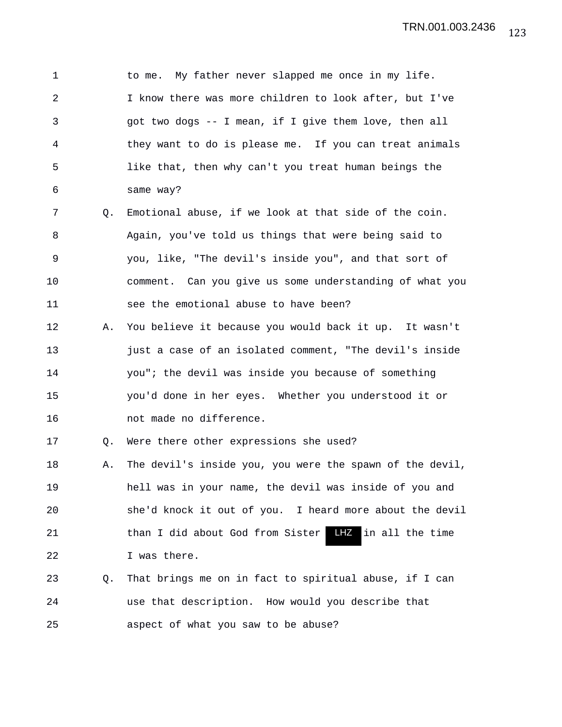1 to me. My father never slapped me once in my life. 2 I know there was more children to look after, but I've 3 got two dogs -- I mean, if I give them love, then all 4 they want to do is please me. If you can treat animals 5 like that, then why can't you treat human beings the 6 same way? 7 Q. Emotional abuse, if we look at that side of the coin. 8 Again, you've told us things that were being said to 9 you, like, "The devil's inside you", and that sort of 10 comment. Can you give us some understanding of what you 11 see the emotional abuse to have been? 12 A. You believe it because you would back it up. It wasn't 13 just a case of an isolated comment, "The devil's inside 14 you"; the devil was inside you because of something 15 you'd done in her eyes. Whether you understood it or 16 not made no difference. 17 Q. Were there other expressions she used? 18 A. The devil's inside you, you were the spawn of the devil, 19 hell was in your name, the devil was inside of you and 20 she'd knock it out of you. I heard more about the devil 21 than I did about God from Sister LHZ in all the time 22 I was there. 23 Q. That brings me on in fact to spiritual abuse, if I can 24 use that description. How would you describe that

25 aspect of what you saw to be abuse?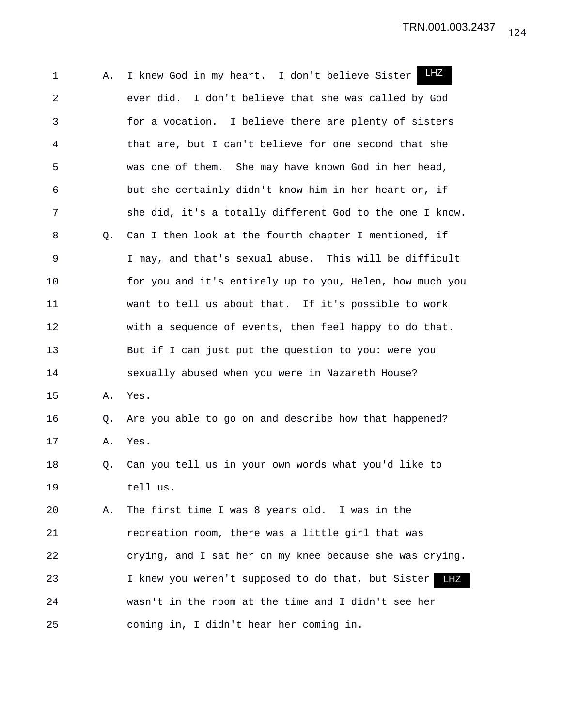1 A. I knew God in my heart. I don't believe Sister 2 ever did. I don't believe that she was called by God 3 for a vocation. I believe there are plenty of sisters 4 that are, but I can't believe for one second that she 5 was one of them. She may have known God in her head, 6 but she certainly didn't know him in her heart or, if 7 she did, it's a totally different God to the one I know. 8 Q. Can I then look at the fourth chapter I mentioned, if 9 I may, and that's sexual abuse. This will be difficult 10 for you and it's entirely up to you, Helen, how much you 11 want to tell us about that. If it's possible to work 12 with a sequence of events, then feel happy to do that. 13 But if I can just put the question to you: were you 14 sexually abused when you were in Nazareth House? 15 A. Yes. 16 Q. Are you able to go on and describe how that happened? 17 A. Yes. 18 Q. Can you tell us in your own words what you'd like to 19 tell us. 20 A. The first time I was 8 years old. I was in the 21 recreation room, there was a little girl that was 22 crying, and I sat her on my knee because she was crying. 23 1 knew you weren't supposed to do that, but Sister 24 wasn't in the room at the time and I didn't see her 25 coming in, I didn't hear her coming in. LHZ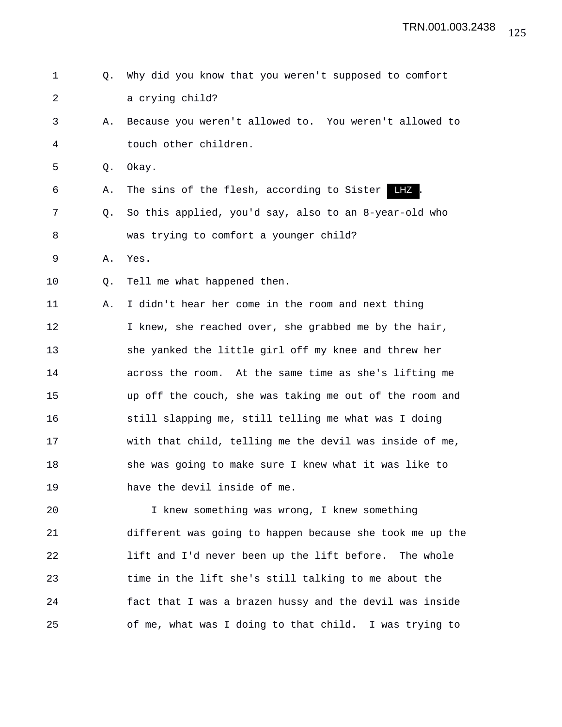```
1 Q. Why did you know that you weren't supposed to comfort
2 a crying child?
3 A. Because you weren't allowed to. You weren't allowed to
4 touch other children.
5 Q. Okay.
 6 A. The sins of the flesh, according to Sister LHZ.
7 Q. So this applied, you'd say, also to an 8-year-old who
8 was trying to comfort a younger child?
9 A. Yes.
10 Q. Tell me what happened then.
11 A. I didn't hear her come in the room and next thing
12 I knew, she reached over, she grabbed me by the hair,
13 she yanked the little girl off my knee and threw her
14 across the room. At the same time as she's lifting me
15 up off the couch, she was taking me out of the room and
16 still slapping me, still telling me what was I doing
17 with that child, telling me the devil was inside of me,
18 she was going to make sure I knew what it was like to
19 have the devil inside of me.
20 I knew something was wrong, I knew something
```
21 different was going to happen because she took me up the 22 lift and I'd never been up the lift before. The whole 23 time in the lift she's still talking to me about the 24 fact that I was a brazen hussy and the devil was inside 25 of me, what was I doing to that child. I was trying to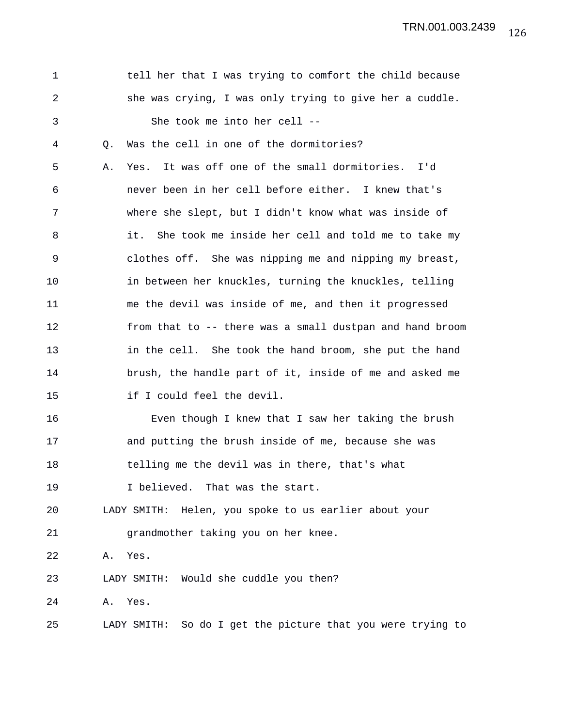TRN.001.003.2439

| tell her that I was trying to comfort the child because<br>1<br>2<br>she was crying, I was only trying to give her a cuddle.<br>She took me into her cell --<br>3<br>4<br>Was the cell in one of the dormitories?<br>Q.<br>It was off one of the small dormitories. I'd<br>5<br>Α.<br>Yes.<br>6<br>never been in her cell before either. I knew that's<br>7<br>where she slept, but I didn't know what was inside of<br>8<br>it.<br>She took me inside her cell and told me to take my<br>9<br>clothes off. She was nipping me and nipping my breast,<br>10<br>in between her knuckles, turning the knuckles, telling<br>11<br>me the devil was inside of me, and then it progressed<br>12<br>13<br>in the cell. She took the hand broom, she put the hand<br>14<br>brush, the handle part of it, inside of me and asked me<br>if I could feel the devil.<br>15<br>16<br>Even though I knew that I saw her taking the brush<br>17<br>and putting the brush inside of me, because she was<br>18<br>telling me the devil was in there, that's what<br>19<br>I believed. That was the start.<br>20<br>LADY SMITH: Helen, you spoke to us earlier about your<br>21<br>grandmother taking you on her knee.<br>22<br>Yes.<br>Α.<br>LADY SMITH: Would she cuddle you then?<br>23<br>24<br>Yes.<br>Α.<br>LADY SMITH: So do I get the picture that you were trying to<br>25 |  |                                                          |
|--------------------------------------------------------------------------------------------------------------------------------------------------------------------------------------------------------------------------------------------------------------------------------------------------------------------------------------------------------------------------------------------------------------------------------------------------------------------------------------------------------------------------------------------------------------------------------------------------------------------------------------------------------------------------------------------------------------------------------------------------------------------------------------------------------------------------------------------------------------------------------------------------------------------------------------------------------------------------------------------------------------------------------------------------------------------------------------------------------------------------------------------------------------------------------------------------------------------------------------------------------------------------------------------------------------------------------------------------------------------|--|----------------------------------------------------------|
|                                                                                                                                                                                                                                                                                                                                                                                                                                                                                                                                                                                                                                                                                                                                                                                                                                                                                                                                                                                                                                                                                                                                                                                                                                                                                                                                                                    |  |                                                          |
|                                                                                                                                                                                                                                                                                                                                                                                                                                                                                                                                                                                                                                                                                                                                                                                                                                                                                                                                                                                                                                                                                                                                                                                                                                                                                                                                                                    |  |                                                          |
|                                                                                                                                                                                                                                                                                                                                                                                                                                                                                                                                                                                                                                                                                                                                                                                                                                                                                                                                                                                                                                                                                                                                                                                                                                                                                                                                                                    |  |                                                          |
|                                                                                                                                                                                                                                                                                                                                                                                                                                                                                                                                                                                                                                                                                                                                                                                                                                                                                                                                                                                                                                                                                                                                                                                                                                                                                                                                                                    |  |                                                          |
|                                                                                                                                                                                                                                                                                                                                                                                                                                                                                                                                                                                                                                                                                                                                                                                                                                                                                                                                                                                                                                                                                                                                                                                                                                                                                                                                                                    |  |                                                          |
|                                                                                                                                                                                                                                                                                                                                                                                                                                                                                                                                                                                                                                                                                                                                                                                                                                                                                                                                                                                                                                                                                                                                                                                                                                                                                                                                                                    |  |                                                          |
|                                                                                                                                                                                                                                                                                                                                                                                                                                                                                                                                                                                                                                                                                                                                                                                                                                                                                                                                                                                                                                                                                                                                                                                                                                                                                                                                                                    |  |                                                          |
|                                                                                                                                                                                                                                                                                                                                                                                                                                                                                                                                                                                                                                                                                                                                                                                                                                                                                                                                                                                                                                                                                                                                                                                                                                                                                                                                                                    |  |                                                          |
|                                                                                                                                                                                                                                                                                                                                                                                                                                                                                                                                                                                                                                                                                                                                                                                                                                                                                                                                                                                                                                                                                                                                                                                                                                                                                                                                                                    |  |                                                          |
|                                                                                                                                                                                                                                                                                                                                                                                                                                                                                                                                                                                                                                                                                                                                                                                                                                                                                                                                                                                                                                                                                                                                                                                                                                                                                                                                                                    |  |                                                          |
|                                                                                                                                                                                                                                                                                                                                                                                                                                                                                                                                                                                                                                                                                                                                                                                                                                                                                                                                                                                                                                                                                                                                                                                                                                                                                                                                                                    |  |                                                          |
|                                                                                                                                                                                                                                                                                                                                                                                                                                                                                                                                                                                                                                                                                                                                                                                                                                                                                                                                                                                                                                                                                                                                                                                                                                                                                                                                                                    |  | from that to -- there was a small dustpan and hand broom |
|                                                                                                                                                                                                                                                                                                                                                                                                                                                                                                                                                                                                                                                                                                                                                                                                                                                                                                                                                                                                                                                                                                                                                                                                                                                                                                                                                                    |  |                                                          |
|                                                                                                                                                                                                                                                                                                                                                                                                                                                                                                                                                                                                                                                                                                                                                                                                                                                                                                                                                                                                                                                                                                                                                                                                                                                                                                                                                                    |  |                                                          |
|                                                                                                                                                                                                                                                                                                                                                                                                                                                                                                                                                                                                                                                                                                                                                                                                                                                                                                                                                                                                                                                                                                                                                                                                                                                                                                                                                                    |  |                                                          |
|                                                                                                                                                                                                                                                                                                                                                                                                                                                                                                                                                                                                                                                                                                                                                                                                                                                                                                                                                                                                                                                                                                                                                                                                                                                                                                                                                                    |  |                                                          |
|                                                                                                                                                                                                                                                                                                                                                                                                                                                                                                                                                                                                                                                                                                                                                                                                                                                                                                                                                                                                                                                                                                                                                                                                                                                                                                                                                                    |  |                                                          |
|                                                                                                                                                                                                                                                                                                                                                                                                                                                                                                                                                                                                                                                                                                                                                                                                                                                                                                                                                                                                                                                                                                                                                                                                                                                                                                                                                                    |  |                                                          |
|                                                                                                                                                                                                                                                                                                                                                                                                                                                                                                                                                                                                                                                                                                                                                                                                                                                                                                                                                                                                                                                                                                                                                                                                                                                                                                                                                                    |  |                                                          |
|                                                                                                                                                                                                                                                                                                                                                                                                                                                                                                                                                                                                                                                                                                                                                                                                                                                                                                                                                                                                                                                                                                                                                                                                                                                                                                                                                                    |  |                                                          |
|                                                                                                                                                                                                                                                                                                                                                                                                                                                                                                                                                                                                                                                                                                                                                                                                                                                                                                                                                                                                                                                                                                                                                                                                                                                                                                                                                                    |  |                                                          |
|                                                                                                                                                                                                                                                                                                                                                                                                                                                                                                                                                                                                                                                                                                                                                                                                                                                                                                                                                                                                                                                                                                                                                                                                                                                                                                                                                                    |  |                                                          |
|                                                                                                                                                                                                                                                                                                                                                                                                                                                                                                                                                                                                                                                                                                                                                                                                                                                                                                                                                                                                                                                                                                                                                                                                                                                                                                                                                                    |  |                                                          |
|                                                                                                                                                                                                                                                                                                                                                                                                                                                                                                                                                                                                                                                                                                                                                                                                                                                                                                                                                                                                                                                                                                                                                                                                                                                                                                                                                                    |  |                                                          |
|                                                                                                                                                                                                                                                                                                                                                                                                                                                                                                                                                                                                                                                                                                                                                                                                                                                                                                                                                                                                                                                                                                                                                                                                                                                                                                                                                                    |  |                                                          |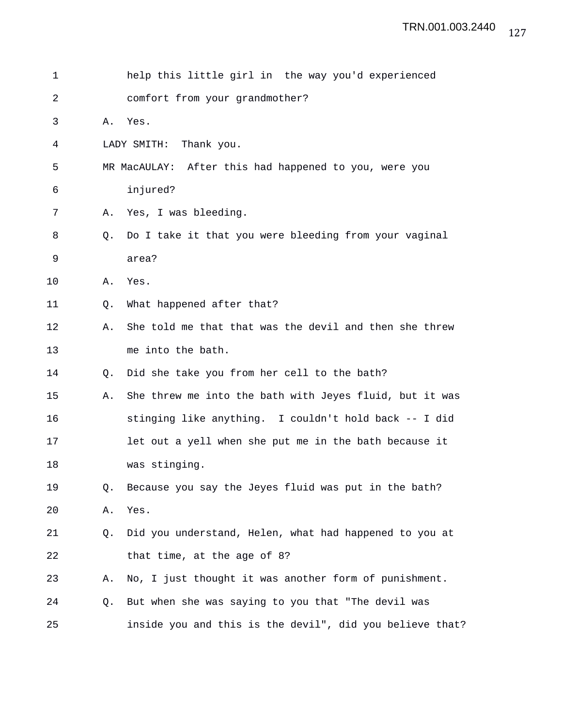| 1  |             | help this little girl in the way you'd experienced       |
|----|-------------|----------------------------------------------------------|
| 2  |             | comfort from your grandmother?                           |
| 3  | Α.          | Yes.                                                     |
| 4  |             | Thank you.<br>LADY SMITH:                                |
| 5  |             | MR MacAULAY: After this had happened to you, were you    |
| 6  |             | injured?                                                 |
| 7  | Α.          | Yes, I was bleeding.                                     |
| 8  | Q.          | Do I take it that you were bleeding from your vaginal    |
| 9  |             | area?                                                    |
| 10 | Α.          | Yes.                                                     |
| 11 | $Q_{\star}$ | What happened after that?                                |
| 12 | Α.          | She told me that that was the devil and then she threw   |
| 13 |             | me into the bath.                                        |
| 14 | O.          | Did she take you from her cell to the bath?              |
| 15 | Α.          | She threw me into the bath with Jeyes fluid, but it was  |
| 16 |             | stinging like anything. I couldn't hold back -- I did    |
| 17 |             | let out a yell when she put me in the bath because it    |
| 18 |             | was stinging.                                            |
| 19 | $Q_{\star}$ | Because you say the Jeyes fluid was put in the bath?     |
| 20 | Α.          | Yes.                                                     |
| 21 | Q.          | Did you understand, Helen, what had happened to you at   |
| 22 |             | that time, at the age of 8?                              |
| 23 | Α.          | No, I just thought it was another form of punishment.    |
| 24 | Q.          | But when she was saying to you that "The devil was       |
| 25 |             | inside you and this is the devil", did you believe that? |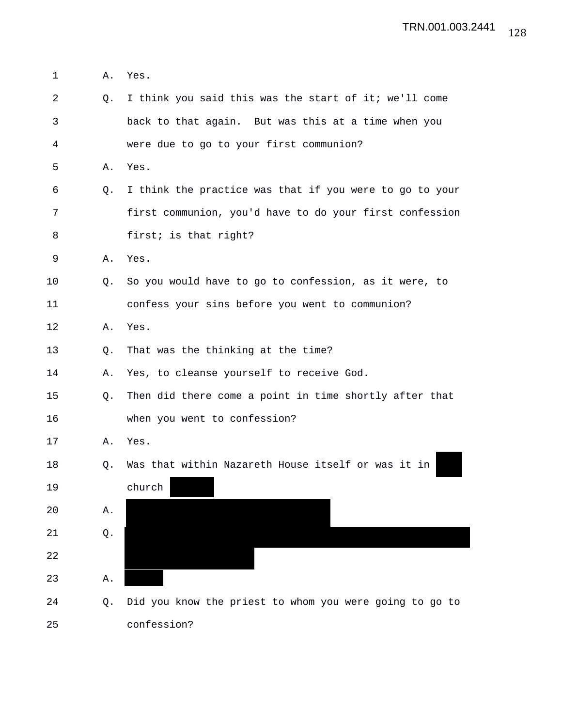1 A. Yes.

| 2  | 0.             | I think you said this was the start of it; we'll come   |
|----|----------------|---------------------------------------------------------|
| 3  |                | back to that again. But was this at a time when you     |
| 4  |                | were due to go to your first communion?                 |
| 5  | Α.             | Yes.                                                    |
| 6  | Q.             | I think the practice was that if you were to go to your |
| 7  |                | first communion, you'd have to do your first confession |
| 8  |                | first; is that right?                                   |
| 9  | Α.             | Yes.                                                    |
| 10 | Q.             | So you would have to go to confession, as it were, to   |
| 11 |                | confess your sins before you went to communion?         |
| 12 | Α.             | Yes.                                                    |
| 13 | Q.             | That was the thinking at the time?                      |
| 14 | Α.             | Yes, to cleanse yourself to receive God.                |
| 15 | Q <sub>z</sub> | Then did there come a point in time shortly after that  |
| 16 |                | when you went to confession?                            |
| 17 | Α.             | Yes.                                                    |
| 18 | Q.             | Was that within Nazareth House itself or was it in      |
| 19 |                | church                                                  |
| 20 | Α.             |                                                         |
| 21 | Q.             |                                                         |
| 22 |                |                                                         |
| 23 | Α.             |                                                         |
| 24 | Q.             | Did you know the priest to whom you were going to go to |
| 25 |                | confession?                                             |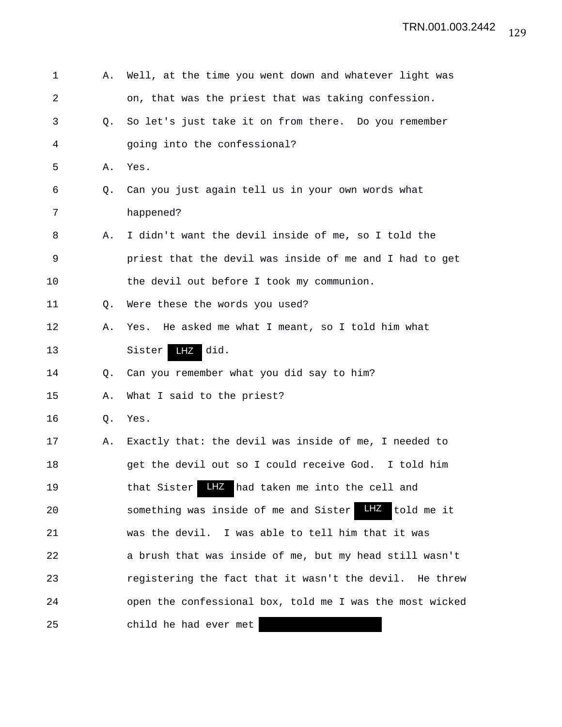| 1  | Α. | Well, at the time you went down and whatever light was            |
|----|----|-------------------------------------------------------------------|
| 2  |    | on, that was the priest that was taking confession.               |
| 3  | Q. | So let's just take it on from there. Do you remember              |
| 4  |    | going into the confessional?                                      |
| 5  | Α. | Yes.                                                              |
| 6  | Q. | Can you just again tell us in your own words what                 |
| 7  |    | happened?                                                         |
| 8  | Α. | I didn't want the devil inside of me, so I told the               |
| 9  |    | priest that the devil was inside of me and I had to get           |
| 10 |    | the devil out before I took my communion.                         |
| 11 | Q. | Were these the words you used?                                    |
| 12 | Α. | He asked me what I meant, so I told him what<br>Yes.              |
| 13 |    | LHZ did.<br>Sister                                                |
| 14 | Q. | Can you remember what you did say to him?                         |
| 15 | Α. | What I said to the priest?                                        |
| 16 | Q. | Yes.                                                              |
| 17 | Α. | Exactly that: the devil was inside of me, I needed to             |
| 18 |    | get the devil out so I could receive God. I told him              |
| 19 |    | LHZ had taken me into the cell and<br>that Sister                 |
| 20 |    | $L$ HZ $-$<br>told me it<br>something was inside of me and Sister |
| 21 |    | was the devil. I was able to tell him that it was                 |
| 22 |    | a brush that was inside of me, but my head still wasn't           |
| 23 |    | registering the fact that it wasn't the devil. He threw           |
| 24 |    | open the confessional box, told me I was the most wicked          |
| 25 |    | child he had ever met                                             |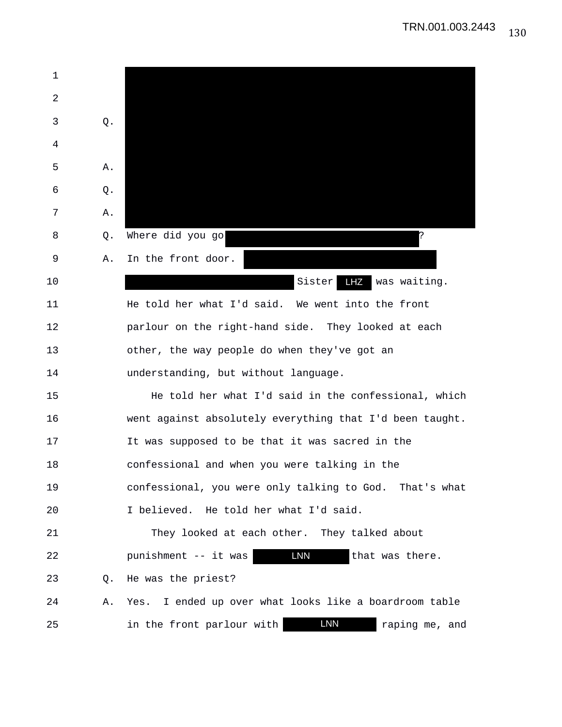| $\mathbf 1$ |    |                                                           |
|-------------|----|-----------------------------------------------------------|
| 2           |    |                                                           |
| 3           | Q. |                                                           |
| 4           |    |                                                           |
| 5           | Α. |                                                           |
| 6           | Q. |                                                           |
| 7           | Α. |                                                           |
| 8           | Q. | Where did you go<br>?                                     |
| 9           | Α. | In the front door.                                        |
| 10          |    | LHZ was waiting.<br>Sister                                |
| 11          |    | He told her what I'd said. We went into the front         |
| 12          |    | parlour on the right-hand side. They looked at each       |
| 13          |    | other, the way people do when they've got an              |
| 14          |    | understanding, but without language.                      |
| 15          |    | He told her what I'd said in the confessional, which      |
| 16          |    | went against absolutely everything that I'd been taught.  |
| 17          |    | It was supposed to be that it was sacred in the           |
| 18          |    | confessional and when you were talking in the             |
| 19          |    | confessional, you were only talking to God. That's what   |
| 20          |    | I believed. He told her what I'd said.                    |
| 21          |    | They looked at each other. They talked about              |
| 22          |    | <b>LNN</b><br>that was there.<br>punishment -- it was     |
| 23          | Q. | He was the priest?                                        |
| 24          | Α. | Yes. I ended up over what looks like a boardroom table    |
| 25          |    | <b>LNN</b><br>in the front parlour with<br>raping me, and |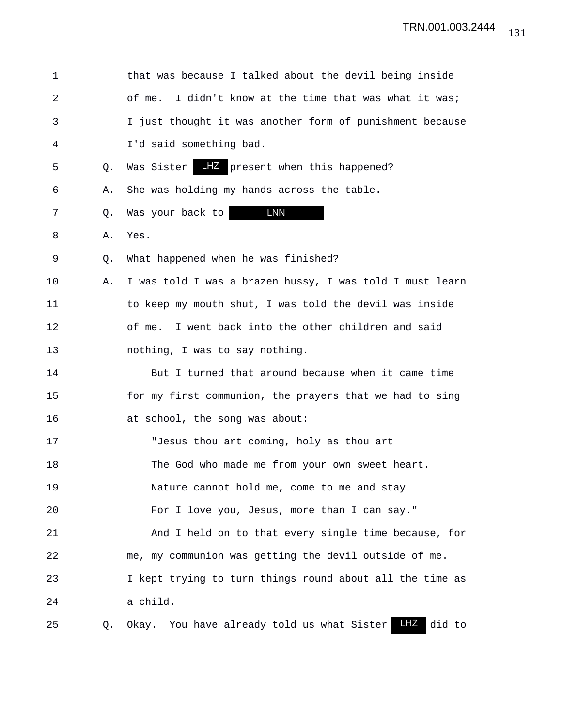| $\mathbf 1$    |    | that was because I talked about the devil being inside         |
|----------------|----|----------------------------------------------------------------|
| $\overline{2}$ |    | I didn't know at the time that was what it was;<br>of me.      |
| 3              |    | I just thought it was another form of punishment because       |
| 4              |    | I'd said something bad.                                        |
| 5              | Q. | Was Sister LHZ present when this happened?                     |
| 6              | Α. | She was holding my hands across the table.                     |
| 7              | Q. | Was your back to <b>LNN</b>                                    |
| 8              | Α. | Yes.                                                           |
| 9              | Q. | What happened when he was finished?                            |
| 10             | Α. | I was told I was a brazen hussy, I was told I must learn       |
| 11             |    | to keep my mouth shut, I was told the devil was inside         |
| 12             |    | of me. I went back into the other children and said            |
| 13             |    | nothing, I was to say nothing.                                 |
| 14             |    | But I turned that around because when it came time             |
| 15             |    | for my first communion, the prayers that we had to sing        |
| 16             |    | at school, the song was about:                                 |
| 17             |    | "Jesus thou art coming, holy as thou art                       |
| 18             |    | The God who made me from your own sweet heart.                 |
| 19             |    | Nature cannot hold me, come to me and stay                     |
| 20             |    | For I love you, Jesus, more than I can say."                   |
| 21             |    | And I held on to that every single time because, for           |
| 22             |    | me, my communion was getting the devil outside of me.          |
| 23             |    | I kept trying to turn things round about all the time as       |
| 24             |    | a child.                                                       |
| 25             | Q. | $L$ HZ<br>Okay. You have already told us what Sister<br>did to |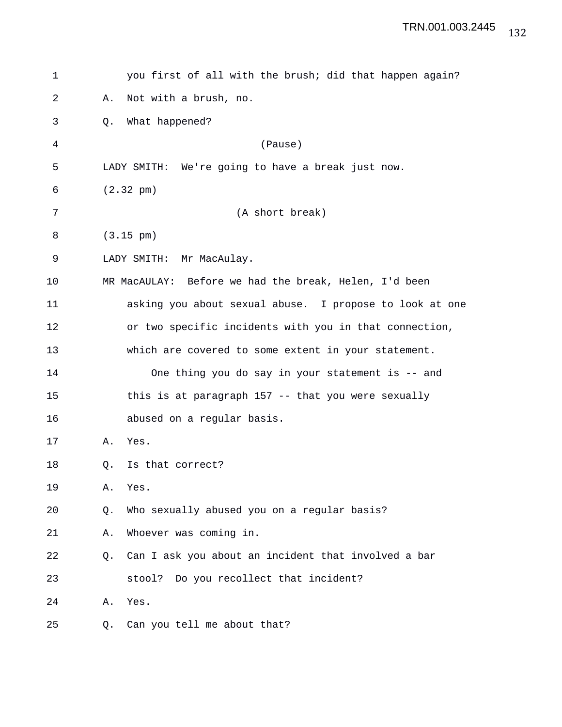| 1  | you first of all with the brush; did that happen again?   |  |  |
|----|-----------------------------------------------------------|--|--|
| 2  | Not with a brush, no.<br>Α.                               |  |  |
| 3  | What happened?<br>Q.                                      |  |  |
| 4  | (Pause)                                                   |  |  |
| 5  | LADY SMITH: We're going to have a break just now.         |  |  |
| 6  | $(2.32 \text{ pm})$                                       |  |  |
| 7  | (A short break)                                           |  |  |
| 8  | $(3.15 \text{ pm})$                                       |  |  |
| 9  | LADY SMITH: Mr MacAulay.                                  |  |  |
| 10 | MR MacAULAY: Before we had the break, Helen, I'd been     |  |  |
| 11 | asking you about sexual abuse. I propose to look at one   |  |  |
| 12 | or two specific incidents with you in that connection,    |  |  |
| 13 | which are covered to some extent in your statement.       |  |  |
| 14 | One thing you do say in your statement is -- and          |  |  |
| 15 | this is at paragraph 157 -- that you were sexually        |  |  |
| 16 | abused on a regular basis.                                |  |  |
| 17 | Α.<br>Yes.                                                |  |  |
| 18 | Is that correct?<br>Q.                                    |  |  |
| 19 | Yes.<br>Α.                                                |  |  |
| 20 | Who sexually abused you on a regular basis?<br>Q.         |  |  |
| 21 | Whoever was coming in.<br>Α.                              |  |  |
| 22 | Can I ask you about an incident that involved a bar<br>Q. |  |  |
| 23 | Do you recollect that incident?<br>stool?                 |  |  |
| 24 | Yes.<br>Α.                                                |  |  |
| 25 | Can you tell me about that?<br>Q.                         |  |  |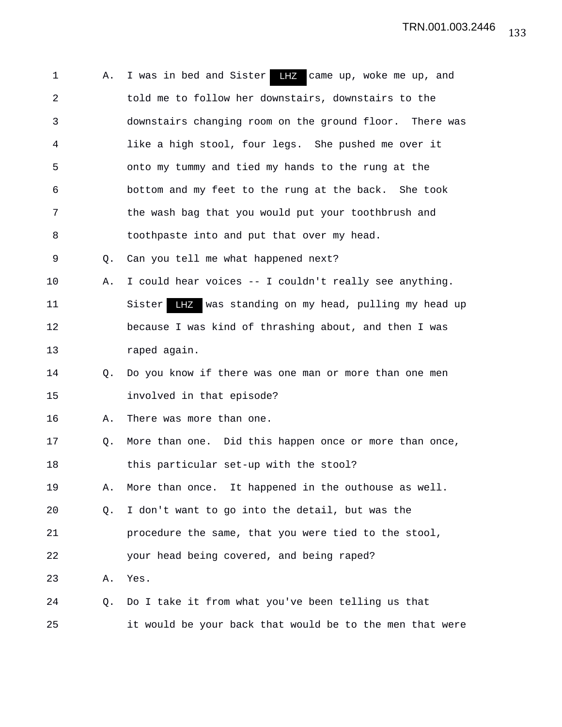| 1              | Α. | I was in bed and Sister LHZ came up, woke me up, and             |
|----------------|----|------------------------------------------------------------------|
| $\overline{a}$ |    | told me to follow her downstairs, downstairs to the              |
| 3              |    | downstairs changing room on the ground floor. There was          |
| 4              |    | like a high stool, four legs. She pushed me over it              |
| 5              |    | onto my tummy and tied my hands to the rung at the               |
| 6              |    | bottom and my feet to the rung at the back. She took             |
| 7              |    | the wash bag that you would put your toothbrush and              |
| 8              |    | toothpaste into and put that over my head.                       |
| 9              | Q. | Can you tell me what happened next?                              |
| 10             | Α. | I could hear voices -- I couldn't really see anything.           |
| 11             |    | Sister<br><b>LHZ</b> was standing on my head, pulling my head up |
| 12             |    | because I was kind of thrashing about, and then I was            |
| 13             |    | raped again.                                                     |
| 14             | Q. | Do you know if there was one man or more than one men            |
| 15             |    | involved in that episode?                                        |
| 16             | Α. | There was more than one.                                         |
| 17             | Q. | More than one. Did this happen once or more than once,           |
| 18             |    | this particular set-up with the stool?                           |
| 19             | Α. | More than once. It happened in the outhouse as well.             |
| 20             | Q. | I don't want to go into the detail, but was the                  |
| 21             |    | procedure the same, that you were tied to the stool,             |
| 22             |    | your head being covered, and being raped?                        |
| 23             | Α. | Yes.                                                             |
| 24             | Q. | Do I take it from what you've been telling us that               |
| 25             |    | it would be your back that would be to the men that were         |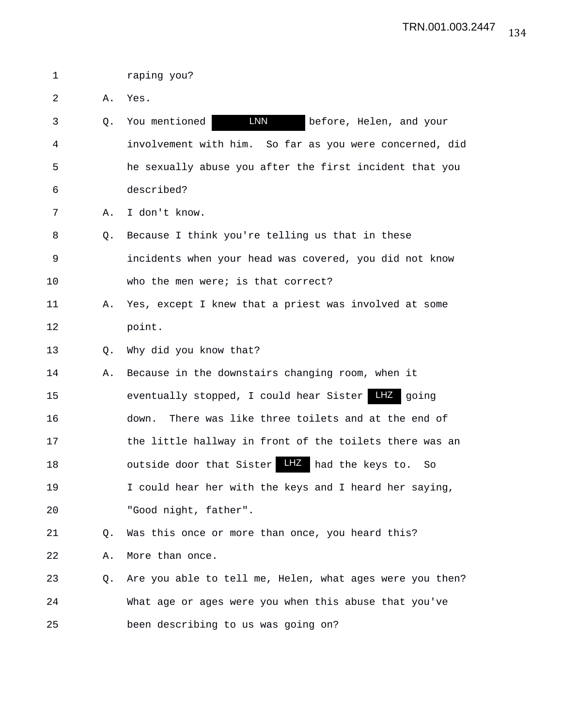1 raping you?

2 A. Yes.

3 Q. You mentioned before, Helen, and your 4 involvement with him. So far as you were concerned, did 5 he sexually abuse you after the first incident that you 6 described? LNN

7 A. I don't know.

8 Q. Because I think you're telling us that in these 9 incidents when your head was covered, you did not know 10 who the men were; is that correct?

11 A. Yes, except I knew that a priest was involved at some 12 point.

13 O. Why did you know that?

14 A. Because in the downstairs changing room, when it 15 eventually stopped, I could hear Sister LHZ going 16 down. There was like three toilets and at the end of 17 the little hallway in front of the toilets there was an 18 **b** outside door that Sister LHZ had the keys to. So 19 I could hear her with the keys and I heard her saying,

20 "Good night, father".

21 Q. Was this once or more than once, you heard this?

22 A. More than once.

23 Q. Are you able to tell me, Helen, what ages were you then? 24 What age or ages were you when this abuse that you've 25 been describing to us was going on?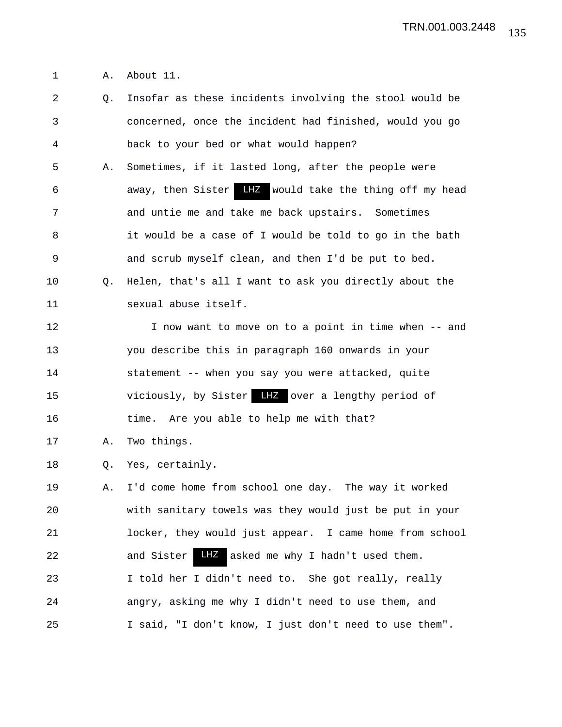1 A. About 11.

2 Q. Insofar as these incidents involving the stool would be 3 concerned, once the incident had finished, would you go 4 back to your bed or what would happen? 5 A. Sometimes, if it lasted long, after the people were 6 6 away, then Sister LHZ would take the thing off my head 7 and untie me and take me back upstairs. Sometimes 8 it would be a case of I would be told to go in the bath 9 and scrub myself clean, and then I'd be put to bed. 10 Q. Helen, that's all I want to ask you directly about the 11 sexual abuse itself. 12 I now want to move on to a point in time when -- and 13 you describe this in paragraph 160 onwards in your 14 statement -- when you say you were attacked, quite 15 viciously, by Sister LHZ over a lengthy period of 16 time. Are you able to help me with that? 17 A. Two things. 18 Q. Yes, certainly. 19 A. I'd come home from school one day. The way it worked 20 with sanitary towels was they would just be put in your 21 locker, they would just appear. I came home from school 22 and Sister LHZ asked me why I hadn't used them. 23 I told her I didn't need to. She got really, really 24 angry, asking me why I didn't need to use them, and 25 I said, "I don't know, I just don't need to use them".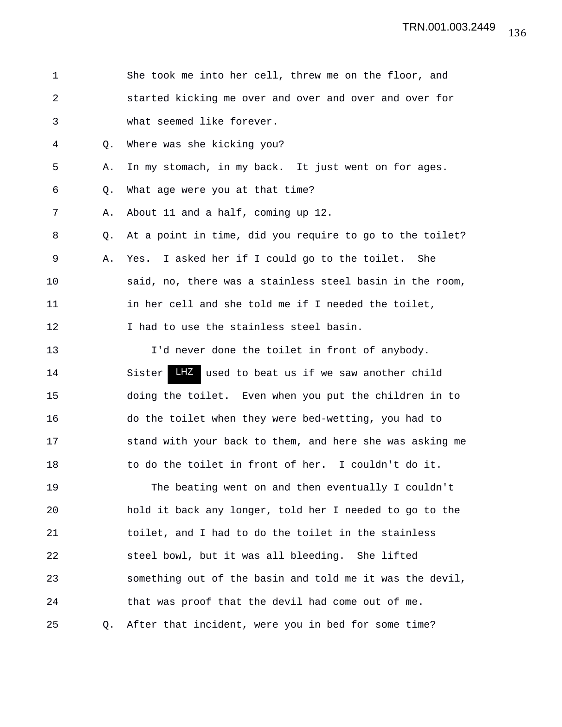1 She took me into her cell, threw me on the floor, and 2 started kicking me over and over and over and over for 3 what seemed like forever. 4 Q. Where was she kicking you? 5 A. In my stomach, in my back. It just went on for ages. 6 Q. What age were you at that time? 7 A. About 11 and a half, coming up 12. 8 Q. At a point in time, did you require to go to the toilet? 9 A. Yes. I asked her if I could go to the toilet. She 10 said, no, there was a stainless steel basin in the room, 11 in her cell and she told me if I needed the toilet, 12 I had to use the stainless steel basin. 13 I'd never done the toilet in front of anybody. 14 Sister LHZ used to beat us if we saw another child 15 doing the toilet. Even when you put the children in to 16 do the toilet when they were bed-wetting, you had to 17 stand with your back to them, and here she was asking me 18 to do the toilet in front of her. I couldn't do it. 19 The beating went on and then eventually I couldn't 20 hold it back any longer, told her I needed to go to the 21 toilet, and I had to do the toilet in the stainless 22 steel bowl, but it was all bleeding. She lifted 23 something out of the basin and told me it was the devil, 24 that was proof that the devil had come out of me. 25 Q. After that incident, were you in bed for some time?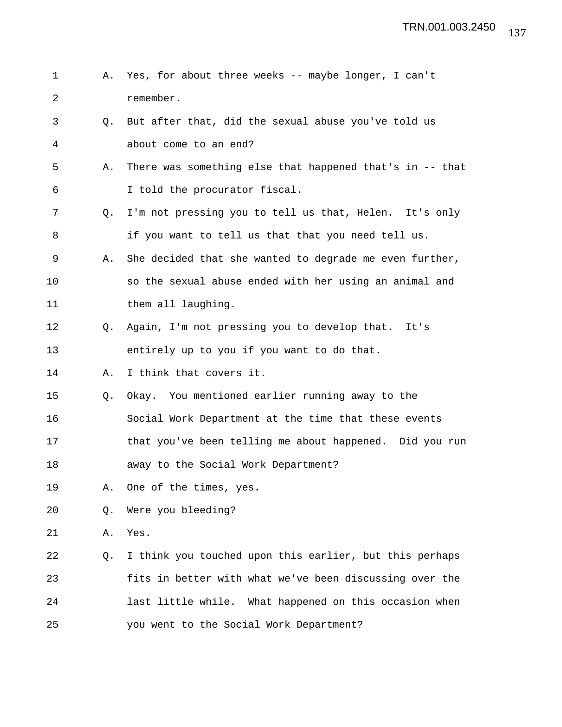1 A. Yes, for about three weeks -- maybe longer, I can't 2 remember. 3 Q. But after that, did the sexual abuse you've told us 4 about come to an end? 5 A. There was something else that happened that's in -- that 6 I told the procurator fiscal. 7 Q. I'm not pressing you to tell us that, Helen. It's only 8 if you want to tell us that that you need tell us. 9 A. She decided that she wanted to degrade me even further, 10 so the sexual abuse ended with her using an animal and 11 them all laughing. 12 Q. Again, I'm not pressing you to develop that. It's 13 entirely up to you if you want to do that. 14 A. I think that covers it. 15 Q. Okay. You mentioned earlier running away to the 16 Social Work Department at the time that these events 17 that you've been telling me about happened. Did you run 18 away to the Social Work Department? 19 A. One of the times, yes. 20 Q. Were you bleeding? 21 A. Yes. 22 Q. I think you touched upon this earlier, but this perhaps 23 fits in better with what we've been discussing over the 24 last little while. What happened on this occasion when 25 you went to the Social Work Department?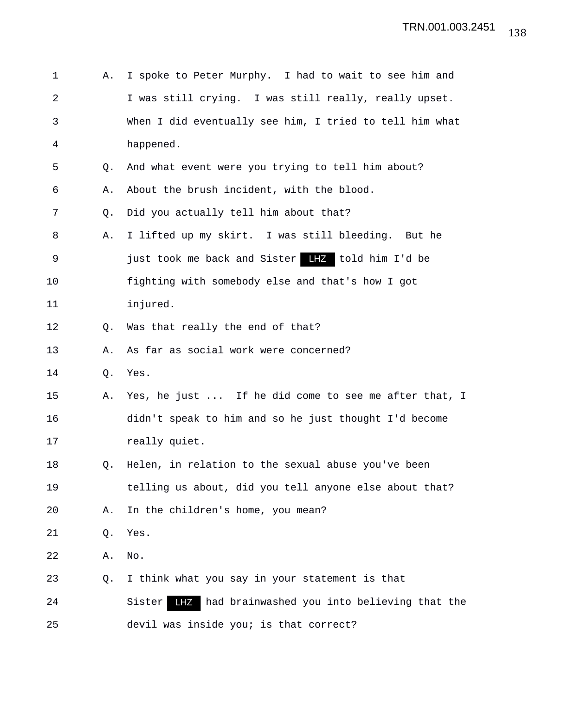| 1              | Α. | I spoke to Peter Murphy. I had to wait to see him and     |  |
|----------------|----|-----------------------------------------------------------|--|
| $\overline{2}$ |    | I was still crying. I was still really, really upset.     |  |
| 3              |    | When I did eventually see him, I tried to tell him what   |  |
| 4              |    | happened.                                                 |  |
| 5              | Q. | And what event were you trying to tell him about?         |  |
| 6              | Α. | About the brush incident, with the blood.                 |  |
| 7              | Q. | Did you actually tell him about that?                     |  |
| 8              | Α. | I lifted up my skirt. I was still bleeding. But he        |  |
| 9              |    | just took me back and Sister LHZ told him I'd be          |  |
| 10             |    | fighting with somebody else and that's how I got          |  |
| 11             |    | injured.                                                  |  |
| 12             | Q. | Was that really the end of that?                          |  |
| 13             | Α. | As far as social work were concerned?                     |  |
| 14             | Q. | Yes.                                                      |  |
| 15             | Α. | Yes, he just  If he did come to see me after that, I      |  |
| 16             |    | didn't speak to him and so he just thought I'd become     |  |
| 17             |    | really quiet.                                             |  |
| 18             | Q. | Helen, in relation to the sexual abuse you've been        |  |
| 19             |    | telling us about, did you tell anyone else about that?    |  |
| 20             | Α. | In the children's home, you mean?                         |  |
| 21             | Q. | Yes.                                                      |  |
| 22             | Α. | No.                                                       |  |
| 23             | Q. | I think what you say in your statement is that            |  |
| 24             |    | LFZ had brainwashed you into believing that the<br>Sister |  |
| 25             |    | devil was inside you; is that correct?                    |  |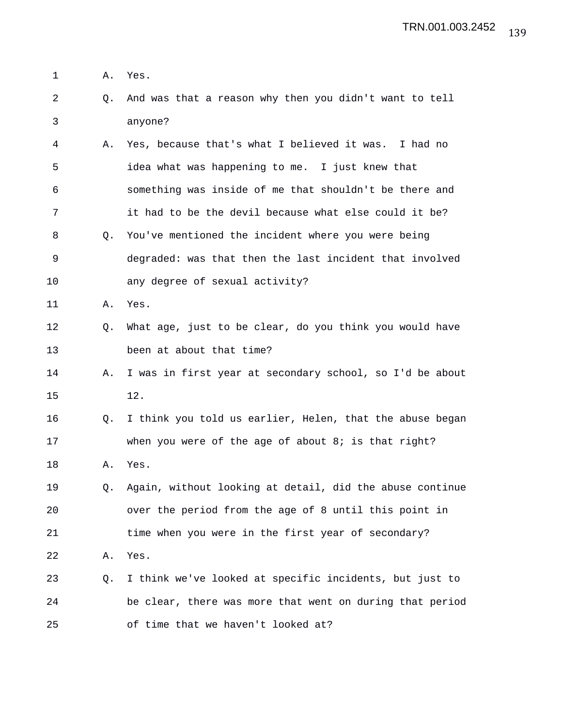- 1 A. Yes.
- 2 Q. And was that a reason why then you didn't want to tell 3 anyone?
- 4 A. Yes, because that's what I believed it was. I had no 5 idea what was happening to me. I just knew that 6 something was inside of me that shouldn't be there and 7 it had to be the devil because what else could it be? 8 Q. You've mentioned the incident where you were being 9 degraded: was that then the last incident that involved 10 any degree of sexual activity?
- 11 A. Yes.
- 12 Q. What age, just to be clear, do you think you would have 13 been at about that time?
- 14 A. I was in first year at secondary school, so I'd be about 15 12.
- 16 Q. I think you told us earlier, Helen, that the abuse began 17 when you were of the age of about 8; is that right?
- 18 A. Yes.
- 19 Q. Again, without looking at detail, did the abuse continue 20 over the period from the age of 8 until this point in 21 time when you were in the first year of secondary? 22 A. Yes.
- 23 Q. I think we've looked at specific incidents, but just to 24 be clear, there was more that went on during that period 25 of time that we haven't looked at?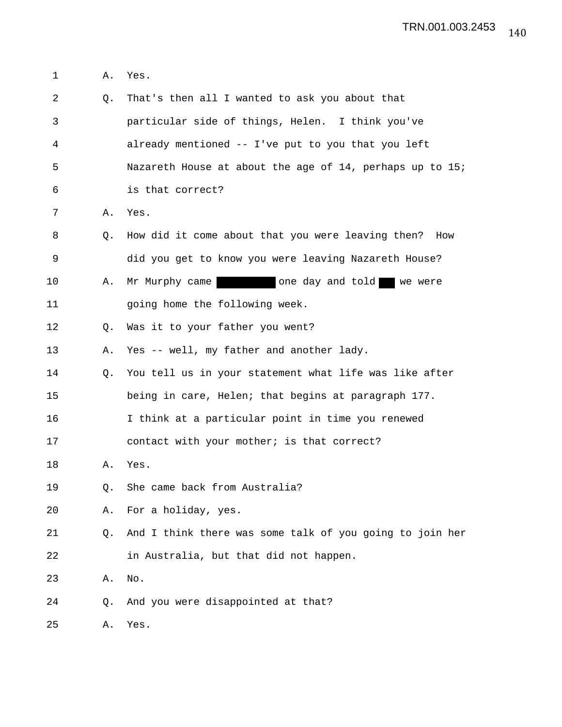1 A. Yes.

| 2  | Q. | That's then all I wanted to ask you about that           |
|----|----|----------------------------------------------------------|
| 3  |    | particular side of things, Helen. I think you've         |
| 4  |    | already mentioned -- I've put to you that you left       |
| 5  |    | Nazareth House at about the age of 14, perhaps up to 15; |
| 6  |    | is that correct?                                         |
| 7  | Α. | Yes.                                                     |
| 8  | O. | How did it come about that you were leaving then? How    |
| 9  |    | did you get to know you were leaving Nazareth House?     |
| 10 | Α. | Mr Murphy came<br>one day and told we were               |
| 11 |    | going home the following week.                           |
| 12 | O. | Was it to your father you went?                          |
| 13 | Α. | Yes -- well, my father and another lady.                 |
| 14 | Q. | You tell us in your statement what life was like after   |
| 15 |    | being in care, Helen; that begins at paragraph 177.      |
| 16 |    | I think at a particular point in time you renewed        |
| 17 |    | contact with your mother; is that correct?               |
| 18 | Α. | Yes.                                                     |
| 19 | Q. | She came back from Australia?                            |
| 20 | Α. | For a holiday, yes.                                      |
| 21 | Q. | And I think there was some talk of you going to join her |
| 22 |    | in Australia, but that did not happen.                   |
| 23 | Α. | No.                                                      |
| 24 | Q. | And you were disappointed at that?                       |
| 25 | Α. | Yes.                                                     |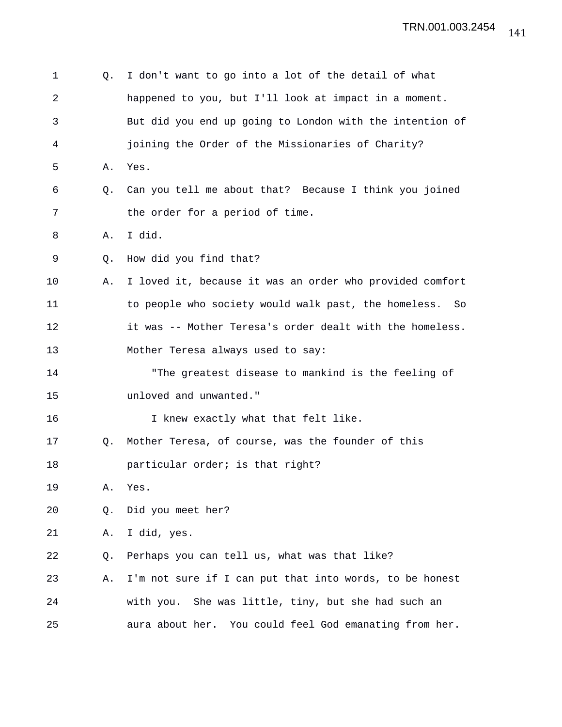| 1  | Q. | I don't want to go into a lot of the detail of what        |  |  |
|----|----|------------------------------------------------------------|--|--|
| 2  |    | happened to you, but I'll look at impact in a moment.      |  |  |
| 3  |    | But did you end up going to London with the intention of   |  |  |
| 4  |    | joining the Order of the Missionaries of Charity?          |  |  |
| 5  | Α. | Yes.                                                       |  |  |
| 6  | Q. | Can you tell me about that? Because I think you joined     |  |  |
| 7  |    | the order for a period of time.                            |  |  |
| 8  | Α. | I did.                                                     |  |  |
| 9  | Q. | How did you find that?                                     |  |  |
| 10 | Α. | I loved it, because it was an order who provided comfort   |  |  |
| 11 |    | to people who society would walk past, the homeless.<br>So |  |  |
| 12 |    | it was -- Mother Teresa's order dealt with the homeless.   |  |  |
| 13 |    | Mother Teresa always used to say:                          |  |  |
| 14 |    | "The greatest disease to mankind is the feeling of         |  |  |
| 15 |    | unloved and unwanted."                                     |  |  |
| 16 |    | I knew exactly what that felt like.                        |  |  |
| 17 | Q. | Mother Teresa, of course, was the founder of this          |  |  |
| 18 |    | particular order; is that right?                           |  |  |
| 19 | Α. | Yes.                                                       |  |  |
| 20 | Q. | Did you meet her?                                          |  |  |
| 21 | Α. | I did, yes.                                                |  |  |
| 22 | Q. | Perhaps you can tell us, what was that like?               |  |  |
| 23 | Α. | I'm not sure if I can put that into words, to be honest    |  |  |
| 24 |    | with you. She was little, tiny, but she had such an        |  |  |
| 25 |    | aura about her.<br>You could feel God emanating from her.  |  |  |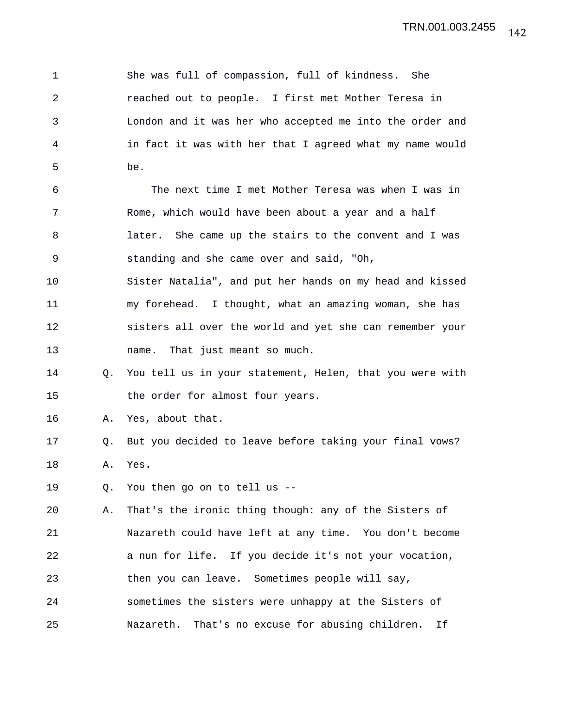1 She was full of compassion, full of kindness. She 2 reached out to people. I first met Mother Teresa in 3 London and it was her who accepted me into the order and 4 in fact it was with her that I agreed what my name would 5 be. 6 The next time I met Mother Teresa was when I was in 7 Rome, which would have been about a year and a half 8 later. She came up the stairs to the convent and I was 9 standing and she came over and said, "Oh, 10 Sister Natalia", and put her hands on my head and kissed 11 my forehead. I thought, what an amazing woman, she has 12 sisters all over the world and yet she can remember your 13 name. That just meant so much. 14 Q. You tell us in your statement, Helen, that you were with 15 the order for almost four years. 16 A. Yes, about that. 17 Q. But you decided to leave before taking your final vows? 18 A. Yes. 19 Q. You then go on to tell us -- 20 A. That's the ironic thing though: any of the Sisters of 21 Nazareth could have left at any time. You don't become 22 a nun for life. If you decide it's not your vocation, 23 then you can leave. Sometimes people will say, 24 sometimes the sisters were unhappy at the Sisters of 25 Nazareth. That's no excuse for abusing children. If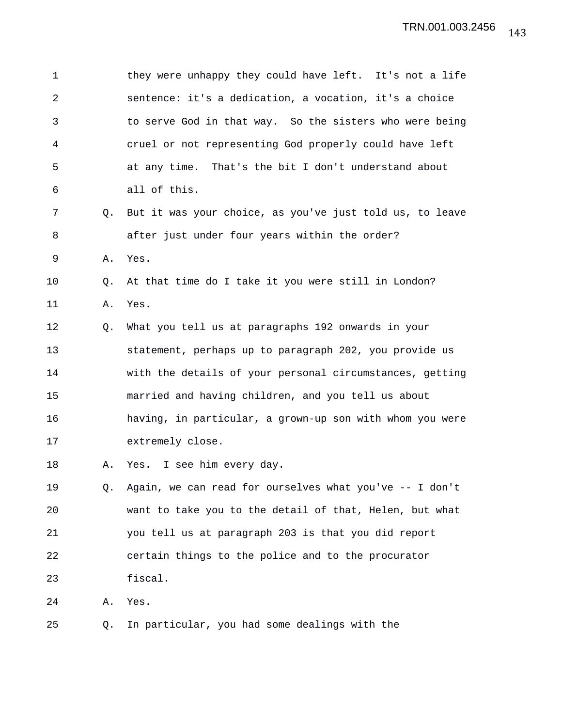1 they were unhappy they could have left. It's not a life 2 sentence: it's a dedication, a vocation, it's a choice 3 to serve God in that way. So the sisters who were being 4 cruel or not representing God properly could have left 5 at any time. That's the bit I don't understand about 6 all of this. 7 Q. But it was your choice, as you've just told us, to leave 8 after just under four years within the order? 9 A. Yes. 10 Q. At that time do I take it you were still in London? 11 A. Yes. 12 Q. What you tell us at paragraphs 192 onwards in your 13 statement, perhaps up to paragraph 202, you provide us 14 with the details of your personal circumstances, getting 15 married and having children, and you tell us about 16 having, in particular, a grown-up son with whom you were 17 extremely close. 18 A. Yes. I see him every day. 19 Q. Again, we can read for ourselves what you've -- I don't 20 want to take you to the detail of that, Helen, but what 21 you tell us at paragraph 203 is that you did report 22 certain things to the police and to the procurator 23 fiscal. 24 A. Yes. 25 Q. In particular, you had some dealings with the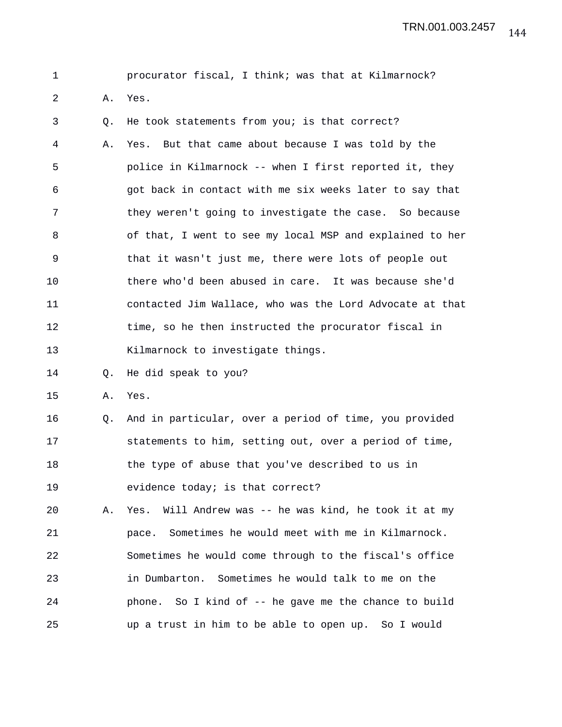144 TRN.001.003.2457

| I |  |
|---|--|
|   |  |

procurator fiscal, I think; was that at Kilmarnock?

2 A. Yes.

3 Q. He took statements from you; is that correct? 4 A. Yes. But that came about because I was told by the 5 police in Kilmarnock -- when I first reported it, they 6 got back in contact with me six weeks later to say that 7 they weren't going to investigate the case. So because 8 of that, I went to see my local MSP and explained to her 9 that it wasn't just me, there were lots of people out 10 there who'd been abused in care. It was because she'd 11 contacted Jim Wallace, who was the Lord Advocate at that 12 time, so he then instructed the procurator fiscal in 13 Kilmarnock to investigate things.

14 Q. He did speak to you?

15 A. Yes.

16 Q. And in particular, over a period of time, you provided 17 statements to him, setting out, over a period of time, 18 the type of abuse that you've described to us in 19 evidence today; is that correct?

20 A. Yes. Will Andrew was -- he was kind, he took it at my 21 pace. Sometimes he would meet with me in Kilmarnock. 22 Sometimes he would come through to the fiscal's office 23 in Dumbarton. Sometimes he would talk to me on the 24 phone. So I kind of -- he gave me the chance to build 25 up a trust in him to be able to open up. So I would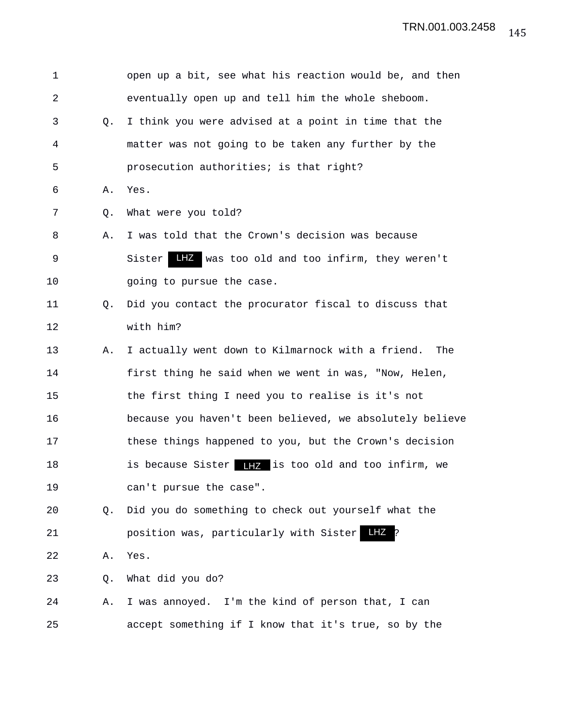| 1  |    | open up a bit, see what his reaction would be, and then       |
|----|----|---------------------------------------------------------------|
| 2  |    | eventually open up and tell him the whole sheboom.            |
| 3  | О. | I think you were advised at a point in time that the          |
| 4  |    | matter was not going to be taken any further by the           |
| 5  |    | prosecution authorities; is that right?                       |
| 6  | Α. | Yes.                                                          |
| 7  | Q. | What were you told?                                           |
| 8  | Α. | I was told that the Crown's decision was because              |
| 9  |    | LHZ was too old and too infirm, they weren't<br>Sister        |
| 10 |    | going to pursue the case.                                     |
| 11 | О. | Did you contact the procurator fiscal to discuss that         |
| 12 |    | with him?                                                     |
| 13 | Α. | I actually went down to Kilmarnock with a friend.<br>The      |
| 14 |    | first thing he said when we went in was, "Now, Helen,         |
| 15 |    | the first thing I need you to realise is it's not             |
| 16 |    | because you haven't been believed, we absolutely believe      |
| 17 |    | these things happened to you, but the Crown's decision        |
| 18 |    | <b>IIZ</b> is too old and too infirm, we<br>is because Sister |
| 19 |    | can't pursue the case".                                       |
| 20 | Q. | Did you do something to check out yourself what the           |
| 21 |    | LHZ<br>position was, particularly with Sister                 |
| 22 | Α. | Yes.                                                          |
| 23 | Q. | What did you do?                                              |
| 24 | Α. | I was annoyed. I'm the kind of person that, I can             |
| 25 |    | accept something if I know that it's true, so by the          |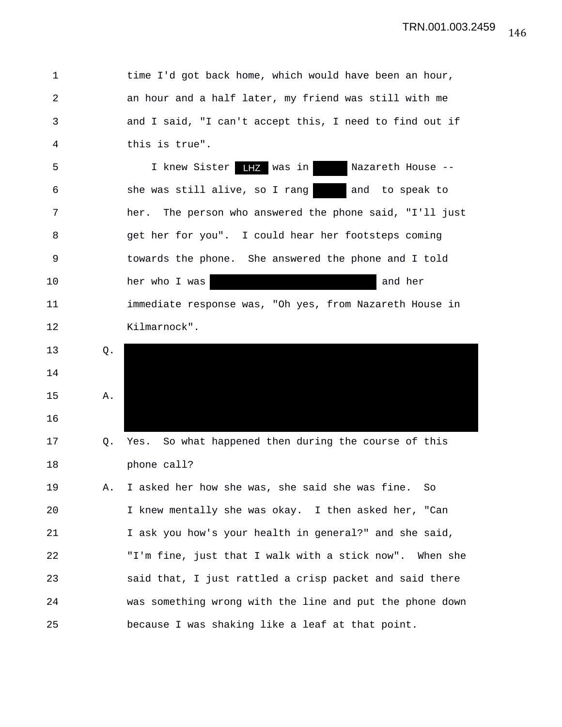1 time I'd got back home, which would have been an hour, 2 an hour and a half later, my friend was still with me 3 and I said, "I can't accept this, I need to find out if 4 this is true". 5 1 knew Sister **HZ** was in Nazareth House --6 she was still alive, so I rang and to speak to 7 her. The person who answered the phone said, "I'll just 8 get her for you". I could hear her footsteps coming 9 towards the phone. She answered the phone and I told 10 her who I was the settlement of the control of the method of the method is not her controller to the method of the method is not her controller to the method of the method of the method of the method of the method of th 11 immediate response was, "Oh yes, from Nazareth House in 12 Kilmarnock". 13 Q. 14 15 A. 16 17 Q. Yes. So what happened then during the course of this 18 phone call? 19 A. I asked her how she was, she said she was fine. So 20 I knew mentally she was okay. I then asked her, "Can 21 I ask you how's your health in general?" and she said, 22 "I'm fine, just that I walk with a stick now". When she 23 said that, I just rattled a crisp packet and said there 24 was something wrong with the line and put the phone down 25 because I was shaking like a leaf at that point.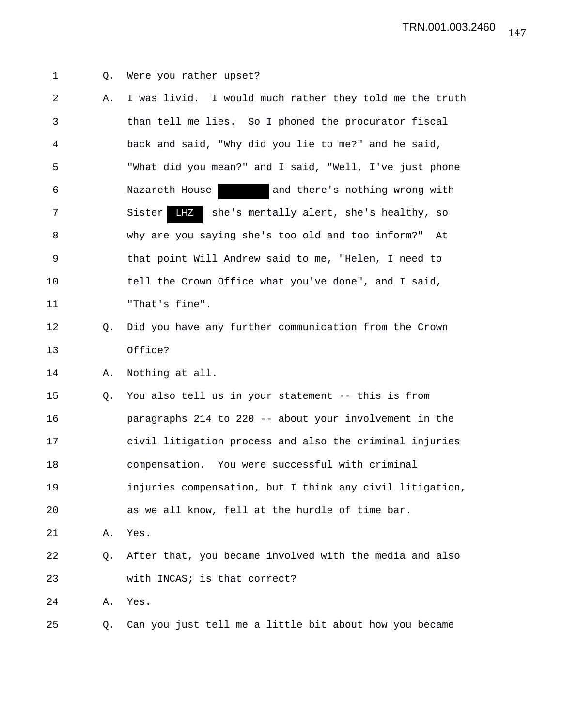- 
- 1 Q. Were you rather upset?
- 2 A. I was livid. I would much rather they told me the truth 3 than tell me lies. So I phoned the procurator fiscal 4 back and said, "Why did you lie to me?" and he said, 5 "What did you mean?" and I said, "Well, I've just phone 6 Nazareth House and there's nothing wrong with 7 Sister LHZ she's mentally alert, she's healthy, so 8 why are you saying she's too old and too inform?" At 9 that point Will Andrew said to me, "Helen, I need to 10 tell the Crown Office what you've done", and I said, 11 "That's fine". 12 Q. Did you have any further communication from the Crown 13 Office? LHZ

14 A. Nothing at all.

15 Q. You also tell us in your statement -- this is from 16 paragraphs 214 to 220 -- about your involvement in the 17 civil litigation process and also the criminal injuries 18 compensation. You were successful with criminal 19 injuries compensation, but I think any civil litigation, 20 as we all know, fell at the hurdle of time bar.

21 A. Yes.

## 22 Q. After that, you became involved with the media and also 23 with INCAS; is that correct?

24 A. Yes.

25 Q. Can you just tell me a little bit about how you became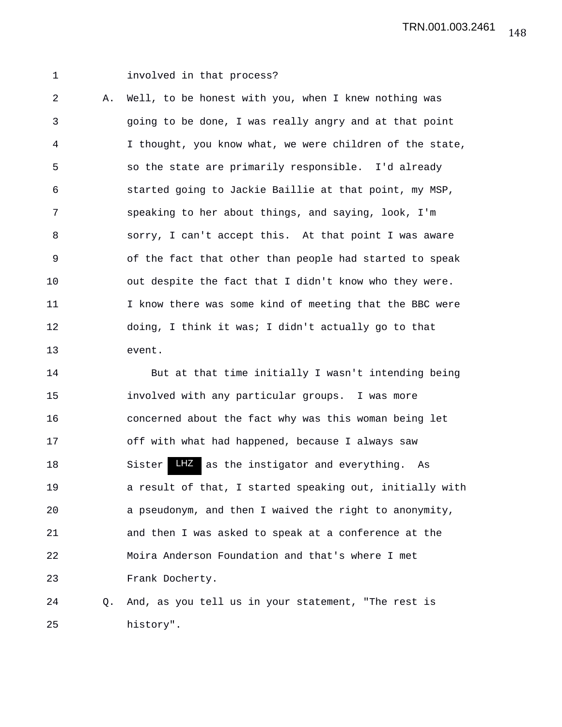## 1 involved in that process?

2 A. Well, to be honest with you, when I knew nothing was 3 going to be done, I was really angry and at that point 4 I thought, you know what, we were children of the state, 5 so the state are primarily responsible. I'd already 6 started going to Jackie Baillie at that point, my MSP, 7 speaking to her about things, and saying, look, I'm 8 sorry, I can't accept this. At that point I was aware 9 of the fact that other than people had started to speak 10 out despite the fact that I didn't know who they were. 11 I know there was some kind of meeting that the BBC were 12 doing, I think it was; I didn't actually go to that 13 event.

14 But at that time initially I wasn't intending being 15 involved with any particular groups. I was more 16 concerned about the fact why was this woman being let 17 off with what had happened, because I always saw 18 Sister LHZ as the instigator and everything. As 19 **a** result of that, I started speaking out, initially with 20 a pseudonym, and then I waived the right to anonymity, 21 and then I was asked to speak at a conference at the 22 Moira Anderson Foundation and that's where I met 23 Frank Docherty.

24 Q. And, as you tell us in your statement, "The rest is 25 history".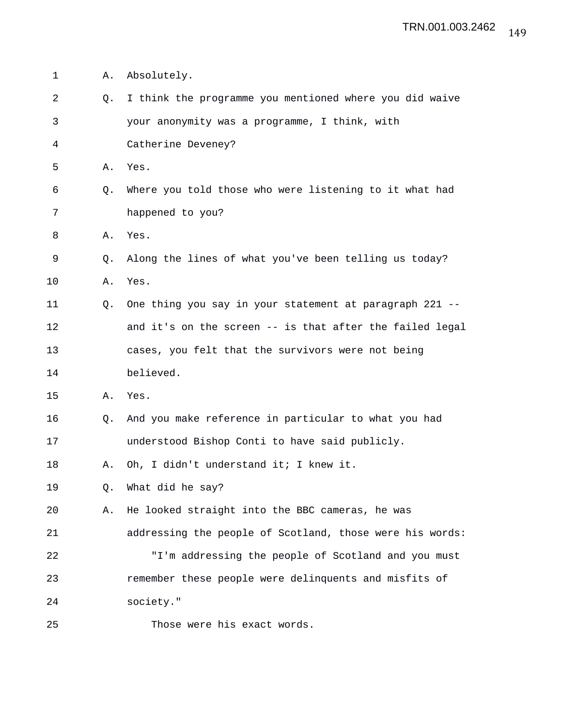| 1  | Α. | Absolutely.                                              |
|----|----|----------------------------------------------------------|
| 2  | Q. | I think the programme you mentioned where you did waive  |
| 3  |    | your anonymity was a programme, I think, with            |
| 4  |    | Catherine Deveney?                                       |
| 5  | Α. | Yes.                                                     |
| 6  | Q. | Where you told those who were listening to it what had   |
| 7  |    | happened to you?                                         |
| 8  | Α. | Yes.                                                     |
| 9  | Q. | Along the lines of what you've been telling us today?    |
| 10 | Α. | Yes.                                                     |
| 11 | Q. | One thing you say in your statement at paragraph 221 --  |
| 12 |    | and it's on the screen -- is that after the failed legal |
| 13 |    | cases, you felt that the survivors were not being        |
| 14 |    | believed.                                                |
| 15 | Α. | Yes.                                                     |
| 16 | O. | And you make reference in particular to what you had     |
| 17 |    | understood Bishop Conti to have said publicly.           |
| 18 | Α. | Oh, I didn't understand it; I knew it.                   |
| 19 | Q. | What did he say?                                         |
| 20 | Α. | He looked straight into the BBC cameras, he was          |
| 21 |    | addressing the people of Scotland, those were his words: |
| 22 |    | "I'm addressing the people of Scotland and you must      |
| 23 |    | remember these people were delinquents and misfits of    |
| 24 |    | society."                                                |
| 25 |    | Those were his exact words.                              |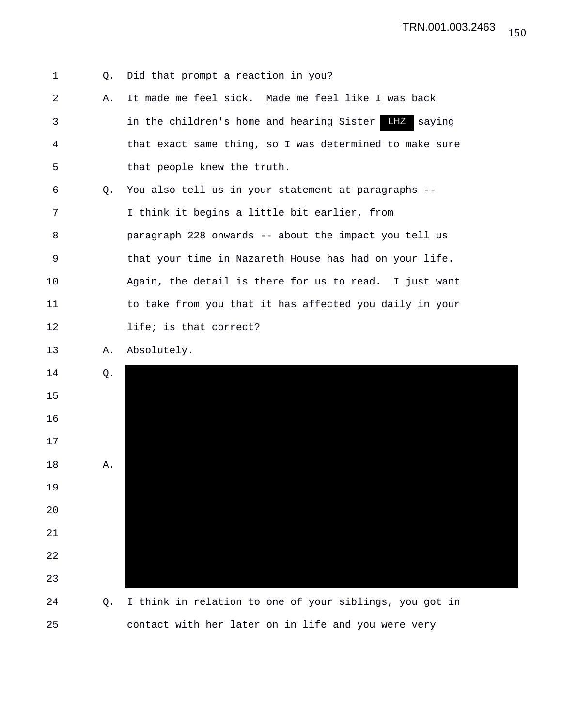

25 contact with her later on in life and you were very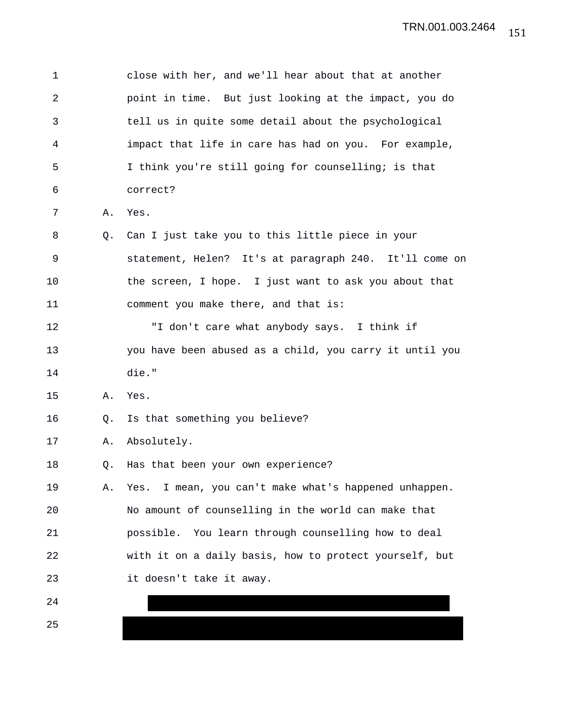| 1              |    | close with her, and we'll hear about that at another    |
|----------------|----|---------------------------------------------------------|
| $\overline{2}$ |    | point in time. But just looking at the impact, you do   |
| 3              |    | tell us in quite some detail about the psychological    |
| 4              |    | impact that life in care has had on you. For example,   |
| 5              |    | I think you're still going for counselling; is that     |
| 6              |    | correct?                                                |
| 7              | Α. | Yes.                                                    |
| 8              | O. | Can I just take you to this little piece in your        |
| 9              |    | statement, Helen? It's at paragraph 240. It'll come on  |
| 10             |    | the screen, I hope. I just want to ask you about that   |
| 11             |    | comment you make there, and that is:                    |
| 12             |    | "I don't care what anybody says. I think if             |
| 13             |    | you have been abused as a child, you carry it until you |
| 14             |    | die."                                                   |
| 15             | Α. | Yes.                                                    |
| 16             | Q. | Is that something you believe?                          |
| 17             | Α. | Absolutely.                                             |
| 18             | Q. | Has that been your own experience?                      |
| 19             | Α. | Yes. I mean, you can't make what's happened unhappen.   |
| 20             |    | No amount of counselling in the world can make that     |
| 21             |    | You learn through counselling how to deal<br>possible.  |
| 22             |    | with it on a daily basis, how to protect yourself, but  |
| 23             |    | it doesn't take it away.                                |
| 24             |    |                                                         |
| 25             |    |                                                         |

151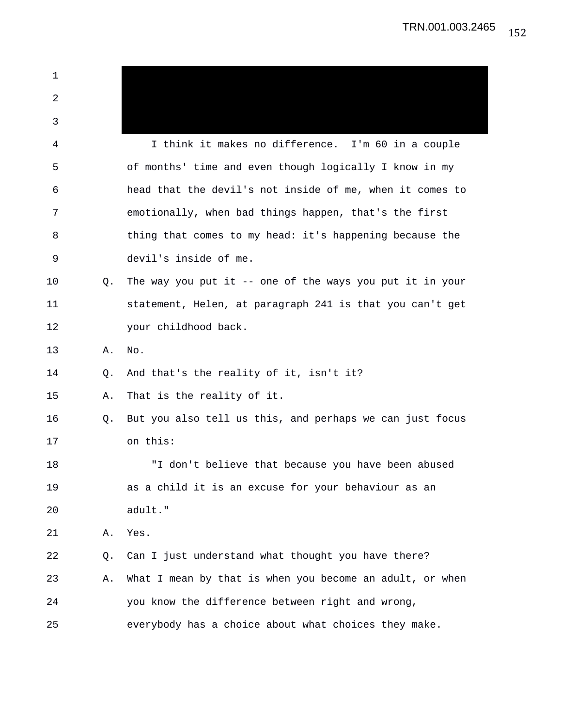| 1  |    |                                                             |
|----|----|-------------------------------------------------------------|
| 2  |    |                                                             |
| 3  |    |                                                             |
| 4  |    | I think it makes no difference. I'm 60 in a couple          |
| 5  |    | of months' time and even though logically I know in my      |
| 6  |    | head that the devil's not inside of me, when it comes to    |
| 7  |    | emotionally, when bad things happen, that's the first       |
| 8  |    | thing that comes to my head: it's happening because the     |
| 9  |    | devil's inside of me.                                       |
| 10 | Q. | The way you put it $-$ - one of the ways you put it in your |
| 11 |    | statement, Helen, at paragraph 241 is that you can't get    |
| 12 |    | your childhood back.                                        |
| 13 | Α. | No.                                                         |
| 14 | Q. | And that's the reality of it, isn't it?                     |
| 15 | Α. | That is the reality of it.                                  |
| 16 | Q. | But you also tell us this, and perhaps we can just focus    |
| 17 |    | on this:                                                    |
| 18 |    | "I don't believe that because you have been abused          |
| 19 |    | as a child it is an excuse for your behaviour as an         |
| 20 |    | adult."                                                     |
| 21 | Α. | Yes.                                                        |
| 22 | Q. | Can I just understand what thought you have there?          |
| 23 | Α. | What I mean by that is when you become an adult, or when    |
| 24 |    | you know the difference between right and wrong,            |
| 25 |    | everybody has a choice about what choices they make.        |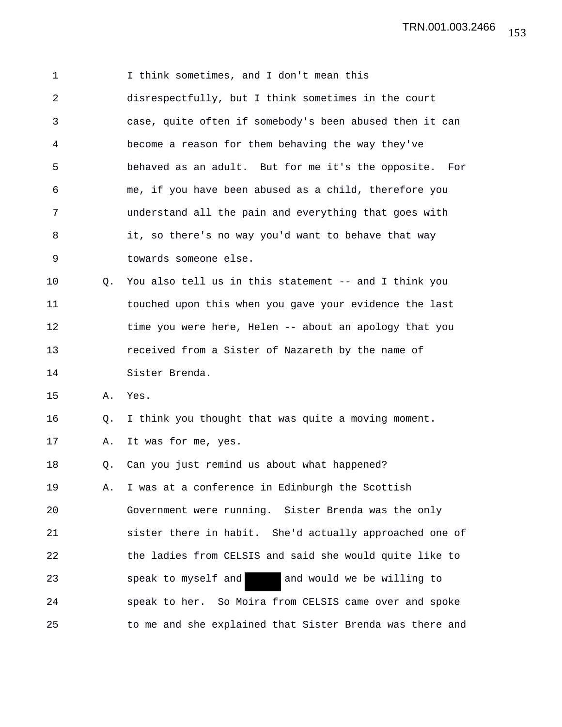1 I think sometimes, and I don't mean this 2 disrespectfully, but I think sometimes in the court 3 case, quite often if somebody's been abused then it can 4 become a reason for them behaving the way they've 5 behaved as an adult. But for me it's the opposite. For 6 me, if you have been abused as a child, therefore you 7 understand all the pain and everything that goes with 8 it, so there's no way you'd want to behave that way 9 towards someone else. 10 Q. You also tell us in this statement -- and I think you 11 touched upon this when you gave your evidence the last 12 time you were here, Helen -- about an apology that you 13 received from a Sister of Nazareth by the name of 14 Sister Brenda. 15 A. Yes. 16 Q. I think you thought that was quite a moving moment. 17 A. It was for me, yes. 18 Q. Can you just remind us about what happened? 19 A. I was at a conference in Edinburgh the Scottish 20 Government were running. Sister Brenda was the only 21 sister there in habit. She'd actually approached one of 22 the ladies from CELSIS and said she would quite like to 23 speak to myself and and would we be willing to 24 speak to her. So Moira from CELSIS came over and spoke 25 to me and she explained that Sister Brenda was there and 153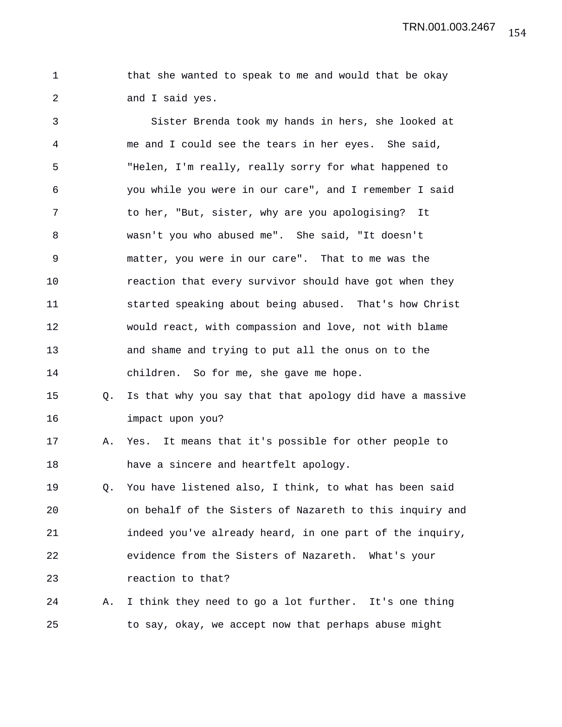1 that she wanted to speak to me and would that be okay 2 and I said yes.

3 Sister Brenda took my hands in hers, she looked at 4 me and I could see the tears in her eyes. She said, 5 "Helen, I'm really, really sorry for what happened to 6 you while you were in our care", and I remember I said 7 to her, "But, sister, why are you apologising? It 8 wasn't you who abused me". She said, "It doesn't 9 matter, you were in our care". That to me was the 10 reaction that every survivor should have got when they 11 started speaking about being abused. That's how Christ 12 would react, with compassion and love, not with blame 13 and shame and trying to put all the onus on to the 14 children. So for me, she gave me hope.

15 Q. Is that why you say that that apology did have a massive 16 impact upon you?

17 A. Yes. It means that it's possible for other people to 18 have a sincere and heartfelt apology.

19 Q. You have listened also, I think, to what has been said 20 on behalf of the Sisters of Nazareth to this inquiry and 21 indeed you've already heard, in one part of the inquiry, 22 evidence from the Sisters of Nazareth. What's your 23 **reaction** to that?

24 A. I think they need to go a lot further. It's one thing 25 to say, okay, we accept now that perhaps abuse might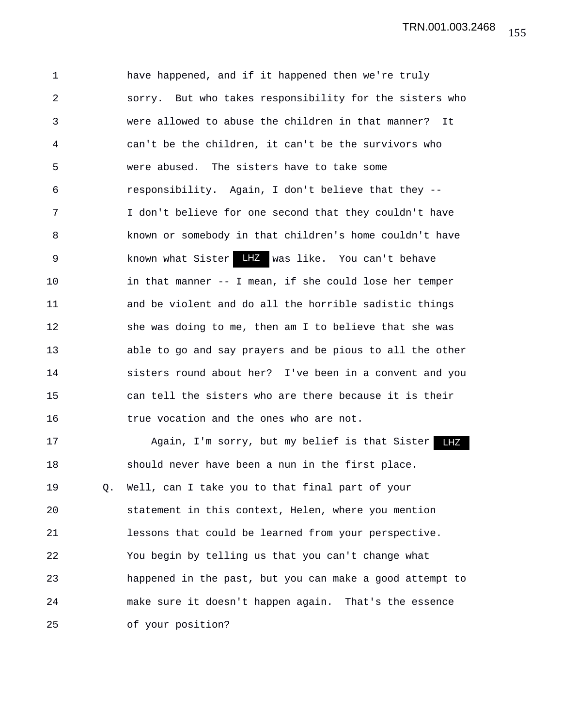1 have happened, and if it happened then we're truly 2 sorry. But who takes responsibility for the sisters who 3 were allowed to abuse the children in that manner? It 4 can't be the children, it can't be the survivors who 5 were abused. The sisters have to take some 6 responsibility. Again, I don't believe that they -- 7 I don't believe for one second that they couldn't have 8 known or somebody in that children's home couldn't have 9 known what Sister LHZ was like. You can't behave 10 in that manner -- I mean, if she could lose her temper 11 and be violent and do all the horrible sadistic things 12 she was doing to me, then am I to believe that she was 13 able to go and say prayers and be pious to all the other 14 sisters round about her? I've been in a convent and you 15 can tell the sisters who are there because it is their 16 true vocation and the ones who are not.

17 Again, I'm sorry, but my belief is that Sister LHZ 18 should never have been a nun in the first place. 19 Q. Well, can I take you to that final part of your 20 statement in this context, Helen, where you mention 21 lessons that could be learned from your perspective. 22 You begin by telling us that you can't change what 23 happened in the past, but you can make a good attempt to 24 make sure it doesn't happen again. That's the essence 25 of your position?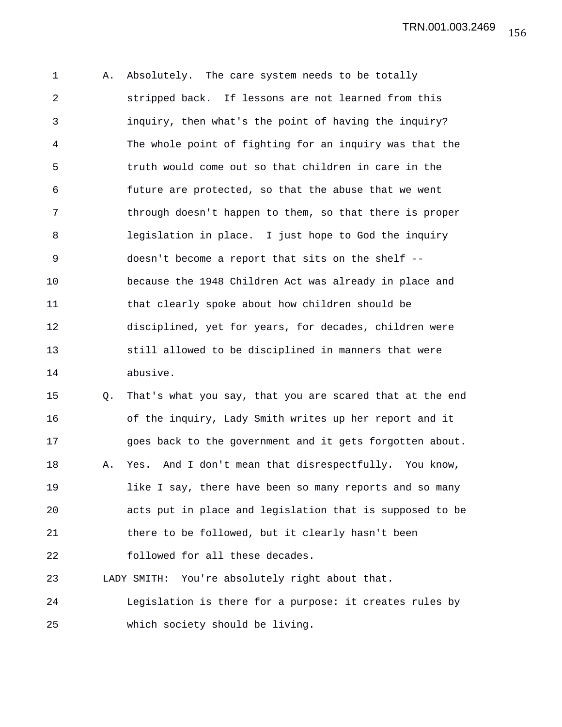1 A. Absolutely. The care system needs to be totally 2 stripped back. If lessons are not learned from this 3 inquiry, then what's the point of having the inquiry? 4 The whole point of fighting for an inquiry was that the 5 truth would come out so that children in care in the 6 future are protected, so that the abuse that we went 7 through doesn't happen to them, so that there is proper 8 legislation in place. I just hope to God the inquiry 9 doesn't become a report that sits on the shelf -- 10 because the 1948 Children Act was already in place and 11 that clearly spoke about how children should be 12 disciplined, yet for years, for decades, children were 13 still allowed to be disciplined in manners that were 14 abusive.

15 Q. That's what you say, that you are scared that at the end 16 of the inquiry, Lady Smith writes up her report and it 17 goes back to the government and it gets forgotten about. 18 A. Yes. And I don't mean that disrespectfully. You know, 19 like I say, there have been so many reports and so many 20 acts put in place and legislation that is supposed to be 21 there to be followed, but it clearly hasn't been 22 followed for all these decades. 23 LADY SMITH: You're absolutely right about that.

24 Legislation is there for a purpose: it creates rules by 25 which society should be living.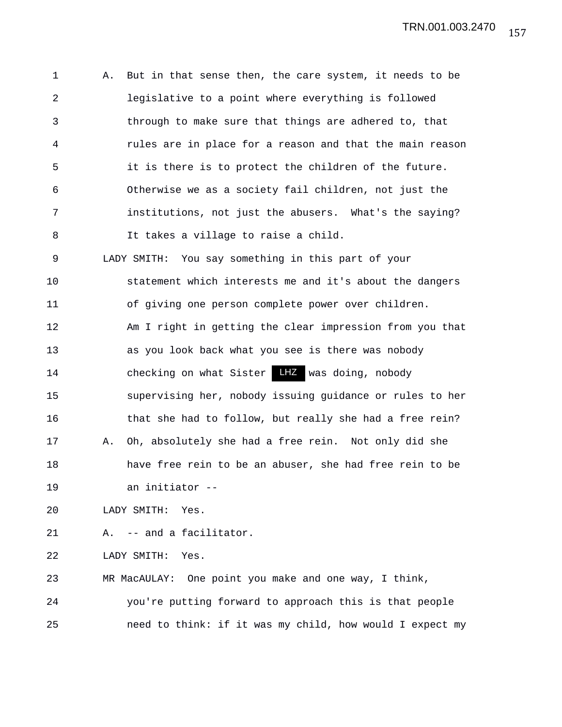1 A. But in that sense then, the care system, it needs to be 2 legislative to a point where everything is followed 3 through to make sure that things are adhered to, that 4 rules are in place for a reason and that the main reason 5 it is there is to protect the children of the future. 6 Otherwise we as a society fail children, not just the 7 institutions, not just the abusers. What's the saying? 8 It takes a village to raise a child. 9 LADY SMITH: You say something in this part of your 10 statement which interests me and it's about the dangers 11 of giving one person complete power over children. 12 Am I right in getting the clear impression from you that 13 as you look back what you see is there was nobody 14 checking on what Sister LHZ was doing, nobody 15 supervising her, nobody issuing guidance or rules to her 16 that she had to follow, but really she had a free rein? 17 A. Oh, absolutely she had a free rein. Not only did she 18 have free rein to be an abuser, she had free rein to be 19 an initiator -- 20 LADY SMITH: Yes. 21 A. -- and a facilitator. 22 LADY SMITH: Yes. 23 MR MacAULAY: One point you make and one way, I think, 24 you're putting forward to approach this is that people

25 need to think: if it was my child, how would I expect my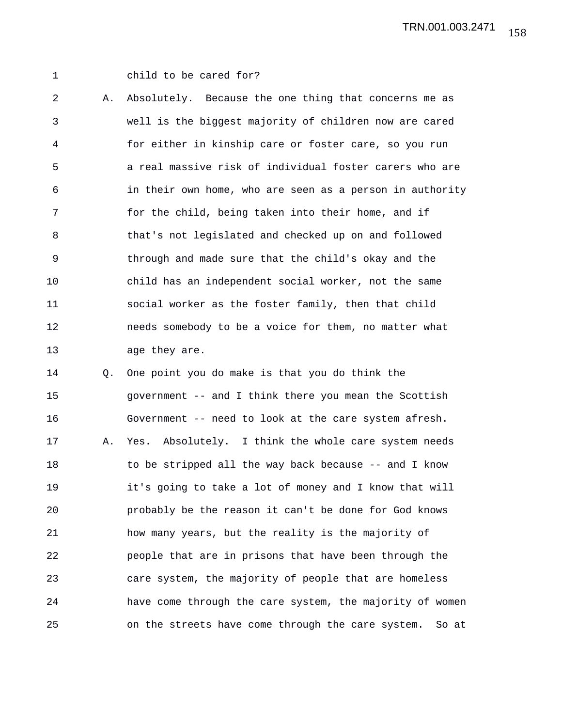1 child to be cared for?

2 A. Absolutely. Because the one thing that concerns me as 3 well is the biggest majority of children now are cared 4 for either in kinship care or foster care, so you run 5 a real massive risk of individual foster carers who are 6 in their own home, who are seen as a person in authority 7 for the child, being taken into their home, and if 8 that's not legislated and checked up on and followed 9 through and made sure that the child's okay and the 10 child has an independent social worker, not the same 11 social worker as the foster family, then that child 12 needs somebody to be a voice for them, no matter what 13 age they are.

14 Q. One point you do make is that you do think the 15 government -- and I think there you mean the Scottish 16 Government -- need to look at the care system afresh. 17 A. Yes. Absolutely. I think the whole care system needs 18 to be stripped all the way back because -- and I know 19 it's going to take a lot of money and I know that will 20 probably be the reason it can't be done for God knows 21 how many years, but the reality is the majority of 22 people that are in prisons that have been through the 23 care system, the majority of people that are homeless 24 have come through the care system, the majority of women 25 on the streets have come through the care system. So at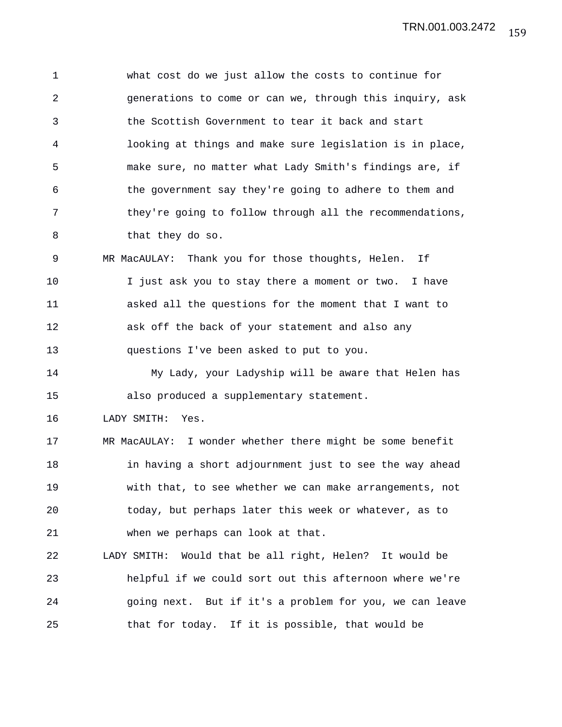1 what cost do we just allow the costs to continue for 2 generations to come or can we, through this inquiry, ask 3 the Scottish Government to tear it back and start 4 looking at things and make sure legislation is in place, 5 make sure, no matter what Lady Smith's findings are, if 6 the government say they're going to adhere to them and 7 they're going to follow through all the recommendations, 8 that they do so. 9 MR MacAULAY: Thank you for those thoughts, Helen. If

10 I just ask you to stay there a moment or two. I have 11 asked all the questions for the moment that I want to 12 ask off the back of your statement and also any 13 questions I've been asked to put to you.

14 My Lady, your Ladyship will be aware that Helen has 15 also produced a supplementary statement.

16 LADY SMITH: Yes.

17 MR MacAULAY: I wonder whether there might be some benefit 18 in having a short adjournment just to see the way ahead 19 with that, to see whether we can make arrangements, not 20 today, but perhaps later this week or whatever, as to 21 when we perhaps can look at that.

22 LADY SMITH: Would that be all right, Helen? It would be 23 helpful if we could sort out this afternoon where we're 24 going next. But if it's a problem for you, we can leave 25 that for today. If it is possible, that would be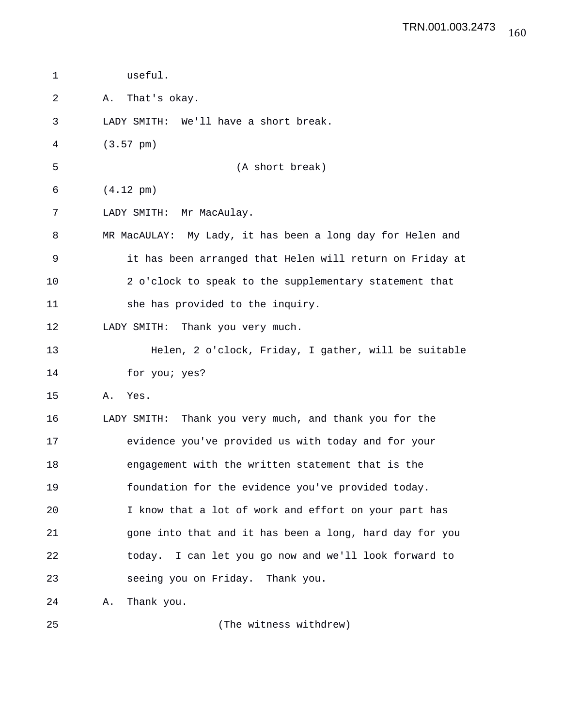| useful.                                                    |
|------------------------------------------------------------|
| That's okay.<br>Α.                                         |
| LADY SMITH: We'll have a short break.                      |
| $(3.57 \text{ pm})$                                        |
| (A short break)                                            |
| $(4.12 \text{ pm})$                                        |
| LADY SMITH: Mr MacAulay.                                   |
| MR MacAULAY: My Lady, it has been a long day for Helen and |
| it has been arranged that Helen will return on Friday at   |
| 2 o'clock to speak to the supplementary statement that     |
| she has provided to the inquiry.                           |
| LADY SMITH: Thank you very much.                           |
| Helen, 2 o'clock, Friday, I gather, will be suitable       |
| for you; yes?                                              |
| Yes.<br>Α.                                                 |
| Thank you very much, and thank you for the<br>LADY SMITH:  |
| evidence you've provided us with today and for your        |
| engagement with the written statement that is the          |
| foundation for the evidence you've provided today.         |
| I know that a lot of work and effort on your part has      |
| gone into that and it has been a long, hard day for you    |
| today. I can let you go now and we'll look forward to      |
| seeing you on Friday. Thank you.                           |
| Thank you.<br>Α.                                           |
|                                                            |

25 (The witness withdrew)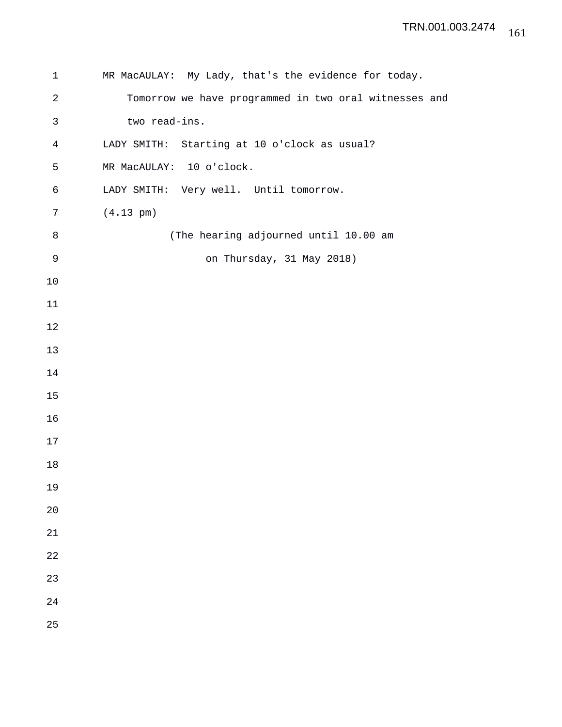| $\mathbf 1$ | MR MacAULAY: My Lady, that's the evidence for today.  |
|-------------|-------------------------------------------------------|
| $\sqrt{2}$  | Tomorrow we have programmed in two oral witnesses and |
| 3           | two read-ins.                                         |
| 4           | LADY SMITH: Starting at 10 o'clock as usual?          |
| 5           | MR MacAULAY: 10 o'clock.                              |
| 6           | LADY SMITH: Very well. Until tomorrow.                |
| 7           | $(4.13 \text{ pm})$                                   |
| 8           | (The hearing adjourned until 10.00 am                 |
| $\mathsf 9$ | on Thursday, 31 May 2018)                             |
| 10          |                                                       |
| 11          |                                                       |
| 12          |                                                       |
| 13          |                                                       |
| 14          |                                                       |
| 15          |                                                       |
| 16          |                                                       |
| 17          |                                                       |
| 18          |                                                       |
| 19          |                                                       |
| 20          |                                                       |
| 21          |                                                       |
| 22          |                                                       |
| 23          |                                                       |
| 24          |                                                       |
| 25          |                                                       |